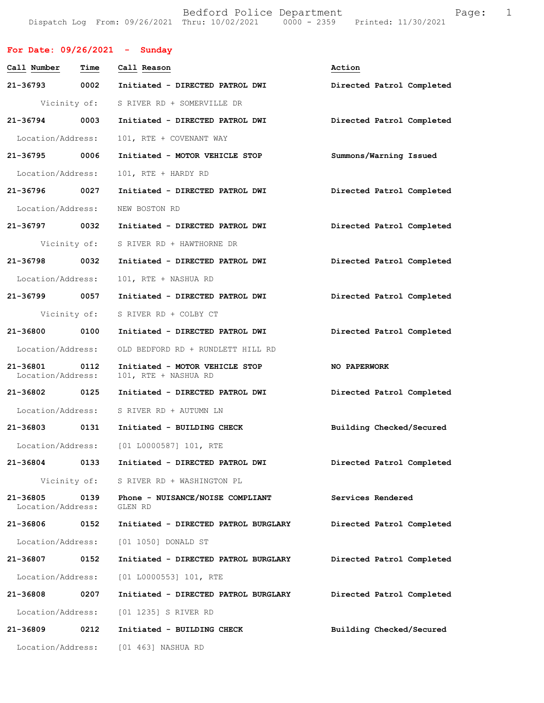Bedford Police Department Fage: 1 Dispatch Log From: 09/26/2021 Thru: 10/02/2021 0000 - 2359 Printed: 11/30/2021

| For Date: $09/26/2021$ - Sunday    |      |                                                        |                           |
|------------------------------------|------|--------------------------------------------------------|---------------------------|
| Call Number                        | Time | Call Reason                                            | Action                    |
| 21-36793 0002                      |      | Initiated - DIRECTED PATROL DWI                        | Directed Patrol Completed |
| Vicinity of:                       |      | S RIVER RD + SOMERVILLE DR                             |                           |
| 21-36794 0003                      |      | Initiated - DIRECTED PATROL DWI                        | Directed Patrol Completed |
| Location/Address:                  |      | 101, RTE + COVENANT WAY                                |                           |
| 21-36795 0006                      |      | Initiated - MOTOR VEHICLE STOP                         | Summons/Warning Issued    |
| Location/Address:                  |      | 101, RTE + HARDY RD                                    |                           |
| 21-36796 0027                      |      | Initiated - DIRECTED PATROL DWI                        | Directed Patrol Completed |
| Location/Address:                  |      | NEW BOSTON RD                                          |                           |
| 21-36797 0032                      |      | Initiated - DIRECTED PATROL DWI                        | Directed Patrol Completed |
|                                    |      | Vicinity of: S RIVER RD + HAWTHORNE DR                 |                           |
| 21-36798 0032                      |      | Initiated - DIRECTED PATROL DWI                        | Directed Patrol Completed |
| Location/Address:                  |      | 101, RTE + NASHUA RD                                   |                           |
| 21-36799 0057                      |      | Initiated - DIRECTED PATROL DWI                        | Directed Patrol Completed |
| Vicinity of:                       |      | S RIVER RD + COLBY CT                                  |                           |
| 21-36800 0100                      |      | Initiated - DIRECTED PATROL DWI                        | Directed Patrol Completed |
| Location/Address:                  |      | OLD BEDFORD RD + RUNDLETT HILL RD                      |                           |
| 21-36801 0112<br>Location/Address: |      | Initiated - MOTOR VEHICLE STOP<br>101, RTE + NASHUA RD | NO PAPERWORK              |
| 21-36802 0125                      |      | Initiated - DIRECTED PATROL DWI                        | Directed Patrol Completed |
|                                    |      | Location/Address: S RIVER RD + AUTUMN LN               |                           |
| 21-36803 0131                      |      | Initiated - BUILDING CHECK                             | Building Checked/Secured  |
| Location/Address:                  |      | [01 L0000587] 101, RTE                                 |                           |
| 21-36804                           | 0133 | Initiated - DIRECTED PATROL DWI                        | Directed Patrol Completed |
| Vicinity of:                       |      | S RIVER RD + WASHINGTON PL                             |                           |
| 21-36805<br>Location/Address:      | 0139 | Phone - NUISANCE/NOISE COMPLIANT<br>GLEN RD            | Services Rendered         |
| 21-36806                           | 0152 | Initiated - DIRECTED PATROL BURGLARY                   | Directed Patrol Completed |
| Location/Address:                  |      | [01 1050] DONALD ST                                    |                           |
| 21-36807                           | 0152 | Initiated - DIRECTED PATROL BURGLARY                   | Directed Patrol Completed |
| Location/Address:                  |      | [01 L0000553] 101, RTE                                 |                           |
| 21-36808                           | 0207 | Initiated - DIRECTED PATROL BURGLARY                   | Directed Patrol Completed |
| Location/Address:                  |      | [01 1235] S RIVER RD                                   |                           |
| 21-36809                           | 0212 | Initiated - BUILDING CHECK                             | Building Checked/Secured  |
| Location/Address:                  |      | [01 463] NASHUA RD                                     |                           |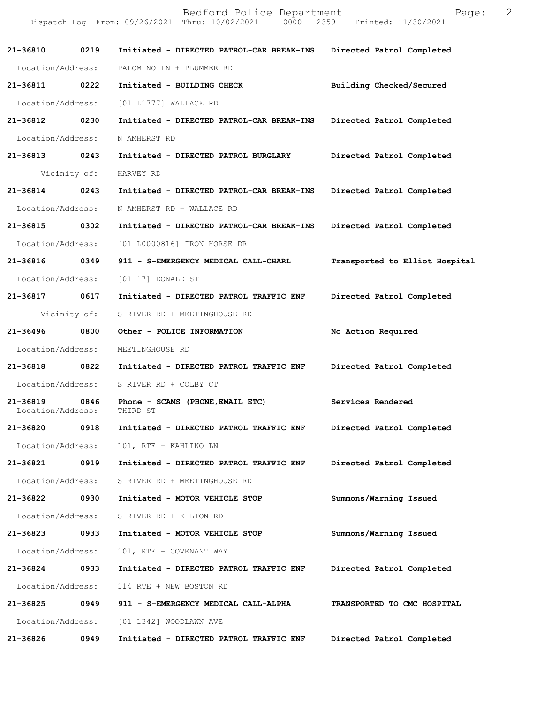|                   |              | Bedford Police Department<br>Dispatch Log From: 09/26/2021 Thru: 10/02/2021 0000 - 2359 Printed: 11/30/2021 | Page:                          | 2 |
|-------------------|--------------|-------------------------------------------------------------------------------------------------------------|--------------------------------|---|
| 21-36810 0219     |              | Initiated - DIRECTED PATROL-CAR BREAK-INS                                                                   | Directed Patrol Completed      |   |
| Location/Address: |              | PALOMINO LN + PLUMMER RD                                                                                    |                                |   |
| 21-36811 0222     |              | Initiated - BUILDING CHECK                                                                                  | Building Checked/Secured       |   |
| Location/Address: |              | [01 L1777] WALLACE RD                                                                                       |                                |   |
| 21-36812          | 0230         | Initiated - DIRECTED PATROL-CAR BREAK-INS                                                                   | Directed Patrol Completed      |   |
| Location/Address: |              | N AMHERST RD                                                                                                |                                |   |
| 21-36813 0243     |              | Initiated - DIRECTED PATROL BURGLARY                                                                        | Directed Patrol Completed      |   |
|                   | Vicinity of: | HARVEY RD                                                                                                   |                                |   |
| 21-36814 0243     |              | Initiated - DIRECTED PATROL-CAR BREAK-INS                                                                   | Directed Patrol Completed      |   |
| Location/Address: |              | N AMHERST RD + WALLACE RD                                                                                   |                                |   |
| 21-36815 0302     |              | Initiated - DIRECTED PATROL-CAR BREAK-INS                                                                   | Directed Patrol Completed      |   |
| Location/Address: |              | [01 L0000816] IRON HORSE DR                                                                                 |                                |   |
| 21-36816 0349     |              | 911 - S-EMERGENCY MEDICAL CALL-CHARL                                                                        | Transported to Elliot Hospital |   |
| Location/Address: |              | $[01 17]$ DONALD ST                                                                                         |                                |   |
| 21-36817 0617     |              | Initiated - DIRECTED PATROL TRAFFIC ENF                                                                     | Directed Patrol Completed      |   |
|                   | Vicinity of: | S RIVER RD + MEETINGHOUSE RD                                                                                |                                |   |
| 21-36496 0800     |              | Other - POLICE INFORMATION                                                                                  | No Action Required             |   |
| Location/Address: |              | MEETINGHOUSE RD                                                                                             |                                |   |
| 21-36818          | 0822         | Initiated - DIRECTED PATROL TRAFFIC ENF                                                                     | Directed Patrol Completed      |   |
|                   |              | Location/Address: S RIVER RD + COLBY CT                                                                     |                                |   |
| Location/Address: |              | 21-36819 0846 Phone - SCAMS (PHONE,EMAIL ETC)<br>THIRD ST                                                   | Services Rendered              |   |
| 21-36820          | 0918         | Initiated - DIRECTED PATROL TRAFFIC ENF                                                                     | Directed Patrol Completed      |   |
| Location/Address: |              | 101, RTE + KAHLIKO LN                                                                                       |                                |   |
| 21-36821 0919     |              | Initiated - DIRECTED PATROL TRAFFIC ENF                                                                     | Directed Patrol Completed      |   |
| Location/Address: |              | S RIVER RD + MEETINGHOUSE RD                                                                                |                                |   |
| 21-36822          | 0930         | Initiated - MOTOR VEHICLE STOP                                                                              | Summons/Warning Issued         |   |
| Location/Address: |              | S RIVER RD + KILTON RD                                                                                      |                                |   |
| 21-36823          | 0933         | Initiated - MOTOR VEHICLE STOP                                                                              | Summons/Warning Issued         |   |
| Location/Address: |              | 101, RTE + COVENANT WAY                                                                                     |                                |   |
| 21-36824 0933     |              | Initiated - DIRECTED PATROL TRAFFIC ENF                                                                     | Directed Patrol Completed      |   |
| Location/Address: |              | 114 RTE + NEW BOSTON RD                                                                                     |                                |   |
| 21-36825          | 0949         | 911 - S-EMERGENCY MEDICAL CALL-ALPHA                                                                        | TRANSPORTED TO CMC HOSPITAL    |   |
| Location/Address: |              | [01 1342] WOODLAWN AVE                                                                                      |                                |   |
| 21-36826          | 0949         | Initiated - DIRECTED PATROL TRAFFIC ENF                                                                     | Directed Patrol Completed      |   |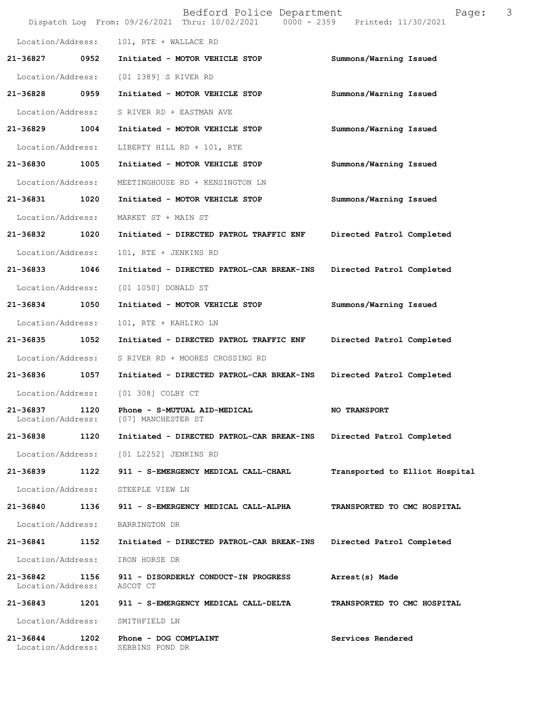|                               |      | Bedford Police Department<br>Dispatch Log From: 09/26/2021 Thru: 10/02/2021 0000 - 2359 Printed: 11/30/2021 | 3<br>Page:                     |
|-------------------------------|------|-------------------------------------------------------------------------------------------------------------|--------------------------------|
| Location/Address:             |      | 101, RTE + WALLACE RD                                                                                       |                                |
| 21-36827                      | 0952 | Initiated - MOTOR VEHICLE STOP                                                                              | Summons/Warning Issued         |
| Location/Address:             |      | [01 1389] S RIVER RD                                                                                        |                                |
| 21-36828                      | 0959 | Initiated - MOTOR VEHICLE STOP                                                                              | Summons/Warning Issued         |
| Location/Address:             |      | S RIVER RD + EASTMAN AVE                                                                                    |                                |
| 21-36829                      | 1004 | Initiated - MOTOR VEHICLE STOP                                                                              | Summons/Warning Issued         |
| Location/Address:             |      | LIBERTY HILL RD + 101, RTE                                                                                  |                                |
| 21-36830                      | 1005 | Initiated - MOTOR VEHICLE STOP                                                                              | Summons/Warning Issued         |
| Location/Address:             |      | MEETINGHOUSE RD + KENSINGTON LN                                                                             |                                |
| 21-36831                      | 1020 | Initiated - MOTOR VEHICLE STOP                                                                              | Summons/Warning Issued         |
| Location/Address:             |      | MARKET ST + MAIN ST                                                                                         |                                |
| 21-36832                      | 1020 | Initiated - DIRECTED PATROL TRAFFIC ENF                                                                     | Directed Patrol Completed      |
| Location/Address:             |      | 101, RTE + JENKINS RD                                                                                       |                                |
| 21-36833                      | 1046 | Initiated - DIRECTED PATROL-CAR BREAK-INS                                                                   | Directed Patrol Completed      |
| Location/Address:             |      | [01 1050] DONALD ST                                                                                         |                                |
| 21-36834                      | 1050 | Initiated - MOTOR VEHICLE STOP                                                                              | Summons/Warning Issued         |
| Location/Address:             |      | 101, RTE + KAHLIKO LN                                                                                       |                                |
| 21-36835                      | 1052 | Initiated - DIRECTED PATROL TRAFFIC ENF                                                                     | Directed Patrol Completed      |
| Location/Address:             |      | S RIVER RD + MOORES CROSSING RD                                                                             |                                |
| 21-36836                      | 1057 | Initiated - DIRECTED PATROL-CAR BREAK-INS                                                                   | Directed Patrol Completed      |
| Location/Address:             |      | [01 308] COLBY CT                                                                                           |                                |
| 21-36837<br>Location/Address: | 1120 | Phone - S-MUTUAL AID-MEDICAL<br>[07] MANCHESTER ST                                                          | <b>NO TRANSPORT</b>            |
| 21-36838                      | 1120 | Initiated - DIRECTED PATROL-CAR BREAK-INS                                                                   | Directed Patrol Completed      |
| Location/Address:             |      | [01 L2252] JENKINS RD                                                                                       |                                |
| 21-36839                      | 1122 | 911 - S-EMERGENCY MEDICAL CALL-CHARL                                                                        | Transported to Elliot Hospital |
| Location/Address:             |      | STEEPLE VIEW LN                                                                                             |                                |
| 21-36840                      | 1136 | 911 - S-EMERGENCY MEDICAL CALL-ALPHA                                                                        | TRANSPORTED TO CMC HOSPITAL    |
| Location/Address:             |      | BARRINGTON DR                                                                                               |                                |
| 21-36841                      | 1152 | Initiated - DIRECTED PATROL-CAR BREAK-INS                                                                   | Directed Patrol Completed      |
| Location/Address:             |      | IRON HORSE DR                                                                                               |                                |
| 21-36842<br>Location/Address: | 1156 | 911 - DISORDERLY CONDUCT-IN PROGRESS<br>ASCOT CT                                                            | Arrest(s) Made                 |
| 21-36843                      |      | 1201 911 - S-EMERGENCY MEDICAL CALL-DELTA                                                                   | TRANSPORTED TO CMC HOSPITAL    |
| Location/Address:             |      | SMITHFIELD LN                                                                                               |                                |
| 21-36844<br>Location/Address: | 1202 | Phone - DOG COMPLAINT<br>SEBBINS POND DR                                                                    | Services Rendered              |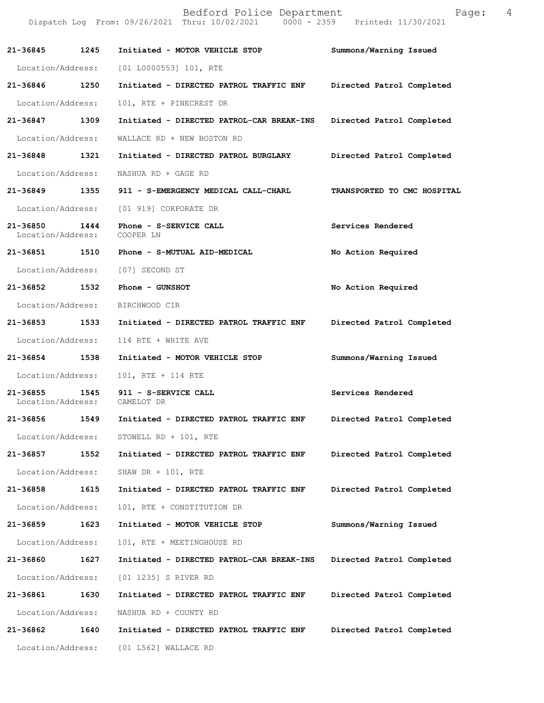Bedford Police Department Fage: 4 Dispatch Log From: 09/26/2021 Thru: 10/02/2021 0000 - 2359 Printed: 11/30/2021 **21-36845 1245 Initiated - MOTOR VEHICLE STOP Summons/Warning Issued**  Location/Address: [01 L0000553] 101, RTE **21-36846 1250 Initiated - DIRECTED PATROL TRAFFIC ENF Directed Patrol Completed**  Location/Address: 101, RTE + PINECREST DR **21-36847 1309 Initiated - DIRECTED PATROL-CAR BREAK-INS Directed Patrol Completed**  Location/Address: WALLACE RD + NEW BOSTON RD **21-36848 1321 Initiated - DIRECTED PATROL BURGLARY Directed Patrol Completed**  Location/Address: NASHUA RD + GAGE RD **21-36849 1355 911 - S-EMERGENCY MEDICAL CALL-CHARL TRANSPORTED TO CMC HOSPITAL**  Location/Address: [01 919] CORPORATE DR **21-36850 1444 Phone - S-SERVICE CALL Services Rendered**  Location/Address: COOPER LN **21-36851 1510 Phone - S-MUTUAL AID-MEDICAL No Action Required**  Location/Address: [07] SECOND ST **21-36852 1532 Phone - GUNSHOT No Action Required**  Location/Address: BIRCHWOOD CIR **21-36853 1533 Initiated - DIRECTED PATROL TRAFFIC ENF Directed Patrol Completed**  Location/Address: 114 RTE + WHITE AVE **21-36854 1538 Initiated - MOTOR VEHICLE STOP Summons/Warning Issued**  Location/Address: 101, RTE + 114 RTE 21-36855 1545 911 - S-SERVICE CALL **Services Rendered Services Rendered Incrementation** *Services* Rendered Location/Address: **21-36856 1549 Initiated - DIRECTED PATROL TRAFFIC ENF Directed Patrol Completed**  Location/Address: STOWELL RD + 101, RTE **21-36857 1552 Initiated - DIRECTED PATROL TRAFFIC ENF Directed Patrol Completed**  Location/Address: SHAW DR + 101, RTE **21-36858 1615 Initiated - DIRECTED PATROL TRAFFIC ENF Directed Patrol Completed**  Location/Address: 101, RTE + CONSTITUTION DR **21-36859 1623 Initiated - MOTOR VEHICLE STOP Summons/Warning Issued**  Location/Address: 101, RTE + MEETINGHOUSE RD **21-36860 1627 Initiated - DIRECTED PATROL-CAR BREAK-INS Directed Patrol Completed**  Location/Address: [01 1235] S RIVER RD **21-36861 1630 Initiated - DIRECTED PATROL TRAFFIC ENF Directed Patrol Completed**  Location/Address: NASHUA RD + COUNTY RD **21-36862 1640 Initiated - DIRECTED PATROL TRAFFIC ENF Directed Patrol Completed**  Location/Address: [01 L562] WALLACE RD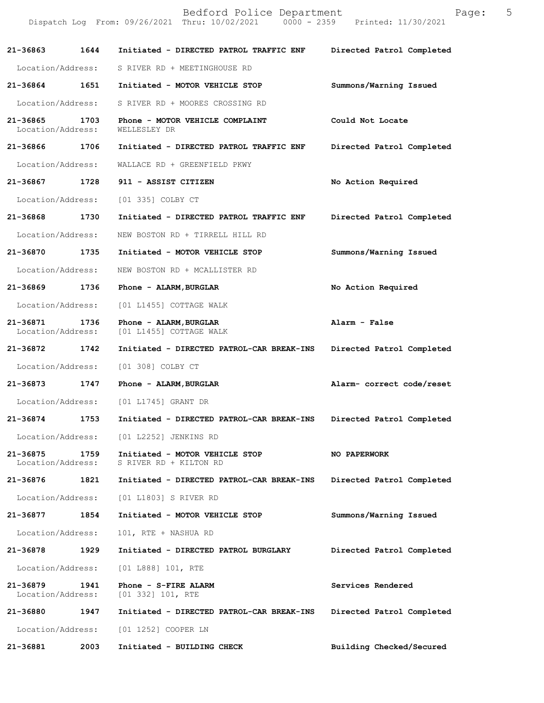|                               |      | Bedford Police Department<br>Dispatch Log From: 09/26/2021 Thru: 10/02/2021 0000 - 2359 Printed: 11/30/2021 | Page:                     | 5 |
|-------------------------------|------|-------------------------------------------------------------------------------------------------------------|---------------------------|---|
| 21-36863                      | 1644 | Initiated - DIRECTED PATROL TRAFFIC ENF                                                                     | Directed Patrol Completed |   |
| Location/Address:             |      | S RIVER RD + MEETINGHOUSE RD                                                                                |                           |   |
| 21-36864 1651                 |      | Initiated - MOTOR VEHICLE STOP                                                                              | Summons/Warning Issued    |   |
| Location/Address:             |      | S RIVER RD + MOORES CROSSING RD                                                                             |                           |   |
| 21-36865<br>Location/Address: | 1703 | Phone - MOTOR VEHICLE COMPLAINT<br>WELLESLEY DR                                                             | Could Not Locate          |   |
| 21-36866 1706                 |      | Initiated - DIRECTED PATROL TRAFFIC ENF                                                                     | Directed Patrol Completed |   |
| Location/Address:             |      | WALLACE RD + GREENFIELD PKWY                                                                                |                           |   |
| 21-36867 1728                 |      | 911 - ASSIST CITIZEN                                                                                        | No Action Required        |   |
| Location/Address:             |      | [01 335] COLBY CT                                                                                           |                           |   |
| 21-36868                      | 1730 | Initiated - DIRECTED PATROL TRAFFIC ENF                                                                     | Directed Patrol Completed |   |
| Location/Address:             |      | NEW BOSTON RD + TIRRELL HILL RD                                                                             |                           |   |
| 21-36870                      | 1735 | Initiated - MOTOR VEHICLE STOP                                                                              | Summons/Warning Issued    |   |
| Location/Address:             |      | NEW BOSTON RD + MCALLISTER RD                                                                               |                           |   |
| 21-36869 1736                 |      | Phone - ALARM, BURGLAR                                                                                      | No Action Required        |   |
| Location/Address:             |      | [01 L1455] COTTAGE WALK                                                                                     |                           |   |
| 21-36871<br>Location/Address: | 1736 | Phone - ALARM, BURGLAR<br>[01 L1455] COTTAGE WALK                                                           | Alarm - False             |   |
| 21-36872                      | 1742 | Initiated - DIRECTED PATROL-CAR BREAK-INS                                                                   | Directed Patrol Completed |   |
| Location/Address:             |      | [01 308] COLBY CT                                                                                           |                           |   |
| 21-36873 1747                 |      | Phone - ALARM, BURGLAR                                                                                      | Alarm- correct code/reset |   |
| Location/Address:             |      | [01 L1745] GRANT DR                                                                                         |                           |   |
| 21-36874                      | 1753 | Initiated - DIRECTED PATROL-CAR BREAK-INS                                                                   | Directed Patrol Completed |   |
| Location/Address:             |      | [01 L2252] JENKINS RD                                                                                       |                           |   |
| 21-36875<br>Location/Address: | 1759 | Initiated - MOTOR VEHICLE STOP<br>S RIVER RD + KILTON RD                                                    | NO PAPERWORK              |   |
| 21-36876                      | 1821 | Initiated - DIRECTED PATROL-CAR BREAK-INS                                                                   | Directed Patrol Completed |   |
| Location/Address:             |      | [01 L1803] S RIVER RD                                                                                       |                           |   |
| 21-36877                      | 1854 | Initiated - MOTOR VEHICLE STOP                                                                              | Summons/Warning Issued    |   |
| Location/Address:             |      | 101, RTE + NASHUA RD                                                                                        |                           |   |
| 21-36878 1929                 |      | Initiated - DIRECTED PATROL BURGLARY                                                                        | Directed Patrol Completed |   |
| Location/Address:             |      | $[01 L888] 101$ , RTE                                                                                       |                           |   |
| 21-36879<br>Location/Address: | 1941 | Phone - S-FIRE ALARM<br>[01 332] 101, RTE                                                                   | Services Rendered         |   |
| 21-36880                      | 1947 | Initiated - DIRECTED PATROL-CAR BREAK-INS                                                                   | Directed Patrol Completed |   |
| Location/Address:             |      | [01 1252] COOPER LN                                                                                         |                           |   |
| 21-36881                      | 2003 | Initiated - BUILDING CHECK                                                                                  | Building Checked/Secured  |   |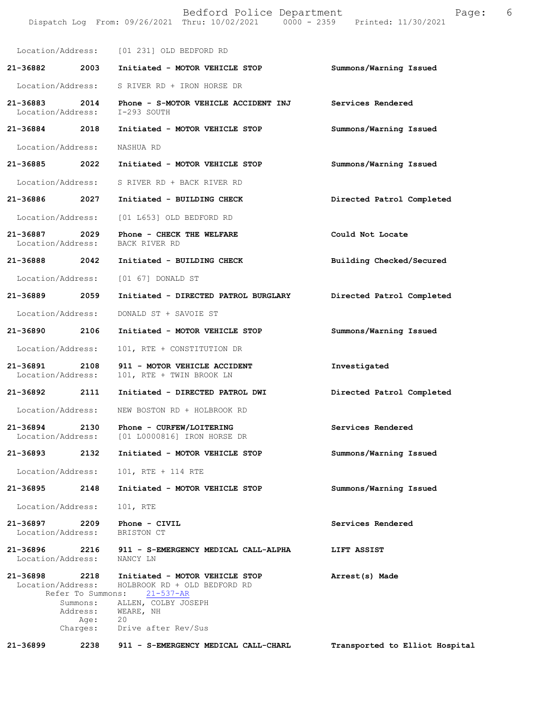| Location/Address:<br>[01 231] OLD BEDFORD RD                                                                                                                      |  |
|-------------------------------------------------------------------------------------------------------------------------------------------------------------------|--|
|                                                                                                                                                                   |  |
| Summons/Warning Issued<br>21-36882<br>2003<br>Initiated - MOTOR VEHICLE STOP                                                                                      |  |
| Location/Address:<br>S RIVER RD + IRON HORSE DR                                                                                                                   |  |
| 21-36883<br>2014<br>Phone - S-MOTOR VEHICLE ACCIDENT INJ<br>Services Rendered<br>Location/Address:<br>I-293 SOUTH                                                 |  |
| Summons/Warning Issued<br>21-36884 2018<br>Initiated - MOTOR VEHICLE STOP                                                                                         |  |
| Location/Address:<br>NASHUA RD                                                                                                                                    |  |
| 21-36885<br>2022<br>Initiated - MOTOR VEHICLE STOP<br>Summons/Warning Issued                                                                                      |  |
| Location/Address:<br>S RIVER RD + BACK RIVER RD                                                                                                                   |  |
| 21-36886<br>2027<br>Initiated - BUILDING CHECK<br>Directed Patrol Completed                                                                                       |  |
| Location/Address:<br>[01 L653] OLD BEDFORD RD                                                                                                                     |  |
| 21-36887<br>2029<br>Phone - CHECK THE WELFARE<br>Could Not Locate<br>Location/Address:<br>BACK RIVER RD                                                           |  |
| 21-36888<br>2042<br>Initiated - BUILDING CHECK<br>Building Checked/Secured                                                                                        |  |
| Location/Address:<br>$[01 67]$ DONALD ST                                                                                                                          |  |
| 21-36889<br>2059<br>Initiated - DIRECTED PATROL BURGLARY<br>Directed Patrol Completed                                                                             |  |
| Location/Address:<br>DONALD ST + SAVOIE ST                                                                                                                        |  |
| Summons/Warning Issued<br>21-36890<br>2106<br>Initiated - MOTOR VEHICLE STOP                                                                                      |  |
| Location/Address:<br>101, RTE + CONSTITUTION DR                                                                                                                   |  |
| 21-36891<br>2108<br>911 - MOTOR VEHICLE ACCIDENT<br>Investigated<br>Location/Address:<br>101, RTE + TWIN BROOK LN                                                 |  |
| 21-36892<br>2111<br>Initiated - DIRECTED PATROL DWI<br>Directed Patrol Completed                                                                                  |  |
| Location/Address:<br>NEW BOSTON RD + HOLBROOK RD                                                                                                                  |  |
| 21-36894<br>2130<br>Phone - CURFEW/LOITERING<br>Services Rendered<br>Location/Address:<br>[01 L0000816] IRON HORSE DR                                             |  |
| Summons/Warning Issued<br>21-36893<br>2132<br>Initiated - MOTOR VEHICLE STOP                                                                                      |  |
| Location/Address:<br>101, RTE + 114 RTE                                                                                                                           |  |
| Summons/Warning Issued<br>21-36895<br>2148<br>Initiated - MOTOR VEHICLE STOP                                                                                      |  |
| Location/Address:<br>101, RTE                                                                                                                                     |  |
| 21-36897<br>2209<br>Services Rendered<br>Phone - CIVIL<br>Location/Address:<br>BRISTON CT                                                                         |  |
| 21-36896<br>2216<br>911 - S-EMERGENCY MEDICAL CALL-ALPHA<br>LIFT ASSIST<br>Location/Address:<br>NANCY LN                                                          |  |
| 21-36898<br>2218<br>Initiated - MOTOR VEHICLE STOP<br>Arrest(s) Made<br>Location/Address:<br>HOLBROOK RD + OLD BEDFORD RD<br>Refer To Summons:<br>$21 - 537 - AR$ |  |
| ALLEN, COLBY JOSEPH<br>Summons:<br>Address:<br>WEARE, NH<br>20<br>Age:<br>Drive after Rev/Sus<br>Charges:                                                         |  |
| 21-36899<br>2238<br>911 - S-EMERGENCY MEDICAL CALL-CHARL<br>Transported to Elliot Hospital                                                                        |  |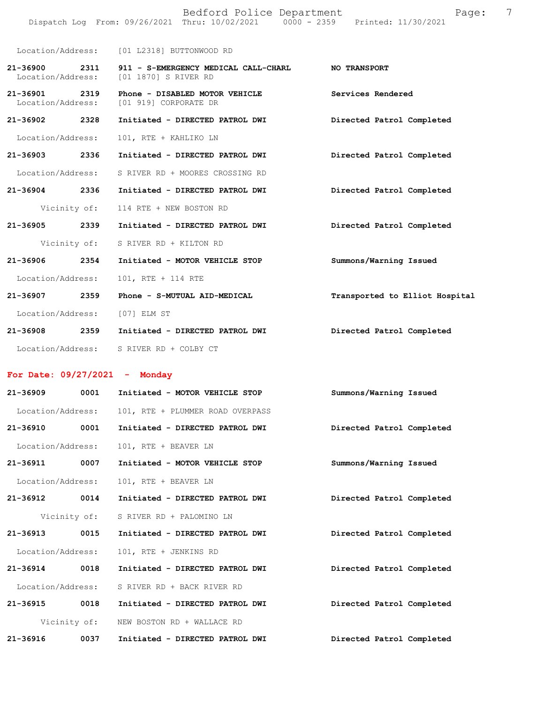|                                    |              | Bedford Police Department<br>Dispatch Log From: 09/26/2021 Thru: 10/02/2021 0000 - 2359 Printed: 11/30/2021 | 7<br>Page:                     |
|------------------------------------|--------------|-------------------------------------------------------------------------------------------------------------|--------------------------------|
|                                    |              | Location/Address: [01 L2318] BUTTONWOOD RD                                                                  |                                |
| 21-36900 2311<br>Location/Address: |              | 911 - S-EMERGENCY MEDICAL CALL-CHARL<br>[01 1870] S RIVER RD                                                | <b>NO TRANSPORT</b>            |
| 21-36901<br>Location/Address:      | 2319         | Phone - DISABLED MOTOR VEHICLE<br>[01 919] CORPORATE DR                                                     | Services Rendered              |
| 21-36902 2328                      |              | Initiated - DIRECTED PATROL DWI                                                                             | Directed Patrol Completed      |
| Location/Address:                  |              | 101, RTE + KAHLIKO LN                                                                                       |                                |
| $21 - 36903$                       | 2336         | Initiated - DIRECTED PATROL DWI                                                                             | Directed Patrol Completed      |
| Location/Address:                  |              | S RIVER RD + MOORES CROSSING RD                                                                             |                                |
| 21-36904 2336                      |              | Initiated - DIRECTED PATROL DWI                                                                             | Directed Patrol Completed      |
|                                    | Vicinity of: | 114 RTE + NEW BOSTON RD                                                                                     |                                |
| $21 - 36905$                       | 2339         | Initiated - DIRECTED PATROL DWI                                                                             | Directed Patrol Completed      |
|                                    | Vicinity of: | S RIVER RD + KILTON RD                                                                                      |                                |
| $21 - 36906$                       | 2354         | Initiated - MOTOR VEHICLE STOP                                                                              | Summons/Warning Issued         |
| Location/Address:                  |              | 101, RTE + 114 RTE                                                                                          |                                |
| 21-36907                           | 2359         | Phone - S-MUTUAL AID-MEDICAL                                                                                | Transported to Elliot Hospital |
| Location/Address:                  |              | [07] ELM ST                                                                                                 |                                |
| 21-36908 2359                      |              | Initiated - DIRECTED PATROL DWI                                                                             | Directed Patrol Completed      |
| Location/Address:                  |              | S RIVER RD + COLBY CT                                                                                       |                                |

## **For Date: 09/27/2021 - Monday**

| $21 - 36909$      | 0001         | Initiated - MOTOR VEHICLE STOP   | Summons/Warning Issued    |
|-------------------|--------------|----------------------------------|---------------------------|
| Location/Address: |              | 101, RTE + PLUMMER ROAD OVERPASS |                           |
| 21-36910          | 0001         | Initiated - DIRECTED PATROL DWI  | Directed Patrol Completed |
| Location/Address: |              | 101, RTE + BEAVER LN             |                           |
| 21-36911          | 0007         | Initiated - MOTOR VEHICLE STOP   | Summons/Warning Issued    |
| Location/Address: |              | 101, RTE + BEAVER LN             |                           |
| 21-36912          | 0014         | Initiated - DIRECTED PATROL DWI  | Directed Patrol Completed |
|                   | Vicinity of: | S RIVER RD + PALOMINO LN         |                           |
| $21 - 36913$      | 0015         | Initiated - DIRECTED PATROL DWI  | Directed Patrol Completed |
| Location/Address: |              | 101, RTE + JENKINS RD            |                           |
| $21 - 36914$      | 0018         | Initiated - DIRECTED PATROL DWI  | Directed Patrol Completed |
| Location/Address: |              | S RIVER RD + BACK RIVER RD       |                           |
| 21-36915          | 0018         | Initiated - DIRECTED PATROL DWI  | Directed Patrol Completed |
|                   | Vicinity of: | NEW BOSTON RD + WALLACE RD       |                           |
| $21 - 36916$      | 0037         | Initiated - DIRECTED PATROL DWI  | Directed Patrol Completed |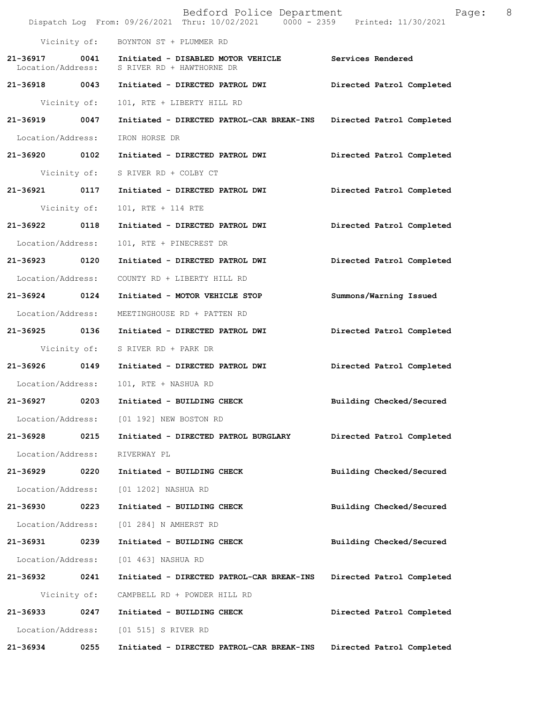|                                    |              | Bedford Police Department<br>Dispatch Log From: 09/26/2021 Thru: 10/02/2021 0000 - 2359 Printed: 11/30/2021 | Page:                     | 8 |
|------------------------------------|--------------|-------------------------------------------------------------------------------------------------------------|---------------------------|---|
|                                    |              | Vicinity of: BOYNTON ST + PLUMMER RD                                                                        |                           |   |
| 21-36917 0041<br>Location/Address: |              | Initiated - DISABLED MOTOR VEHICLE<br>S RIVER RD + HAWTHORNE DR                                             | <b>Services Rendered</b>  |   |
| 21-36918 0043                      |              | Initiated - DIRECTED PATROL DWI                                                                             | Directed Patrol Completed |   |
|                                    | Vicinity of: | 101, RTE + LIBERTY HILL RD                                                                                  |                           |   |
| 21-36919 0047                      |              | Initiated - DIRECTED PATROL-CAR BREAK-INS                                                                   | Directed Patrol Completed |   |
| Location/Address:                  |              | IRON HORSE DR                                                                                               |                           |   |
| 21-36920 0102                      |              | Initiated - DIRECTED PATROL DWI                                                                             | Directed Patrol Completed |   |
|                                    |              | Vicinity of: S RIVER RD + COLBY CT                                                                          |                           |   |
| 21-36921 0117                      |              | Initiated - DIRECTED PATROL DWI                                                                             | Directed Patrol Completed |   |
|                                    | Vicinity of: | 101, RTE + 114 RTE                                                                                          |                           |   |
| 21-36922 0118                      |              | Initiated - DIRECTED PATROL DWI                                                                             | Directed Patrol Completed |   |
| Location/Address:                  |              | 101, RTE + PINECREST DR                                                                                     |                           |   |
| 21-36923                           | 0120         | Initiated - DIRECTED PATROL DWI                                                                             | Directed Patrol Completed |   |
| Location/Address:                  |              | COUNTY RD + LIBERTY HILL RD                                                                                 |                           |   |
| 21-36924 0124                      |              | Initiated - MOTOR VEHICLE STOP                                                                              | Summons/Warning Issued    |   |
| Location/Address:                  |              | MEETINGHOUSE RD + PATTEN RD                                                                                 |                           |   |
| 21-36925 0136                      |              | Initiated - DIRECTED PATROL DWI                                                                             | Directed Patrol Completed |   |
|                                    |              | Vicinity of: S RIVER RD + PARK DR                                                                           |                           |   |
|                                    |              | 21-36926 0149 Initiated - DIRECTED PATROL DWI                                                               | Directed Patrol Completed |   |
| Location/Address:                  |              | 101, RTE + NASHUA RD                                                                                        |                           |   |
| 21-36927                           | 0203         | Initiated - BUILDING CHECK                                                                                  | Building Checked/Secured  |   |
| Location/Address:                  |              | [01 192] NEW BOSTON RD                                                                                      |                           |   |
| 21-36928                           | 0215         | Initiated - DIRECTED PATROL BURGLARY                                                                        | Directed Patrol Completed |   |
| Location/Address:                  |              | RIVERWAY PL                                                                                                 |                           |   |
| 21-36929                           | 0220         | Initiated - BUILDING CHECK                                                                                  | Building Checked/Secured  |   |
| Location/Address:                  |              | [01 1202] NASHUA RD                                                                                         |                           |   |
| 21-36930                           | 0223         | Initiated - BUILDING CHECK                                                                                  | Building Checked/Secured  |   |
| Location/Address:                  |              | [01 284] N AMHERST RD                                                                                       |                           |   |
| 21-36931                           | 0239         | Initiated - BUILDING CHECK                                                                                  | Building Checked/Secured  |   |
| Location/Address:                  |              | [01 463] NASHUA RD                                                                                          |                           |   |
| 21-36932                           | 0241         | Initiated - DIRECTED PATROL-CAR BREAK-INS                                                                   | Directed Patrol Completed |   |
|                                    | Vicinity of: | CAMPBELL RD + POWDER HILL RD                                                                                |                           |   |
| 21-36933                           | 0247         | Initiated - BUILDING CHECK                                                                                  | Directed Patrol Completed |   |
| Location/Address:                  |              | [01 515] S RIVER RD                                                                                         |                           |   |
| 21-36934                           | 0255         | Initiated - DIRECTED PATROL-CAR BREAK-INS                                                                   | Directed Patrol Completed |   |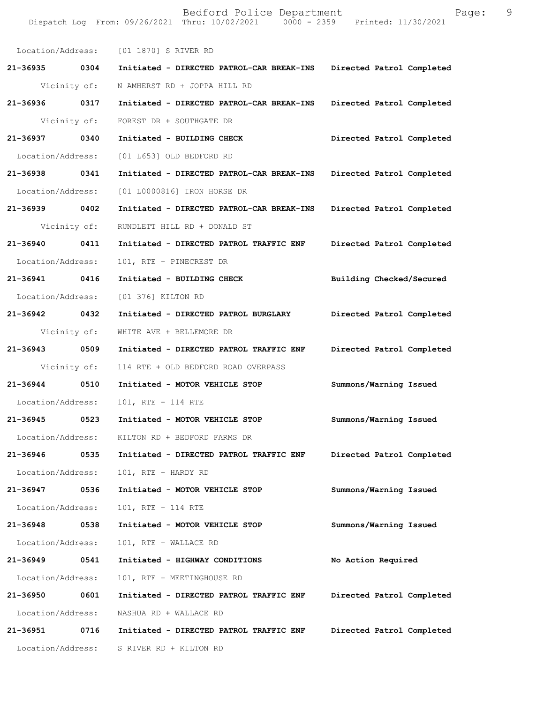Dispatch Log From: 09/26/2021 Thru: 10/02/2021 0000 - 2359 Printed: 11/30/2021 Location/Address: [01 1870] S RIVER RD **21-36935 0304 Initiated - DIRECTED PATROL-CAR BREAK-INS Directed Patrol Completed**  Vicinity of: N AMHERST RD + JOPPA HILL RD **21-36936 0317 Initiated - DIRECTED PATROL-CAR BREAK-INS Directed Patrol Completed**  Vicinity of: FOREST DR + SOUTHGATE DR **21-36937 0340 Initiated - BUILDING CHECK Directed Patrol Completed**  Location/Address: [01 L653] OLD BEDFORD RD **21-36938 0341 Initiated - DIRECTED PATROL-CAR BREAK-INS Directed Patrol Completed**  Location/Address: [01 L0000816] IRON HORSE DR **21-36939 0402 Initiated - DIRECTED PATROL-CAR BREAK-INS Directed Patrol Completed**  Vicinity of: RUNDLETT HILL RD + DONALD ST **21-36940 0411 Initiated - DIRECTED PATROL TRAFFIC ENF Directed Patrol Completed**  Location/Address: 101, RTE + PINECREST DR **21-36941 0416 Initiated - BUILDING CHECK Building Checked/Secured**  Location/Address: [01 376] KILTON RD **21-36942 0432 Initiated - DIRECTED PATROL BURGLARY Directed Patrol Completed**  Vicinity of: WHITE AVE + BELLEMORE DR **21-36943 0509 Initiated - DIRECTED PATROL TRAFFIC ENF Directed Patrol Completed**  Vicinity of: 114 RTE + OLD BEDFORD ROAD OVERPASS **21-36944 0510 Initiated - MOTOR VEHICLE STOP Summons/Warning Issued**  Location/Address: 101, RTE + 114 RTE **21-36945 0523 Initiated - MOTOR VEHICLE STOP Summons/Warning Issued**  Location/Address: KILTON RD + BEDFORD FARMS DR **21-36946 0535 Initiated - DIRECTED PATROL TRAFFIC ENF Directed Patrol Completed**  Location/Address: 101, RTE + HARDY RD **21-36947 0536 Initiated - MOTOR VEHICLE STOP Summons/Warning Issued**  Location/Address: 101, RTE + 114 RTE **21-36948 0538 Initiated - MOTOR VEHICLE STOP Summons/Warning Issued**  Location/Address: 101, RTE + WALLACE RD **21-36949 0541 Initiated - HIGHWAY CONDITIONS No Action Required**  Location/Address: 101, RTE + MEETINGHOUSE RD **21-36950 0601 Initiated - DIRECTED PATROL TRAFFIC ENF Directed Patrol Completed**  Location/Address: NASHUA RD + WALLACE RD **21-36951 0716 Initiated - DIRECTED PATROL TRAFFIC ENF Directed Patrol Completed**  Location/Address: S RIVER RD + KILTON RD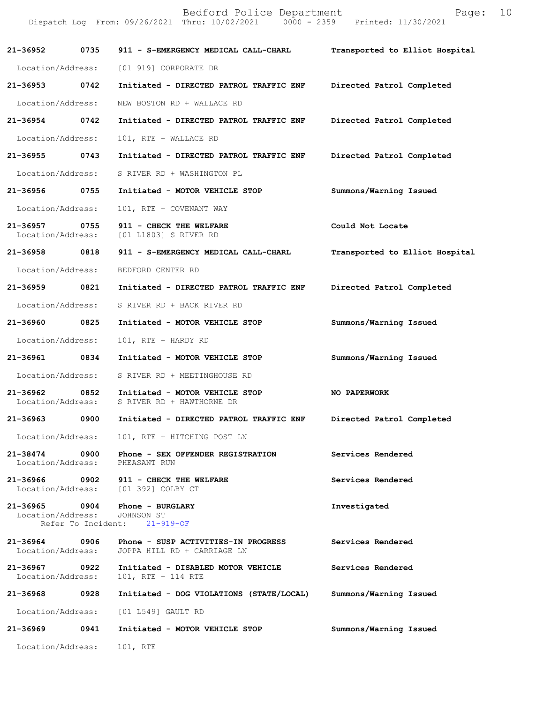|                                    |      | Bedford Police Department<br>Dispatch Log From: 09/26/2021 Thru: 10/02/2021 0000 - 2359 Printed: 11/30/2021 | Page:                          | 10 |
|------------------------------------|------|-------------------------------------------------------------------------------------------------------------|--------------------------------|----|
|                                    |      |                                                                                                             | Transported to Elliot Hospital |    |
| Location/Address:                  |      | [01 919] CORPORATE DR                                                                                       |                                |    |
| 21-36953 0742                      |      | Initiated - DIRECTED PATROL TRAFFIC ENF                                                                     | Directed Patrol Completed      |    |
| Location/Address:                  |      | NEW BOSTON RD + WALLACE RD                                                                                  |                                |    |
| 21-36954 0742                      |      | Initiated - DIRECTED PATROL TRAFFIC ENF                                                                     | Directed Patrol Completed      |    |
| Location/Address:                  |      | 101, RTE + WALLACE RD                                                                                       |                                |    |
| 21-36955                           | 0743 | Initiated - DIRECTED PATROL TRAFFIC ENF                                                                     | Directed Patrol Completed      |    |
| Location/Address:                  |      | S RIVER RD + WASHINGTON PL                                                                                  |                                |    |
| 21-36956 0755                      |      | Initiated - MOTOR VEHICLE STOP                                                                              | Summons/Warning Issued         |    |
| Location/Address:                  |      | 101, RTE + COVENANT WAY                                                                                     |                                |    |
| 21-36957 0755<br>Location/Address: |      | 911 - CHECK THE WELFARE<br>[01 L1803] S RIVER RD                                                            | Could Not Locate               |    |
| 21-36958 0818                      |      | 911 - S-EMERGENCY MEDICAL CALL-CHARL                                                                        | Transported to Elliot Hospital |    |
| Location/Address:                  |      | BEDFORD CENTER RD                                                                                           |                                |    |
| 21-36959                           | 0821 | Initiated - DIRECTED PATROL TRAFFIC ENF                                                                     | Directed Patrol Completed      |    |
| Location/Address:                  |      | S RIVER RD + BACK RIVER RD                                                                                  |                                |    |
| 21-36960 0825                      |      | Initiated - MOTOR VEHICLE STOP                                                                              | Summons/Warning Issued         |    |
| Location/Address:                  |      | 101, RTE + HARDY RD                                                                                         |                                |    |
| 21-36961 0834                      |      | Initiated - MOTOR VEHICLE STOP                                                                              | Summons/Warning Issued         |    |
| Location/Address:                  |      | S RIVER RD + MEETINGHOUSE RD                                                                                |                                |    |
| 21-36962<br>Location/Address:      | 0852 | Initiated - MOTOR VEHICLE STOP<br>S RIVER RD + HAWTHORNE DR                                                 | <b>NO PAPERWORK</b>            |    |
| 21-36963                           | 0900 | Initiated - DIRECTED PATROL TRAFFIC ENF                                                                     | Directed Patrol Completed      |    |
| Location/Address:                  |      | 101, RTE + HITCHING POST LN                                                                                 |                                |    |
| 21-38474 0900<br>Location/Address: |      | Phone - SEX OFFENDER REGISTRATION<br>PHEASANT RUN                                                           | Services Rendered              |    |
|                                    |      | 21-36966 0902 911 - CHECK THE WELFARE<br>Location/Address: [01 392] COLBY CT                                | Services Rendered              |    |
| Location/Address: JOHNSON ST       |      | 21-36965 0904 Phone - BURGLARY<br>Refer To Incident: 21-919-OF                                              | Investigated                   |    |
| 21-36964 0906<br>Location/Address: |      | Phone - SUSP ACTIVITIES-IN PROGRESS<br>JOPPA HILL RD + CARRIAGE LN                                          | Services Rendered              |    |
| 21-36967 0922<br>Location/Address: |      | Initiated - DISABLED MOTOR VEHICLE<br>101, RTE + 114 RTE                                                    | Services Rendered              |    |
| 21-36968 0928                      |      | Initiated - DOG VIOLATIONS (STATE/LOCAL)                                                                    | Summons/Warning Issued         |    |
| Location/Address:                  |      | [01 L549] GAULT RD                                                                                          |                                |    |
| 21-36969                           | 0941 | Initiated - MOTOR VEHICLE STOP                                                                              | Summons/Warning Issued         |    |
| Location/Address:                  |      | 101, RTE                                                                                                    |                                |    |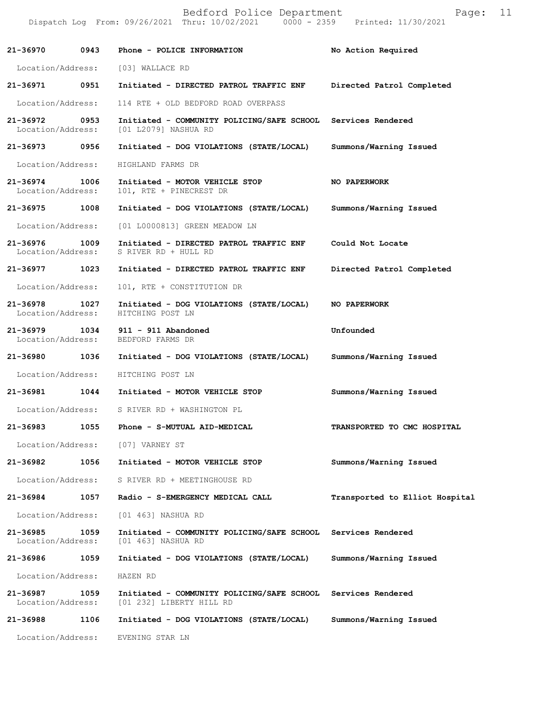|                                    |      | Dispatch Log From: 09/26/2021 Thru: 10/02/2021 0000 - 2359 Printed: 11/30/2021                         |                                |
|------------------------------------|------|--------------------------------------------------------------------------------------------------------|--------------------------------|
| 21-36970                           | 0943 | Phone - POLICE INFORMATION                                                                             | No Action Required             |
| Location/Address:                  |      | [03] WALLACE RD                                                                                        |                                |
| 21-36971 0951                      |      | Initiated - DIRECTED PATROL TRAFFIC ENF                                                                | Directed Patrol Completed      |
| Location/Address:                  |      | 114 RTE + OLD BEDFORD ROAD OVERPASS                                                                    |                                |
| 21-36972 0953                      |      | Initiated - COMMUNITY POLICING/SAFE SCHOOL Services Rendered<br>Location/Address: [01 L2079] NASHUA RD |                                |
| 21-36973                           | 0956 | Initiated - DOG VIOLATIONS (STATE/LOCAL)                                                               | Summons/Warning Issued         |
| Location/Address:                  |      | HIGHLAND FARMS DR                                                                                      |                                |
| 21-36974<br>Location/Address:      | 1006 | Initiated - MOTOR VEHICLE STOP<br>101, RTE + PINECREST DR                                              | NO PAPERWORK                   |
| 21-36975                           | 1008 | Initiated - DOG VIOLATIONS (STATE/LOCAL)                                                               | Summons/Warning Issued         |
| Location/Address:                  |      | [01 L0000813] GREEN MEADOW LN                                                                          |                                |
| 21-36976 1009<br>Location/Address: |      | Initiated - DIRECTED PATROL TRAFFIC ENF<br>S RIVER RD + HULL RD                                        | Could Not Locate               |
| 21-36977                           | 1023 | Initiated - DIRECTED PATROL TRAFFIC ENF                                                                | Directed Patrol Completed      |
| Location/Address:                  |      | 101, RTE + CONSTITUTION DR                                                                             |                                |
| 21-36978<br>Location/Address:      | 1027 | Initiated - DOG VIOLATIONS (STATE/LOCAL)<br>HITCHING POST LN                                           | <b>NO PAPERWORK</b>            |
| 21-36979 1034<br>Location/Address: |      | 911 - 911 Abandoned<br>BEDFORD FARMS DR                                                                | Unfounded                      |
| 21-36980                           | 1036 | Initiated - DOG VIOLATIONS (STATE/LOCAL)                                                               | Summons/Warning Issued         |
| Location/Address:                  |      | HITCHING POST LN                                                                                       |                                |
| 21-36981                           | 1044 | Initiated - MOTOR VEHICLE STOP                                                                         | Summons/Warning Issued         |
|                                    |      | Location/Address: S RIVER RD + WASHINGTON PL                                                           |                                |
| 21-36983                           | 1055 | Phone - S-MUTUAL AID-MEDICAL                                                                           | TRANSPORTED TO CMC HOSPITAL    |
| Location/Address:                  |      | [07] VARNEY ST                                                                                         |                                |
| 21-36982                           | 1056 | Initiated - MOTOR VEHICLE STOP                                                                         | Summons/Warning Issued         |
| Location/Address:                  |      | S RIVER RD + MEETINGHOUSE RD                                                                           |                                |
| 21-36984                           | 1057 | Radio - S-EMERGENCY MEDICAL CALL                                                                       | Transported to Elliot Hospital |
| Location/Address:                  |      | [01 463] NASHUA RD                                                                                     |                                |
| 21-36985<br>Location/Address:      | 1059 | Initiated - COMMUNITY POLICING/SAFE SCHOOL<br>[01 463] NASHUA RD                                       | Services Rendered              |
| 21-36986                           | 1059 | Initiated - DOG VIOLATIONS (STATE/LOCAL)                                                               | Summons/Warning Issued         |
| Location/Address:                  |      | HAZEN RD                                                                                               |                                |
| 21-36987<br>Location/Address:      | 1059 | Initiated - COMMUNITY POLICING/SAFE SCHOOL<br>[01 232] LIBERTY HILL RD                                 | Services Rendered              |
| 21-36988                           | 1106 | Initiated - DOG VIOLATIONS (STATE/LOCAL)                                                               | Summons/Warning Issued         |
| Location/Address:                  |      | EVENING STAR LN                                                                                        |                                |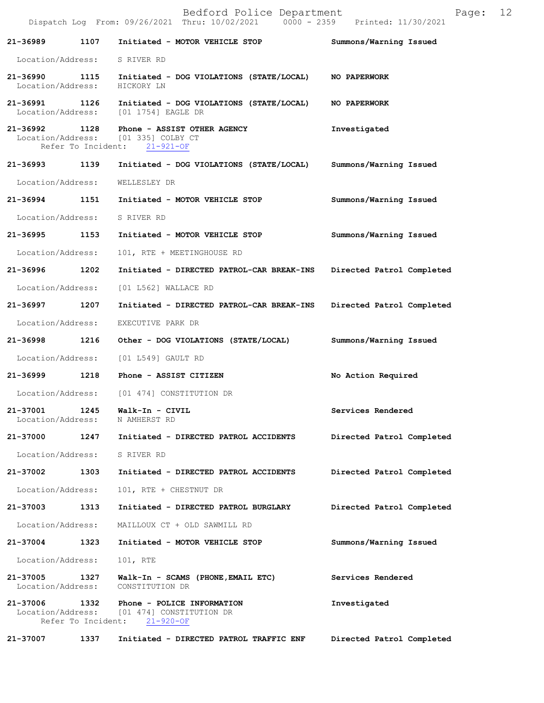|                                    |      | Bedford Police Department<br>Dispatch Log From: 09/26/2021 Thru: 10/02/2021 0000 - 2359 Printed: 11/30/2021 | Page:                     | 12 |
|------------------------------------|------|-------------------------------------------------------------------------------------------------------------|---------------------------|----|
| 21-36989                           | 1107 | Initiated - MOTOR VEHICLE STOP                                                                              | Summons/Warning Issued    |    |
| Location/Address:                  |      | S RIVER RD                                                                                                  |                           |    |
| 21-36990 1115<br>Location/Address: |      | Initiated - DOG VIOLATIONS (STATE/LOCAL)<br>HICKORY LN                                                      | NO PAPERWORK              |    |
| 21-36991 1126<br>Location/Address: |      | Initiated - DOG VIOLATIONS (STATE/LOCAL)<br>[01 1754] EAGLE DR                                              | <b>NO PAPERWORK</b>       |    |
| 21-36992                           | 1128 | Phone - ASSIST OTHER AGENCY<br>Location/Address: [01 335] COLBY CT<br>Refer To Incident: 21-921-OF          | Investigated              |    |
| 21-36993                           | 1139 | Initiated - DOG VIOLATIONS (STATE/LOCAL)                                                                    | Summons/Warning Issued    |    |
| Location/Address:                  |      | WELLESLEY DR                                                                                                |                           |    |
| 21-36994 1151                      |      | Initiated - MOTOR VEHICLE STOP                                                                              | Summons/Warning Issued    |    |
| Location/Address:                  |      | S RIVER RD                                                                                                  |                           |    |
| 21-36995                           | 1153 | Initiated - MOTOR VEHICLE STOP                                                                              | Summons/Warning Issued    |    |
| Location/Address:                  |      | 101, RTE + MEETINGHOUSE RD                                                                                  |                           |    |
| 21-36996                           | 1202 | Initiated - DIRECTED PATROL-CAR BREAK-INS                                                                   | Directed Patrol Completed |    |
| Location/Address:                  |      | [01 L562] WALLACE RD                                                                                        |                           |    |
| 21-36997                           | 1207 | Initiated - DIRECTED PATROL-CAR BREAK-INS                                                                   | Directed Patrol Completed |    |
| Location/Address:                  |      | EXECUTIVE PARK DR                                                                                           |                           |    |
| 21-36998                           | 1216 | Other - DOG VIOLATIONS (STATE/LOCAL)                                                                        | Summons/Warning Issued    |    |
| Location/Address:                  |      | [01 L549] GAULT RD                                                                                          |                           |    |
| 21-36999 21-3699                   | 1218 | Phone - ASSIST CITIZEN                                                                                      | No Action Required        |    |
|                                    |      | Location/Address: [01 474] CONSTITUTION DR                                                                  |                           |    |
| 21-37001<br>Location/Address:      | 1245 | Walk-In - CIVIL<br>N AMHERST RD                                                                             | Services Rendered         |    |
| 21-37000                           | 1247 | Initiated - DIRECTED PATROL ACCIDENTS                                                                       | Directed Patrol Completed |    |
| Location/Address:                  |      | S RIVER RD                                                                                                  |                           |    |
| 21-37002                           | 1303 | Initiated - DIRECTED PATROL ACCIDENTS                                                                       | Directed Patrol Completed |    |
| Location/Address:                  |      | 101, RTE + CHESTNUT DR                                                                                      |                           |    |
| 21-37003                           | 1313 | Initiated - DIRECTED PATROL BURGLARY                                                                        | Directed Patrol Completed |    |
| Location/Address:                  |      | MAILLOUX CT + OLD SAWMILL RD                                                                                |                           |    |
| 21-37004                           | 1323 | Initiated - MOTOR VEHICLE STOP                                                                              | Summons/Warning Issued    |    |
| Location/Address:                  |      | 101, RTE                                                                                                    |                           |    |
| 21-37005<br>Location/Address:      | 1327 | Walk-In - SCAMS (PHONE, EMAIL ETC)<br>CONSTITUTION DR                                                       | Services Rendered         |    |
| 21-37006<br>Location/Address:      | 1332 | Phone - POLICE INFORMATION<br>[01 474] CONSTITUTION DR<br>Refer To Incident: 21-920-OF                      | Investigated              |    |
| 21-37007                           | 1337 | Initiated - DIRECTED PATROL TRAFFIC ENF                                                                     | Directed Patrol Completed |    |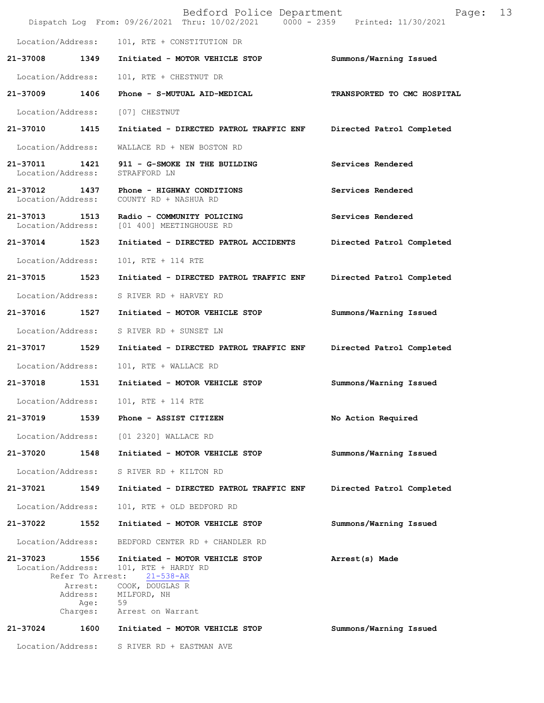|                                    |                                                                     | Bedford Police Department<br>Dispatch Log From: 09/26/2021 Thru: 10/02/2021 0000 - 2359 Printed: 11/30/2021                           | Page:                       | 13 |
|------------------------------------|---------------------------------------------------------------------|---------------------------------------------------------------------------------------------------------------------------------------|-----------------------------|----|
| Location/Address:                  |                                                                     | 101, RTE + CONSTITUTION DR                                                                                                            |                             |    |
| 21-37008                           | 1349                                                                | Initiated - MOTOR VEHICLE STOP                                                                                                        | Summons/Warning Issued      |    |
| Location/Address:                  |                                                                     | 101, RTE + CHESTNUT DR                                                                                                                |                             |    |
| 21-37009                           | 1406                                                                | Phone - S-MUTUAL AID-MEDICAL                                                                                                          | TRANSPORTED TO CMC HOSPITAL |    |
| Location/Address:                  |                                                                     | [07] CHESTNUT                                                                                                                         |                             |    |
| 21-37010 1415                      |                                                                     | Initiated - DIRECTED PATROL TRAFFIC ENF                                                                                               | Directed Patrol Completed   |    |
| Location/Address:                  |                                                                     | WALLACE RD + NEW BOSTON RD                                                                                                            |                             |    |
| 21-37011<br>Location/Address:      | 1421                                                                | 911 - G-SMOKE IN THE BUILDING<br>STRAFFORD LN                                                                                         | Services Rendered           |    |
| 21-37012 1437<br>Location/Address: |                                                                     | Phone - HIGHWAY CONDITIONS<br>COUNTY RD + NASHUA RD                                                                                   | Services Rendered           |    |
| 21-37013 1513<br>Location/Address: |                                                                     | Radio - COMMUNITY POLICING<br>[01 400] MEETINGHOUSE RD                                                                                | Services Rendered           |    |
| 21-37014                           | 1523                                                                | Initiated - DIRECTED PATROL ACCIDENTS                                                                                                 | Directed Patrol Completed   |    |
| Location/Address:                  |                                                                     | 101, RTE + 114 RTE                                                                                                                    |                             |    |
| 21-37015 1523                      |                                                                     | Initiated - DIRECTED PATROL TRAFFIC ENF                                                                                               | Directed Patrol Completed   |    |
| Location/Address:                  |                                                                     | S RIVER RD + HARVEY RD                                                                                                                |                             |    |
| 21-37016                           | 1527                                                                | Initiated - MOTOR VEHICLE STOP                                                                                                        | Summons/Warning Issued      |    |
| Location/Address:                  |                                                                     | S RIVER RD + SUNSET LN                                                                                                                |                             |    |
| 21-37017                           | 1529                                                                | Initiated - DIRECTED PATROL TRAFFIC ENF                                                                                               | Directed Patrol Completed   |    |
| Location/Address:                  |                                                                     | 101, RTE + WALLACE RD                                                                                                                 |                             |    |
| 21-37018                           | 1531                                                                | Initiated - MOTOR VEHICLE STOP                                                                                                        | Summons/Warning Issued      |    |
| Location/Address:                  |                                                                     | 101, RTE + 114 RTE                                                                                                                    |                             |    |
| 21-37019                           | 1539                                                                | Phone - ASSIST CITIZEN                                                                                                                | No Action Required          |    |
| Location/Address:                  |                                                                     | [01 2320] WALLACE RD                                                                                                                  |                             |    |
| 21-37020                           | 1548                                                                | Initiated - MOTOR VEHICLE STOP                                                                                                        | Summons/Warning Issued      |    |
| Location/Address:                  |                                                                     | S RIVER RD + KILTON RD                                                                                                                |                             |    |
| 21-37021                           | 1549                                                                | Initiated - DIRECTED PATROL TRAFFIC ENF                                                                                               | Directed Patrol Completed   |    |
| Location/Address:                  |                                                                     | 101, RTE + OLD BEDFORD RD                                                                                                             |                             |    |
| 21-37022                           | 1552                                                                | Initiated - MOTOR VEHICLE STOP                                                                                                        | Summons/Warning Issued      |    |
| Location/Address:                  |                                                                     | BEDFORD CENTER RD + CHANDLER RD                                                                                                       |                             |    |
| 21-37023<br>Location/Address:      | 1556<br>Refer To Arrest:<br>Arrest:<br>Address:<br>Age:<br>Charges: | Initiated - MOTOR VEHICLE STOP<br>101, RTE + HARDY RD<br>$21 - 538 - AR$<br>COOK, DOUGLAS R<br>MILFORD, NH<br>59<br>Arrest on Warrant | Arrest(s) Made              |    |
| 21-37024                           | 1600                                                                | Initiated - MOTOR VEHICLE STOP                                                                                                        | Summons/Warning Issued      |    |
|                                    |                                                                     | Location/Address: S RIVER RD + EASTMAN AVE                                                                                            |                             |    |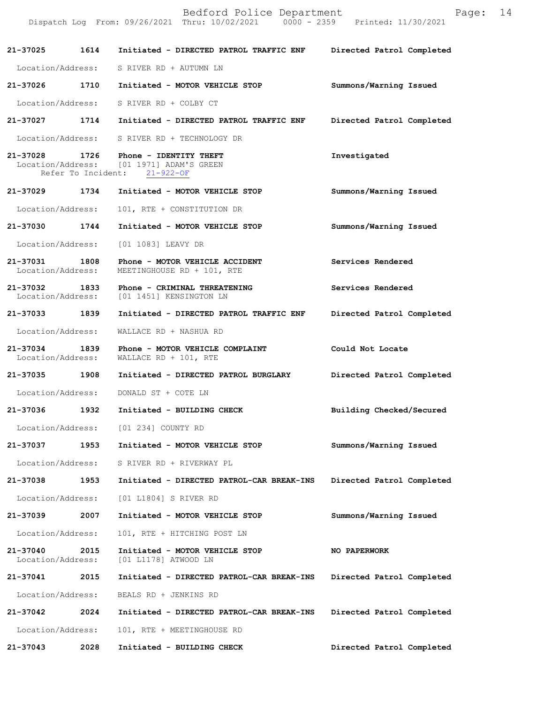Bedford Police Department Form Page: 14 Dispatch Log From: 09/26/2021 Thru: 10/02/2021 0000 - 2359 Printed: 11/30/2021 **21-37025 1614 Initiated - DIRECTED PATROL TRAFFIC ENF Directed Patrol Completed**  Location/Address: S RIVER RD + AUTUMN LN **21-37026 1710 Initiated - MOTOR VEHICLE STOP Summons/Warning Issued**  Location/Address: S RIVER RD + COLBY CT **21-37027 1714 Initiated - DIRECTED PATROL TRAFFIC ENF Directed Patrol Completed**  Location/Address: S RIVER RD + TECHNOLOGY DR **21-37028 1726 Phone - IDENTITY THEFT Investigated**  Location/Address: [01 1971] ADAM'S GREEN Refer To Incident: 21-922-OF **21-37029 1734 Initiated - MOTOR VEHICLE STOP Summons/Warning Issued**  Location/Address: 101, RTE + CONSTITUTION DR **21-37030 1744 Initiated - MOTOR VEHICLE STOP Summons/Warning Issued**  Location/Address: [01 1083] LEAVY DR **21-37031 1808 Phone - MOTOR VEHICLE ACCIDENT Services Rendered**  Location/Address: MEETINGHOUSE RD + 101, RTE **21-37032 1833 Phone - CRIMINAL THREATENING Services Rendered**  Location/Address: [01 1451] KENSINGTON LN **21-37033 1839 Initiated - DIRECTED PATROL TRAFFIC ENF Directed Patrol Completed**  Location/Address: WALLACE RD + NASHUA RD **21-37034 1839 Phone - MOTOR VEHICLE COMPLAINT Could Not Locate**  Location/Address: WALLACE RD + 101, RTE **21-37035 1908 Initiated - DIRECTED PATROL BURGLARY Directed Patrol Completed**  Location/Address: DONALD ST + COTE LN **21-37036 1932 Initiated - BUILDING CHECK Building Checked/Secured**  Location/Address: [01 234] COUNTY RD **21-37037 1953 Initiated - MOTOR VEHICLE STOP Summons/Warning Issued**  Location/Address: S RIVER RD + RIVERWAY PL **21-37038 1953 Initiated - DIRECTED PATROL-CAR BREAK-INS Directed Patrol Completed**  Location/Address: [01 L1804] S RIVER RD **21-37039 2007 Initiated - MOTOR VEHICLE STOP Summons/Warning Issued**  Location/Address: 101, RTE + HITCHING POST LN **21-37040 2015 Initiated - MOTOR VEHICLE STOP NO PAPERWORK**  Location/Address: [01 L1178] ATWOOD LN **21-37041 2015 Initiated - DIRECTED PATROL-CAR BREAK-INS Directed Patrol Completed**  Location/Address: BEALS RD + JENKINS RD **21-37042 2024 Initiated - DIRECTED PATROL-CAR BREAK-INS Directed Patrol Completed**  Location/Address: 101, RTE + MEETINGHOUSE RD **21-37043 2028 Initiated - BUILDING CHECK Directed Patrol Completed**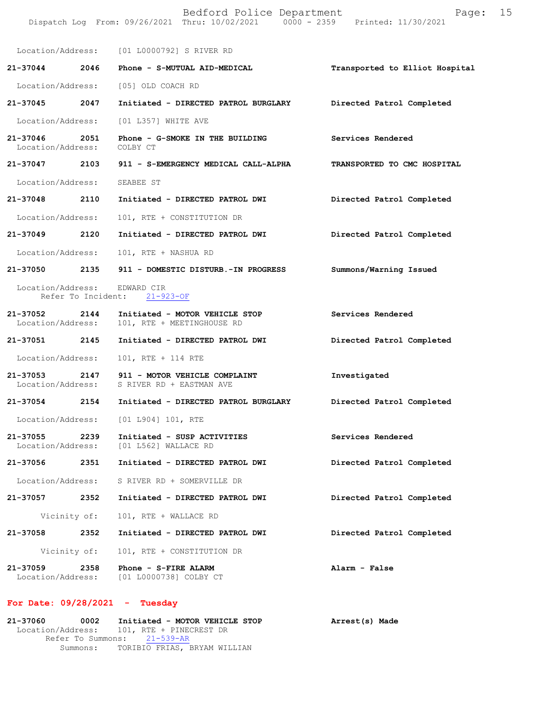|                                         |      | Bedford Police Department<br>Dispatch Log From: 09/26/2021 Thru: 10/02/2021 0000 - 2359 Printed: 11/30/2021 | 15<br>Page:                    |
|-----------------------------------------|------|-------------------------------------------------------------------------------------------------------------|--------------------------------|
|                                         |      | Location/Address: [01 L0000792] S RIVER RD                                                                  |                                |
| 21-37044 2046                           |      | Phone - S-MUTUAL AID-MEDICAL                                                                                | Transported to Elliot Hospital |
|                                         |      | Location/Address: [05] OLD COACH RD                                                                         |                                |
| 21–37045 2047                           |      | Initiated - DIRECTED PATROL BURGLARY                                                                        | Directed Patrol Completed      |
| Location/Address:                       |      | [01 L357] WHITE AVE                                                                                         |                                |
| 21-37046<br>Location/Address:           | 2051 | Phone - G-SMOKE IN THE BUILDING<br>COLBY CT                                                                 | Services Rendered              |
| 21-37047 2103                           |      | 911 - S-EMERGENCY MEDICAL CALL-ALPHA                                                                        | TRANSPORTED TO CMC HOSPITAL    |
| Location/Address:                       |      | SEABEE ST                                                                                                   |                                |
| 21-37048 2110                           |      | Initiated - DIRECTED PATROL DWI                                                                             | Directed Patrol Completed      |
| Location/Address:                       |      | 101, RTE + CONSTITUTION DR                                                                                  |                                |
| 21-37049                                | 2120 | Initiated - DIRECTED PATROL DWI                                                                             | Directed Patrol Completed      |
| Location/Address:                       |      | 101, RTE + NASHUA RD                                                                                        |                                |
| 21-37050                                | 2135 | 911 - DOMESTIC DISTURB.-IN PROGRESS                                                                         | Summons/Warning Issued         |
| Location/Address:<br>Refer To Incident: |      | EDWARD CIR<br>$21 - 923 - OF$                                                                               |                                |
| 21-37052<br>Location/Address:           | 2144 | Initiated - MOTOR VEHICLE STOP<br>101, RTE + MEETINGHOUSE RD                                                | Services Rendered              |
| 21-37051 2145                           |      | Initiated - DIRECTED PATROL DWI                                                                             | Directed Patrol Completed      |
| Location/Address:                       |      | 101, RTE + 114 RTE                                                                                          |                                |
|                                         |      | 21-37053 2147 911 - MOTOR VEHICLE COMPLAINT<br>Location/Address: S RIVER RD + EASTMAN AVE                   | Investigated                   |
| 21-37054                                | 2154 | Initiated - DIRECTED PATROL BURGLARY                                                                        | Directed Patrol Completed      |
|                                         |      | Location/Address: [01 L904] 101, RTE                                                                        |                                |
| 21-37055<br>Location/Address:           | 2239 | Initiated - SUSP ACTIVITIES<br>[01 L562] WALLACE RD                                                         | Services Rendered              |
| 21-37056 2351                           |      | Initiated - DIRECTED PATROL DWI                                                                             | Directed Patrol Completed      |
| Location/Address:                       |      | S RIVER RD + SOMERVILLE DR                                                                                  |                                |
| 21-37057                                | 2352 | Initiated - DIRECTED PATROL DWI                                                                             | Directed Patrol Completed      |
| Vicinity of:                            |      | 101, RTE + WALLACE RD                                                                                       |                                |
|                                         |      | 21-37058 2352 Initiated - DIRECTED PATROL DWI                                                               | Directed Patrol Completed      |
| Vicinity of:                            |      | 101, RTE + CONSTITUTION DR                                                                                  |                                |
| 21-37059<br>Location/Address:           | 2358 | Phone - S-FIRE ALARM<br>[01 L0000738] COLBY CT                                                              | Alarm - False                  |

## **For Date: 09/28/2021 - Tuesday**

| 21-37060 | 0002 | Initiated - MOTOR VEHICLE STOP            | Arrest(s) Made |  |
|----------|------|-------------------------------------------|----------------|--|
|          |      | Location/Address: 101, RTE + PINECREST DR |                |  |
|          |      | Refer To Summons: 21-539-AR               |                |  |
|          |      | Summons: TORIBIO FRIAS, BRYAM WILLIAN     |                |  |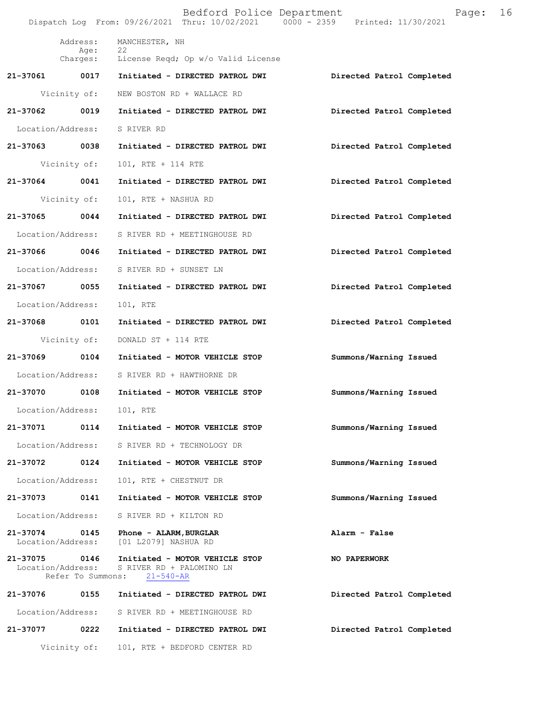|                                    |                   | Bedford Police Department<br>Dispatch Log From: 09/26/2021 Thru: 10/02/2021 0000 - 2359 Printed: 11/30/2021 | Page:                     | 16 |
|------------------------------------|-------------------|-------------------------------------------------------------------------------------------------------------|---------------------------|----|
|                                    | Address:          | MANCHESTER, NH                                                                                              |                           |    |
|                                    | Age:              | 22<br>Charges: License Reqd; Op w/o Valid License                                                           |                           |    |
| 21-37061 0017                      |                   | Initiated - DIRECTED PATROL DWI                                                                             | Directed Patrol Completed |    |
|                                    | Vicinity of:      | NEW BOSTON RD + WALLACE RD                                                                                  |                           |    |
| 21-37062 0019                      |                   | Initiated - DIRECTED PATROL DWI                                                                             | Directed Patrol Completed |    |
| Location/Address:                  |                   | S RIVER RD                                                                                                  |                           |    |
| 21-37063 0038                      |                   | Initiated - DIRECTED PATROL DWI                                                                             | Directed Patrol Completed |    |
|                                    | Vicinity of:      | 101, RTE + 114 RTE                                                                                          |                           |    |
| 21-37064 0041                      |                   | Initiated - DIRECTED PATROL DWI                                                                             | Directed Patrol Completed |    |
|                                    | Vicinity of:      | 101, RTE + NASHUA RD                                                                                        |                           |    |
| 21-37065 0044                      |                   | Initiated - DIRECTED PATROL DWI                                                                             | Directed Patrol Completed |    |
| Location/Address:                  |                   | S RIVER RD + MEETINGHOUSE RD                                                                                |                           |    |
| 21-37066                           | 0046              | Initiated - DIRECTED PATROL DWI                                                                             | Directed Patrol Completed |    |
| Location/Address:                  |                   | S RIVER RD + SUNSET LN                                                                                      |                           |    |
| 21-37067 0055                      |                   | Initiated - DIRECTED PATROL DWI                                                                             | Directed Patrol Completed |    |
| Location/Address:                  |                   | 101, RTE                                                                                                    |                           |    |
| 21-37068 0101                      |                   | Initiated - DIRECTED PATROL DWI                                                                             | Directed Patrol Completed |    |
|                                    | Vicinity of:      | DONALD ST + 114 RTE                                                                                         |                           |    |
| 21-37069 0104                      |                   | Initiated - MOTOR VEHICLE STOP                                                                              | Summons/Warning Issued    |    |
| Location/Address:                  |                   | S RIVER RD + HAWTHORNE DR                                                                                   |                           |    |
| 21-37070                           | 0108              | Initiated - MOTOR VEHICLE STOP                                                                              | Summons/Warning Issued    |    |
| Location/Address:                  |                   | 101, RTE                                                                                                    |                           |    |
| 21-37071                           | 0114              | Initiated - MOTOR VEHICLE STOP                                                                              | Summons/Warning Issued    |    |
| Location/Address:                  |                   | S RIVER RD + TECHNOLOGY DR                                                                                  |                           |    |
| 21-37072                           | 0124              | Initiated - MOTOR VEHICLE STOP                                                                              | Summons/Warning Issued    |    |
| Location/Address:                  |                   | 101, RTE + CHESTNUT DR                                                                                      |                           |    |
| 21-37073                           | 0141              | Initiated - MOTOR VEHICLE STOP                                                                              | Summons/Warning Issued    |    |
| Location/Address:                  |                   | S RIVER RD + KILTON RD                                                                                      |                           |    |
| 21-37074<br>Location/Address:      | 0145              | Phone - ALARM, BURGLAR<br>[01 L2079] NASHUA RD                                                              | Alarm - False             |    |
| 21-37075 0146<br>Location/Address: | Refer To Summons: | Initiated - MOTOR VEHICLE STOP<br>S RIVER RD + PALOMINO LN<br>$21 - 540 - AR$                               | NO PAPERWORK              |    |
| 21-37076                           | 0155              | Initiated - DIRECTED PATROL DWI                                                                             | Directed Patrol Completed |    |
| Location/Address:                  |                   | S RIVER RD + MEETINGHOUSE RD                                                                                |                           |    |
| 21-37077                           | 0222              | Initiated - DIRECTED PATROL DWI                                                                             | Directed Patrol Completed |    |
|                                    | Vicinity of:      | 101, RTE + BEDFORD CENTER RD                                                                                |                           |    |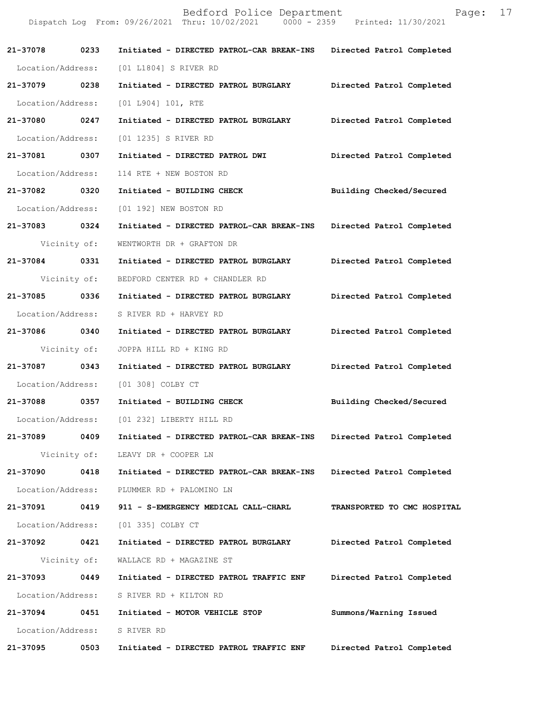|                              |              | Bedford Police Department<br>Dispatch Log From: 09/26/2021 Thru: 10/02/2021 0000 - 2359 Printed: 11/30/2021 | Page:                       | 17 |
|------------------------------|--------------|-------------------------------------------------------------------------------------------------------------|-----------------------------|----|
| 21-37078 0233                |              | Initiated - DIRECTED PATROL-CAR BREAK-INS Directed Patrol Completed                                         |                             |    |
| Location/Address:            |              | [01 L1804] S RIVER RD                                                                                       |                             |    |
| 21-37079 0238                |              | Initiated - DIRECTED PATROL BURGLARY Directed Patrol Completed                                              |                             |    |
| Location/Address:            |              | [01 L904] 101, RTE                                                                                          |                             |    |
| 21-37080 0247                |              | Initiated - DIRECTED PATROL BURGLARY                                                                        | Directed Patrol Completed   |    |
| Location/Address:            |              | [01 1235] S RIVER RD                                                                                        |                             |    |
| 21-37081 0307                |              | Initiated - DIRECTED PATROL DWI                                                                             | Directed Patrol Completed   |    |
| Location/Address:            |              | 114 RTE + NEW BOSTON RD                                                                                     |                             |    |
| 21-37082 0320                |              | Initiated - BUILDING CHECK                                                                                  | Building Checked/Secured    |    |
| Location/Address:            |              | [01 192] NEW BOSTON RD                                                                                      |                             |    |
| 21-37083 0324                |              | Initiated - DIRECTED PATROL-CAR BREAK-INS                                                                   | Directed Patrol Completed   |    |
|                              | Vicinity of: | WENTWORTH DR + GRAFTON DR                                                                                   |                             |    |
| 21-37084 0331                |              | Initiated - DIRECTED PATROL BURGLARY                                                                        | Directed Patrol Completed   |    |
|                              | Vicinity of: | BEDFORD CENTER RD + CHANDLER RD                                                                             |                             |    |
| 21-37085 0336                |              | Initiated - DIRECTED PATROL BURGLARY                                                                        | Directed Patrol Completed   |    |
| Location/Address:            |              | S RIVER RD + HARVEY RD                                                                                      |                             |    |
| 21-37086 0340                |              | Initiated - DIRECTED PATROL BURGLARY                                                                        | Directed Patrol Completed   |    |
|                              | Vicinity of: | JOPPA HILL RD + KING RD                                                                                     |                             |    |
| 21-37087 0343                |              | Initiated - DIRECTED PATROL BURGLARY                                                                        | Directed Patrol Completed   |    |
|                              |              | Location/Address: [01 308] COLBY CT                                                                         |                             |    |
| 21-37088                     | 0357         | Initiated - BUILDING CHECK                                                                                  | Building Checked/Secured    |    |
|                              |              | Location/Address: [01 232] LIBERTY HILL RD                                                                  |                             |    |
|                              |              | 21-37089 0409 Initiated - DIRECTED PATROL-CAR BREAK-INS Directed Patrol Completed                           |                             |    |
|                              |              | Vicinity of: LEAVY DR + COOPER LN                                                                           |                             |    |
| 21-37090                     | 0418         | Initiated - DIRECTED PATROL-CAR BREAK-INS                                                                   | Directed Patrol Completed   |    |
|                              |              | Location/Address: PLUMMER RD + PALOMINO LN                                                                  |                             |    |
| 21-37091 0419                |              | 911 - S-EMERGENCY MEDICAL CALL-CHARL                                                                        | TRANSPORTED TO CMC HOSPITAL |    |
|                              |              | Location/Address: [01 335] COLBY CT                                                                         |                             |    |
| 21-37092 0421                |              | Initiated - DIRECTED PATROL BURGLARY                                                                        | Directed Patrol Completed   |    |
|                              | Vicinity of: | WALLACE RD + MAGAZINE ST                                                                                    |                             |    |
| 21-37093                     | 0449         | Initiated - DIRECTED PATROL TRAFFIC ENF                                                                     | Directed Patrol Completed   |    |
|                              |              | Location/Address: S RIVER RD + KILTON RD                                                                    |                             |    |
|                              |              | 21-37094 0451 Initiated - MOTOR VEHICLE STOP                                                                | Summons/Warning Issued      |    |
| Location/Address: S RIVER RD |              |                                                                                                             |                             |    |
| 21-37095                     | 0503         | Initiated - DIRECTED PATROL TRAFFIC ENF                                                                     | Directed Patrol Completed   |    |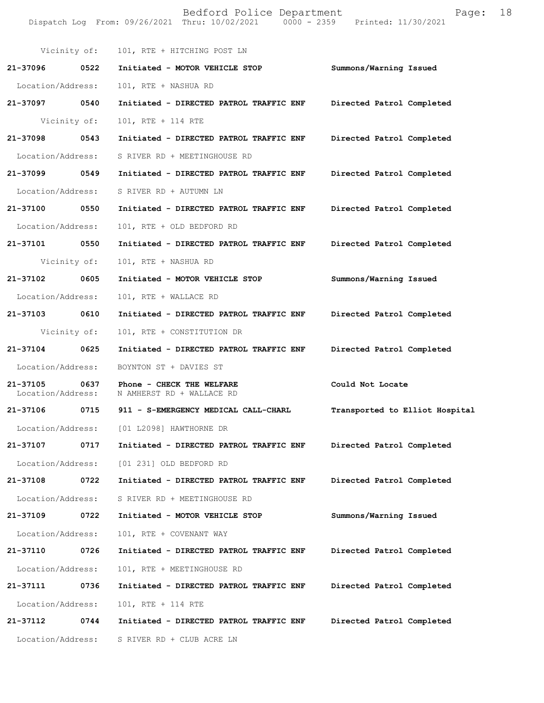|                               |              | Dispatch Log From: 09/26/2021 Thru: 10/02/2021 0000 - 2359 Printed: 11/30/2021 |                                |
|-------------------------------|--------------|--------------------------------------------------------------------------------|--------------------------------|
|                               |              | Vicinity of: 101, RTE + HITCHING POST LN                                       |                                |
| 21-37096 0522                 |              | Initiated - MOTOR VEHICLE STOP                                                 | Summons/Warning Issued         |
| Location/Address:             |              | 101, RTE + NASHUA RD                                                           |                                |
| 21-37097 0540                 |              | Initiated - DIRECTED PATROL TRAFFIC ENF                                        | Directed Patrol Completed      |
|                               | Vicinity of: | 101, RTE + 114 RTE                                                             |                                |
| 21-37098                      | 0543         | Initiated - DIRECTED PATROL TRAFFIC ENF                                        | Directed Patrol Completed      |
| Location/Address:             |              | S RIVER RD + MEETINGHOUSE RD                                                   |                                |
| 21-37099 0549                 |              | Initiated - DIRECTED PATROL TRAFFIC ENF                                        | Directed Patrol Completed      |
| Location/Address:             |              | S RIVER RD + AUTUMN LN                                                         |                                |
| 21-37100 0550                 |              | Initiated - DIRECTED PATROL TRAFFIC ENF                                        | Directed Patrol Completed      |
| Location/Address:             |              | 101, RTE + OLD BEDFORD RD                                                      |                                |
| 21-37101 0550                 |              | Initiated - DIRECTED PATROL TRAFFIC ENF                                        | Directed Patrol Completed      |
|                               | Vicinity of: | 101, RTE + NASHUA RD                                                           |                                |
| 21-37102 0605                 |              | Initiated - MOTOR VEHICLE STOP                                                 | Summons/Warning Issued         |
| Location/Address:             |              | 101, RTE + WALLACE RD                                                          |                                |
| 21-37103 0610                 |              | Initiated - DIRECTED PATROL TRAFFIC ENF                                        | Directed Patrol Completed      |
|                               | Vicinity of: | 101, RTE + CONSTITUTION DR                                                     |                                |
| 21-37104                      | 0625         | Initiated - DIRECTED PATROL TRAFFIC ENF                                        | Directed Patrol Completed      |
| Location/Address:             |              | BOYNTON ST + DAVIES ST                                                         |                                |
| 21-37105<br>Location/Address: | 0637         | Phone - CHECK THE WELFARE<br>N AMHERST RD + WALLACE RD                         | Could Not Locate               |
| 21-37106                      | 0715         | 911 - S-EMERGENCY MEDICAL CALL-CHARL                                           | Transported to Elliot Hospital |
|                               |              | Location/Address: [01 L2098] HAWTHORNE DR                                      |                                |
| 21-37107                      | 0717         | Initiated - DIRECTED PATROL TRAFFIC ENF                                        | Directed Patrol Completed      |
| Location/Address:             |              | [01 231] OLD BEDFORD RD                                                        |                                |
| 21-37108                      | 0722         | Initiated - DIRECTED PATROL TRAFFIC ENF                                        | Directed Patrol Completed      |
| Location/Address:             |              | S RIVER RD + MEETINGHOUSE RD                                                   |                                |
| 21-37109                      | 0722         | Initiated - MOTOR VEHICLE STOP                                                 | Summons/Warning Issued         |
| Location/Address:             |              | 101, RTE + COVENANT WAY                                                        |                                |
| 21-37110                      | 0726         | Initiated - DIRECTED PATROL TRAFFIC ENF                                        | Directed Patrol Completed      |
| Location/Address:             |              | 101, RTE + MEETINGHOUSE RD                                                     |                                |
| 21-37111                      | 0736         | Initiated - DIRECTED PATROL TRAFFIC ENF                                        | Directed Patrol Completed      |
| Location/Address:             |              | 101, RTE + 114 RTE                                                             |                                |
| 21-37112                      | 0744         | Initiated - DIRECTED PATROL TRAFFIC ENF                                        | Directed Patrol Completed      |
| Location/Address:             |              | S RIVER RD + CLUB ACRE LN                                                      |                                |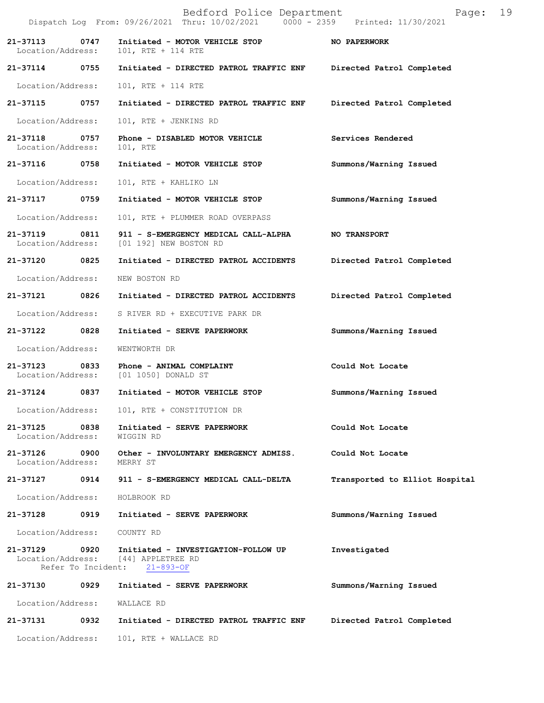|                               |                            | Bedford Police Department<br>Dispatch Log From: 09/26/2021 Thru: 10/02/2021 0000 - 2359 Printed: 11/30/2021 | 19<br>Page:                    |
|-------------------------------|----------------------------|-------------------------------------------------------------------------------------------------------------|--------------------------------|
| 21-37113<br>Location/Address: | 0747                       | Initiated - MOTOR VEHICLE STOP<br>101, RTE + 114 RTE                                                        | NO PAPERWORK                   |
| 21-37114                      | 0755                       | Initiated - DIRECTED PATROL TRAFFIC ENF                                                                     | Directed Patrol Completed      |
| Location/Address:             |                            | 101, RTE + 114 RTE                                                                                          |                                |
| 21-37115                      | 0757                       | Initiated - DIRECTED PATROL TRAFFIC ENF                                                                     | Directed Patrol Completed      |
| Location/Address:             |                            | 101, RTE + JENKINS RD                                                                                       |                                |
| 21-37118<br>Location/Address: | 0757                       | Phone - DISABLED MOTOR VEHICLE<br>101, RTE                                                                  | Services Rendered              |
| 21-37116                      | 0758                       | Initiated - MOTOR VEHICLE STOP                                                                              | Summons/Warning Issued         |
| Location/Address:             |                            | 101, RTE + KAHLIKO LN                                                                                       |                                |
| 21-37117                      | 0759                       | Initiated - MOTOR VEHICLE STOP                                                                              | Summons/Warning Issued         |
| Location/Address:             |                            | 101, RTE + PLUMMER ROAD OVERPASS                                                                            |                                |
| 21-37119<br>Location/Address: | 0811                       | 911 - S-EMERGENCY MEDICAL CALL-ALPHA<br>[01 192] NEW BOSTON RD                                              | <b>NO TRANSPORT</b>            |
| 21-37120                      | 0825                       | Initiated - DIRECTED PATROL ACCIDENTS                                                                       | Directed Patrol Completed      |
| Location/Address:             |                            | NEW BOSTON RD                                                                                               |                                |
| 21-37121                      | 0826                       | Initiated - DIRECTED PATROL ACCIDENTS                                                                       | Directed Patrol Completed      |
| Location/Address:             |                            | S RIVER RD + EXECUTIVE PARK DR                                                                              |                                |
| 21-37122                      | 0828                       | Initiated - SERVE PAPERWORK                                                                                 | Summons/Warning Issued         |
| Location/Address:             |                            | WENTWORTH DR                                                                                                |                                |
| 21-37123<br>Location/Address: | 0833                       | Phone - ANIMAL COMPLAINT<br>[01 1050] DONALD ST                                                             | Could Not Locate               |
| 21-37124                      | 0837                       | Initiated - MOTOR VEHICLE STOP                                                                              | Summons/Warning Issued         |
| Location/Address:             |                            | 101, RTE + CONSTITUTION DR                                                                                  |                                |
| 21-37125<br>Location/Address: | 0838                       | Initiated - SERVE PAPERWORK<br>WIGGIN RD                                                                    | Could Not Locate               |
| 21-37126<br>Location/Address: | 0900                       | Other - INVOLUNTARY EMERGENCY ADMISS.<br>MERRY ST                                                           | Could Not Locate               |
| 21-37127                      | 0914                       | 911 - S-EMERGENCY MEDICAL CALL-DELTA                                                                        | Transported to Elliot Hospital |
| Location/Address:             |                            | HOLBROOK RD                                                                                                 |                                |
| 21-37128                      | 0919                       | Initiated - SERVE PAPERWORK                                                                                 | Summons/Warning Issued         |
| Location/Address:             |                            | COUNTY RD                                                                                                   |                                |
| 21-37129<br>Location/Address: | 0920<br>Refer To Incident: | Initiated - INVESTIGATION-FOLLOW UP<br>[44] APPLETREE RD<br>$21 - 893 - OF$                                 | Investigated                   |
| 21-37130                      | 0929                       | Initiated - SERVE PAPERWORK                                                                                 | Summons/Warning Issued         |
| Location/Address:             |                            | WALLACE RD                                                                                                  |                                |
| 21-37131                      | 0932                       | Initiated - DIRECTED PATROL TRAFFIC ENF                                                                     | Directed Patrol Completed      |
| Location/Address:             |                            | 101, RTE + WALLACE RD                                                                                       |                                |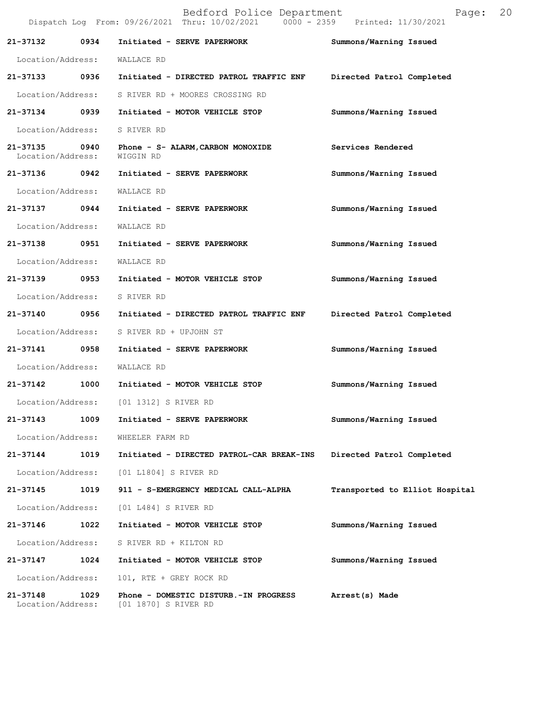|                               |      | Bedford Police Department<br>Dispatch Log From: 09/26/2021 Thru: 10/02/2021 0000 - 2359 Printed: 11/30/2021 | Page:                          | 20 |
|-------------------------------|------|-------------------------------------------------------------------------------------------------------------|--------------------------------|----|
| 21-37132                      | 0934 | Initiated - SERVE PAPERWORK                                                                                 | Summons/Warning Issued         |    |
| Location/Address:             |      | WALLACE RD                                                                                                  |                                |    |
| 21-37133 0936                 |      | Initiated - DIRECTED PATROL TRAFFIC ENF                                                                     | Directed Patrol Completed      |    |
|                               |      | Location/Address: S RIVER RD + MOORES CROSSING RD                                                           |                                |    |
| 21-37134 0939                 |      | Initiated - MOTOR VEHICLE STOP                                                                              | Summons/Warning Issued         |    |
| Location/Address: S RIVER RD  |      |                                                                                                             |                                |    |
| Location/Address:             |      | 21-37135 0940 Phone - S- ALARM, CARBON MONOXIDE<br>WIGGIN RD                                                | Services Rendered              |    |
| 21-37136 0942                 |      | Initiated - SERVE PAPERWORK                                                                                 | Summons/Warning Issued         |    |
| Location/Address:             |      | WALLACE RD                                                                                                  |                                |    |
| 21-37137                      | 0944 | Initiated - SERVE PAPERWORK                                                                                 | Summons/Warning Issued         |    |
| Location/Address:             |      | WALLACE RD                                                                                                  |                                |    |
|                               |      | 21-37138 0951 Initiated - SERVE PAPERWORK                                                                   | Summons/Warning Issued         |    |
| Location/Address:             |      | WALLACE RD                                                                                                  |                                |    |
| 21-37139 0953                 |      | Initiated - MOTOR VEHICLE STOP                                                                              | Summons/Warning Issued         |    |
| Location/Address:             |      | S RIVER RD                                                                                                  |                                |    |
| 21-37140                      | 0956 | Initiated - DIRECTED PATROL TRAFFIC ENF                                                                     | Directed Patrol Completed      |    |
| Location/Address:             |      | S RIVER RD + UPJOHN ST                                                                                      |                                |    |
| 21-37141 0958                 |      | Initiated - SERVE PAPERWORK                                                                                 | Summons/Warning Issued         |    |
| Location/Address: WALLACE RD  |      |                                                                                                             |                                |    |
|                               |      | 21-37142 1000 Initiated - MOTOR VEHICLE STOP                                                                | Summons/Warning Issued         |    |
|                               |      | Location/Address: [01 1312] S RIVER RD                                                                      |                                |    |
| 21-37143                      | 1009 | Initiated - SERVE PAPERWORK                                                                                 | Summons/Warning Issued         |    |
| Location/Address:             |      | WHEELER FARM RD                                                                                             |                                |    |
| 21-37144                      | 1019 | Initiated - DIRECTED PATROL-CAR BREAK-INS                                                                   | Directed Patrol Completed      |    |
| Location/Address:             |      | [01 L1804] S RIVER RD                                                                                       |                                |    |
| 21-37145                      | 1019 | 911 - S-EMERGENCY MEDICAL CALL-ALPHA                                                                        | Transported to Elliot Hospital |    |
| Location/Address:             |      | [01 L484] S RIVER RD                                                                                        |                                |    |
| 21-37146                      | 1022 | Initiated - MOTOR VEHICLE STOP                                                                              | Summons/Warning Issued         |    |
| Location/Address:             |      | S RIVER RD + KILTON RD                                                                                      |                                |    |
| 21-37147                      | 1024 | Initiated - MOTOR VEHICLE STOP                                                                              | Summons/Warning Issued         |    |
| Location/Address:             |      | 101, RTE + GREY ROCK RD                                                                                     |                                |    |
| 21-37148<br>Location/Address: | 1029 | Phone - DOMESTIC DISTURB.-IN PROGRESS<br>[01 1870] S RIVER RD                                               | Arrest(s) Made                 |    |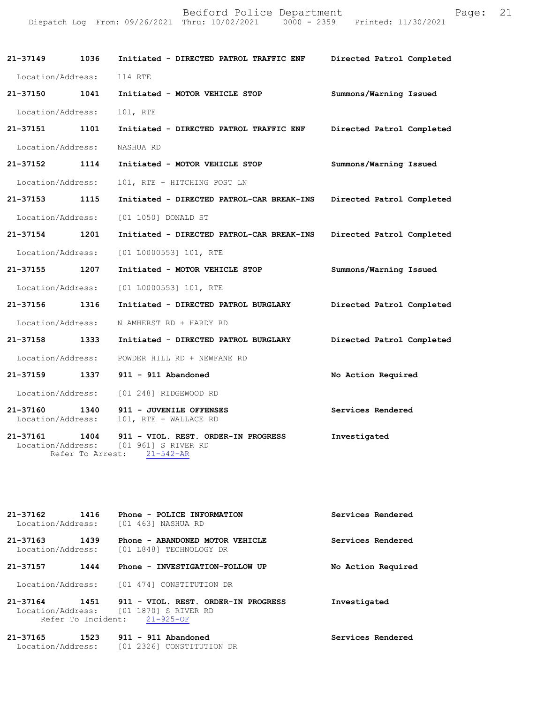| rage |
|------|
|      |

| 21-37149 1036             | Initiated - DIRECTED PATROL TRAFFIC ENF                                                                                  | Directed Patrol Completed |
|---------------------------|--------------------------------------------------------------------------------------------------------------------------|---------------------------|
| Location/Address: 114 RTE |                                                                                                                          |                           |
| 21-37150 1041             | Initiated - MOTOR VEHICLE STOP                                                                                           | Summons/Warning Issued    |
| Location/Address:         | 101, RTE                                                                                                                 |                           |
| 21-37151 1101             | Initiated - DIRECTED PATROL TRAFFIC ENF Directed Patrol Completed                                                        |                           |
| Location/Address:         | NASHUA RD                                                                                                                |                           |
| 21-37152 1114             | Initiated - MOTOR VEHICLE STOP                                                                                           | Summons/Warning Issued    |
| Location/Address:         | 101, RTE + HITCHING POST LN                                                                                              |                           |
| 21-37153 1115             | Initiated - DIRECTED PATROL-CAR BREAK-INS Directed Patrol Completed                                                      |                           |
|                           | Location/Address: [01 1050] DONALD ST                                                                                    |                           |
| 21-37154 1201             | Initiated - DIRECTED PATROL-CAR BREAK-INS                                                                                | Directed Patrol Completed |
|                           | Location/Address: [01 L0000553] 101, RTE                                                                                 |                           |
| 21-37155 1207             | Initiated - MOTOR VEHICLE STOP                                                                                           | Summons/Warning Issued    |
|                           | Location/Address: [01 L0000553] 101, RTE                                                                                 |                           |
| 21-37156 1316             | Initiated - DIRECTED PATROL BURGLARY Directed Patrol Completed                                                           |                           |
| Location/Address:         | N AMHERST RD + HARDY RD                                                                                                  |                           |
|                           | 21-37158 1333 Initiated - DIRECTED PATROL BURGLARY                                                                       | Directed Patrol Completed |
|                           | Location/Address: POWDER HILL RD + NEWFANE RD                                                                            |                           |
|                           | 21-37159 1337 911 - 911 Abandoned                                                                                        | No Action Required        |
|                           | Location/Address: [01 248] RIDGEWOOD RD                                                                                  |                           |
| 21-37160                  | 1340 911 - JUVENILE OFFENSES<br>Location/Address: 101, RTE + WALLACE RD                                                  | Services Rendered         |
|                           | 21-37161 1404 911 - VIOL. REST. ORDER-IN PROGRESS<br>Location/Address: [01 961] S RIVER RD<br>Refer To Arrest: 21-542-AR | Investigated              |

**21-37162 1416 Phone - POLICE INFORMATION Services Rendered**  Location/Address: [01 463] NASHUA RD **21-37163 1439 Phone - ABANDONED MOTOR VEHICLE Services Rendered**  Location/Address: [01 L848] TECHNOLOGY DR **21-37157 1444 Phone - INVESTIGATION-FOLLOW UP No Action Required**  Location/Address: [01 474] CONSTITUTION DR **21-37164 1451 911 - VIOL. REST. ORDER-IN PROGRESS Investigated**  Location/Address: [01 1870] S RIVER RD Refer To Incident: 21-925-OF **21-37165 1523 911 - 911 Abandoned Services Rendered** 

Location/Address: [01 2326] CONSTITUTION DR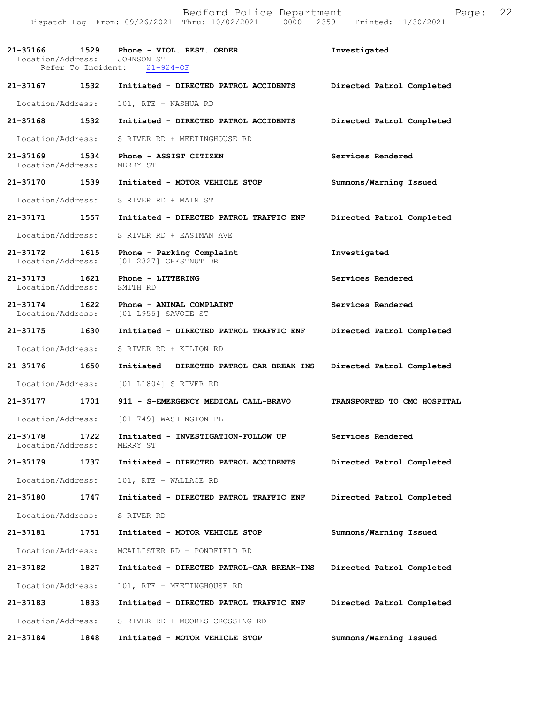|                                                            | Bedford Police Department<br>Dispatch Log From: 09/26/2021 Thru: 10/02/2021 0000 - 2359 Printed: 11/30/2021 | Page: 22                  |  |
|------------------------------------------------------------|-------------------------------------------------------------------------------------------------------------|---------------------------|--|
| Location/Address: JOHNSON ST                               | 21-37166 1529 Phone - VIOL. REST. ORDER<br>Refer To Incident: 21-924-OF                                     | Investigated              |  |
| 21-37167 1532                                              | Initiated - DIRECTED PATROL ACCIDENTS                                                                       | Directed Patrol Completed |  |
| Location/Address:                                          | 101, RTE + NASHUA RD                                                                                        |                           |  |
| 21-37168 1532                                              | Initiated - DIRECTED PATROL ACCIDENTS                                                                       | Directed Patrol Completed |  |
|                                                            | Location/Address: S RIVER RD + MEETINGHOUSE RD                                                              |                           |  |
| Location/Address: MERRY ST                                 | 21-37169 1534 Phone - ASSIST CITIZEN                                                                        | Services Rendered         |  |
| 21-37170 1539                                              | Initiated - MOTOR VEHICLE STOP                                                                              | Summons/Warning Issued    |  |
|                                                            | Location/Address: S RIVER RD + MAIN ST                                                                      |                           |  |
| 21-37171 1557                                              | Initiated - DIRECTED PATROL TRAFFIC ENF                                                                     | Directed Patrol Completed |  |
| Location/Address:                                          | S RIVER RD + EASTMAN AVE                                                                                    |                           |  |
| 21-37172 1615<br>Location/Address:                         | Phone - Parking Complaint<br>[01 2327] CHESTNUT DR                                                          | Investigated              |  |
| 21-37173    1621    Phone - LITTERING<br>Location/Address: | SMITH RD                                                                                                    | Services Rendered         |  |

**21-37174 1622 Phone - ANIMAL COMPLAINT Services Rendered**  Location/Address: [01 L955] SAVOIE ST

**21-37175 1630 Initiated - DIRECTED PATROL TRAFFIC ENF Directed Patrol Completed**  Location/Address: S RIVER RD + KILTON RD

**21-37176 1650 Initiated - DIRECTED PATROL-CAR BREAK-INS Directed Patrol Completed** 

Location/Address: [01 L1804] S RIVER RD

**21-37177 1701 911 - S-EMERGENCY MEDICAL CALL-BRAVO TRANSPORTED TO CMC HOSPITAL**  Location/Address: [01 749] WASHINGTON PL

**21-37178 1722 Initiated - INVESTIGATION-FOLLOW UP Services Rendered**  Location/Address:

**21-37179 1737 Initiated - DIRECTED PATROL ACCIDENTS Directed Patrol Completed**  Location/Address: 101, RTE + WALLACE RD

**21-37180 1747 Initiated - DIRECTED PATROL TRAFFIC ENF Directed Patrol Completed**  Location/Address: S RIVER RD

**21-37181 1751 Initiated - MOTOR VEHICLE STOP Summons/Warning Issued**  Location/Address: MCALLISTER RD + PONDFIELD RD **21-37182 1827 Initiated - DIRECTED PATROL-CAR BREAK-INS Directed Patrol Completed** 

Location/Address: 101, RTE + MEETINGHOUSE RD

**21-37183 1833 Initiated - DIRECTED PATROL TRAFFIC ENF Directed Patrol Completed**  Location/Address: S RIVER RD + MOORES CROSSING RD

**21-37184 1848 Initiated - MOTOR VEHICLE STOP Summons/Warning Issued**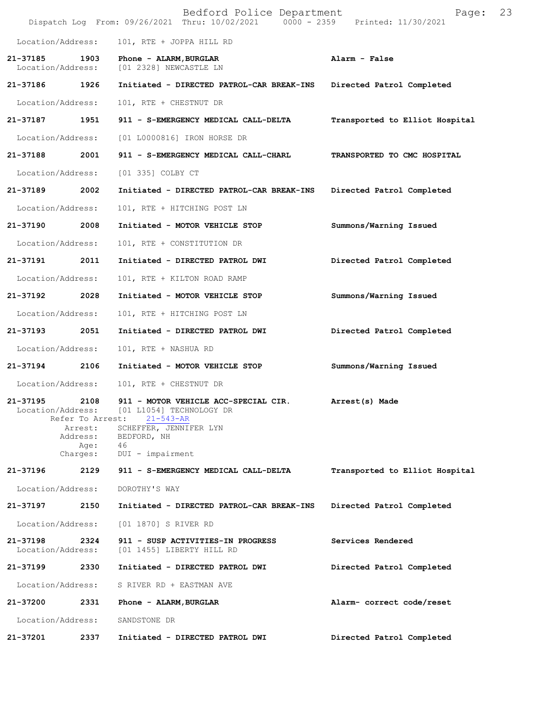|                               |                          | Bedford Police Department<br>Dispatch Log From: 09/26/2021 Thru: 10/02/2021 0000 - 2359 Printed: 11/30/2021 | Page:                          | 23 |
|-------------------------------|--------------------------|-------------------------------------------------------------------------------------------------------------|--------------------------------|----|
| Location/Address:             |                          | 101, RTE + JOPPA HILL RD                                                                                    |                                |    |
| 21-37185<br>Location/Address: | 1903                     | Phone - ALARM, BURGLAR<br>[01 2328] NEWCASTLE LN                                                            | Alarm - False                  |    |
| 21-37186                      | 1926                     | Initiated - DIRECTED PATROL-CAR BREAK-INS                                                                   | Directed Patrol Completed      |    |
| Location/Address:             |                          | 101, RTE + CHESTNUT DR                                                                                      |                                |    |
| 21-37187                      | 1951                     | 911 - S-EMERGENCY MEDICAL CALL-DELTA                                                                        | Transported to Elliot Hospital |    |
| Location/Address:             |                          | [01 L0000816] IRON HORSE DR                                                                                 |                                |    |
| 21-37188                      | 2001                     | 911 - S-EMERGENCY MEDICAL CALL-CHARL                                                                        | TRANSPORTED TO CMC HOSPITAL    |    |
| Location/Address:             |                          | [01 335] COLBY CT                                                                                           |                                |    |
| 21-37189                      | 2002                     | Initiated - DIRECTED PATROL-CAR BREAK-INS                                                                   | Directed Patrol Completed      |    |
| Location/Address:             |                          | 101, RTE + HITCHING POST LN                                                                                 |                                |    |
| 21-37190                      | 2008                     | Initiated - MOTOR VEHICLE STOP                                                                              | Summons/Warning Issued         |    |
| Location/Address:             |                          | 101, RTE + CONSTITUTION DR                                                                                  |                                |    |
| 21-37191                      | 2011                     | Initiated - DIRECTED PATROL DWI                                                                             | Directed Patrol Completed      |    |
| Location/Address:             |                          | 101, RTE + KILTON ROAD RAMP                                                                                 |                                |    |
| 21-37192                      | 2028                     | Initiated - MOTOR VEHICLE STOP                                                                              | Summons/Warning Issued         |    |
| Location/Address:             |                          | 101, RTE + HITCHING POST LN                                                                                 |                                |    |
| 21-37193                      | 2051                     | Initiated - DIRECTED PATROL DWI                                                                             | Directed Patrol Completed      |    |
| Location/Address:             |                          | 101, RTE + NASHUA RD                                                                                        |                                |    |
| 21-37194                      | 2106                     | Initiated - MOTOR VEHICLE STOP                                                                              | Summons/Warning Issued         |    |
| Location/Address:             |                          | 101, RTE + CHESTNUT DR                                                                                      |                                |    |
| 21-37195<br>Location/Address: | 2108<br>Refer To Arrest: | 911 - MOTOR VEHICLE ACC-SPECIAL CIR.<br>[01 L1054] TECHNOLOGY DR<br>$21 - 543 - AR$                         | Arrest(s) Made                 |    |
|                               | Arrest:<br>Address:      | SCHEFFER, JENNIFER LYN<br>BEDFORD, NH                                                                       |                                |    |
|                               | Age:<br>Charges:         | 46<br>DUI - impairment                                                                                      |                                |    |
| 21-37196                      | 2129                     | 911 - S-EMERGENCY MEDICAL CALL-DELTA                                                                        | Transported to Elliot Hospital |    |
| Location/Address:             |                          | DOROTHY'S WAY                                                                                               |                                |    |
| 21-37197                      | 2150                     | Initiated - DIRECTED PATROL-CAR BREAK-INS                                                                   | Directed Patrol Completed      |    |
| Location/Address:             |                          | [01 1870] S RIVER RD                                                                                        |                                |    |
| 21-37198<br>Location/Address: | 2324                     | 911 - SUSP ACTIVITIES-IN PROGRESS<br>[01 1455] LIBERTY HILL RD                                              | Services Rendered              |    |
| 21-37199                      | 2330                     | Initiated - DIRECTED PATROL DWI                                                                             | Directed Patrol Completed      |    |
| Location/Address:             |                          | S RIVER RD + EASTMAN AVE                                                                                    |                                |    |
| 21-37200                      | 2331                     | Phone - ALARM, BURGLAR                                                                                      | Alarm- correct code/reset      |    |
| Location/Address:             |                          | SANDSTONE DR                                                                                                |                                |    |
| 21-37201                      | 2337                     | Initiated - DIRECTED PATROL DWI                                                                             | Directed Patrol Completed      |    |
|                               |                          |                                                                                                             |                                |    |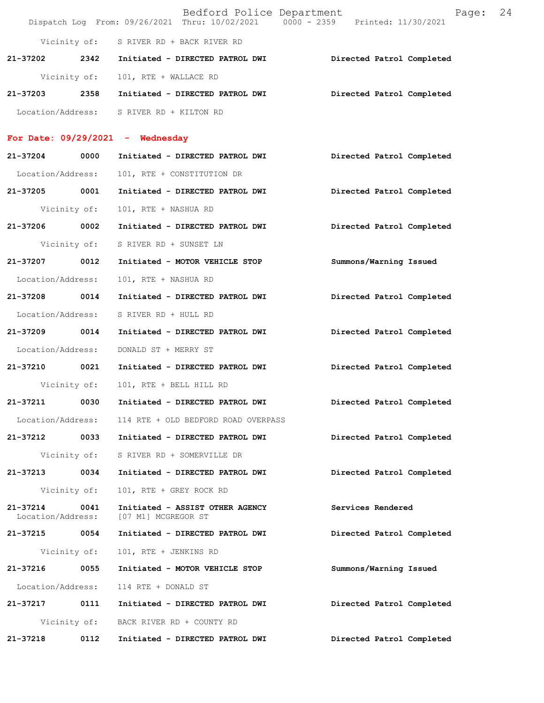|                               |              | Bedford Police Department<br>Dispatch Log From: 09/26/2021 Thru: 10/02/2021 0000 - 2359 Printed: 11/30/2021 |                           | Page: | 24 |
|-------------------------------|--------------|-------------------------------------------------------------------------------------------------------------|---------------------------|-------|----|
|                               |              | Vicinity of: S RIVER RD + BACK RIVER RD                                                                     |                           |       |    |
| 21-37202                      | 2342         | Initiated - DIRECTED PATROL DWI                                                                             | Directed Patrol Completed |       |    |
| Vicinity of:                  |              | 101, RTE + WALLACE RD                                                                                       |                           |       |    |
| 21-37203                      | 2358         | Initiated - DIRECTED PATROL DWI                                                                             | Directed Patrol Completed |       |    |
|                               |              | Location/Address: S RIVER RD + KILTON RD                                                                    |                           |       |    |
|                               |              | For Date: $09/29/2021$ - Wednesday                                                                          |                           |       |    |
| 21-37204                      | 0000         | Initiated - DIRECTED PATROL DWI                                                                             | Directed Patrol Completed |       |    |
| Location/Address:             |              | 101, RTE + CONSTITUTION DR                                                                                  |                           |       |    |
| 21-37205                      | 0001         | Initiated - DIRECTED PATROL DWI                                                                             | Directed Patrol Completed |       |    |
| Vicinity of:                  |              | 101, RTE + NASHUA RD                                                                                        |                           |       |    |
| 21-37206                      | 0002         | Initiated - DIRECTED PATROL DWI                                                                             | Directed Patrol Completed |       |    |
| Vicinity of:                  |              | S RIVER RD + SUNSET LN                                                                                      |                           |       |    |
| 21-37207                      | 0012         | Initiated - MOTOR VEHICLE STOP                                                                              | Summons/Warning Issued    |       |    |
| Location/Address:             |              | 101, RTE + NASHUA RD                                                                                        |                           |       |    |
| 21-37208                      | 0014         | Initiated - DIRECTED PATROL DWI                                                                             | Directed Patrol Completed |       |    |
| Location/Address:             |              | S RIVER RD + HULL RD                                                                                        |                           |       |    |
| 21-37209                      | 0014         | Initiated - DIRECTED PATROL DWI                                                                             | Directed Patrol Completed |       |    |
| Location/Address:             |              | DONALD ST + MERRY ST                                                                                        |                           |       |    |
| 21-37210                      | 0021         | Initiated - DIRECTED PATROL DWI                                                                             | Directed Patrol Completed |       |    |
|                               |              | Vicinity of: 101, RTE + BELL HILL RD                                                                        |                           |       |    |
| 21-37211                      | 0030         | Initiated - DIRECTED PATROL DWI                                                                             | Directed Patrol Completed |       |    |
| Location/Address:             |              | 114 RTE + OLD BEDFORD ROAD OVERPASS                                                                         |                           |       |    |
| 21-37212                      | 0033         | Initiated - DIRECTED PATROL DWI                                                                             | Directed Patrol Completed |       |    |
| Vicinity of:                  |              | S RIVER RD + SOMERVILLE DR                                                                                  |                           |       |    |
| 21-37213                      | 0034         | Initiated - DIRECTED PATROL DWI                                                                             | Directed Patrol Completed |       |    |
| Vicinity of:                  |              | 101, RTE + GREY ROCK RD                                                                                     |                           |       |    |
| 21-37214<br>Location/Address: | 0041         | Initiated - ASSIST OTHER AGENCY<br>[07 M1] MCGREGOR ST                                                      | Services Rendered         |       |    |
| 21-37215 0054                 |              | Initiated - DIRECTED PATROL DWI                                                                             | Directed Patrol Completed |       |    |
|                               | Vicinity of: | 101, RTE + JENKINS RD                                                                                       |                           |       |    |

**21-37216 0055 Initiated - MOTOR VEHICLE STOP Summons/Warning Issued**  Location/Address: 114 RTE + DONALD ST **21-37217 0111 Initiated - DIRECTED PATROL DWI Directed Patrol Completed**  Vicinity of: BACK RIVER RD + COUNTY RD

**21-37218 0112 Initiated - DIRECTED PATROL DWI Directed Patrol Completed**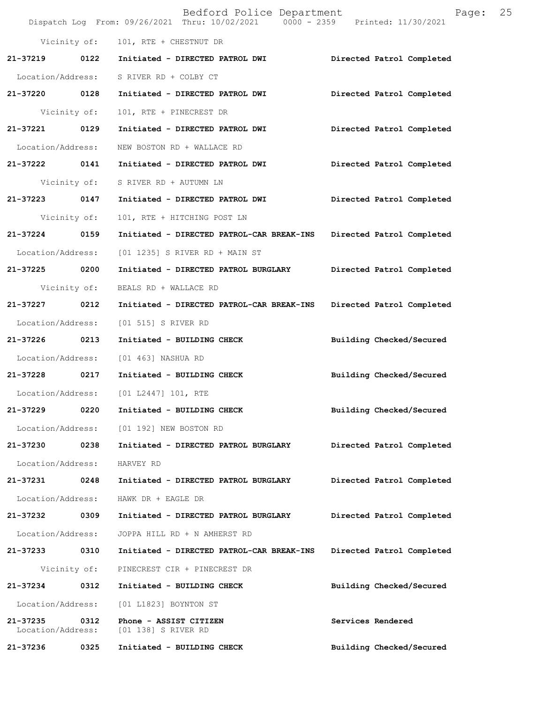|                               |      | Bedford Police Department<br>Dispatch Log From: 09/26/2021 Thru: 10/02/2021 0000 - 2359 Printed: 11/30/2021 | 25<br>Page:               |  |
|-------------------------------|------|-------------------------------------------------------------------------------------------------------------|---------------------------|--|
|                               |      | Vicinity of: 101, RTE + CHESTNUT DR                                                                         |                           |  |
| 21-37219 0122                 |      | Initiated - DIRECTED PATROL DWI                                                                             | Directed Patrol Completed |  |
|                               |      | Location/Address: S RIVER RD + COLBY CT                                                                     |                           |  |
| 21-37220 0128                 |      | Initiated - DIRECTED PATROL DWI                                                                             | Directed Patrol Completed |  |
| Vicinity of:                  |      | 101, RTE + PINECREST DR                                                                                     |                           |  |
| 21-37221 0129                 |      | Initiated - DIRECTED PATROL DWI                                                                             | Directed Patrol Completed |  |
| Location/Address:             |      | NEW BOSTON RD + WALLACE RD                                                                                  |                           |  |
| 21-37222 0141                 |      | Initiated - DIRECTED PATROL DWI                                                                             | Directed Patrol Completed |  |
| Vicinity of:                  |      | S RIVER RD + AUTUMN LN                                                                                      |                           |  |
| 21-37223 0147                 |      | Initiated - DIRECTED PATROL DWI                                                                             | Directed Patrol Completed |  |
| Vicinity of:                  |      | 101, RTE + HITCHING POST LN                                                                                 |                           |  |
| 21-37224 0159                 |      | Initiated - DIRECTED PATROL-CAR BREAK-INS Directed Patrol Completed                                         |                           |  |
| Location/Address:             |      | $[01 1235]$ S RIVER RD + MAIN ST                                                                            |                           |  |
| 21-37225 0200                 |      | Initiated - DIRECTED PATROL BURGLARY                                                                        | Directed Patrol Completed |  |
| Vicinity of:                  |      | BEALS RD + WALLACE RD                                                                                       |                           |  |
| 21-37227 0212                 |      | Initiated - DIRECTED PATROL-CAR BREAK-INS Directed Patrol Completed                                         |                           |  |
| Location/Address:             |      | [01 515] S RIVER RD                                                                                         |                           |  |
| 21-37226 0213                 |      | Initiated - BUILDING CHECK                                                                                  | Building Checked/Secured  |  |
| Location/Address:             |      | [01 463] NASHUA RD                                                                                          |                           |  |
| 21-37228 0217                 |      | Initiated - BUILDING CHECK                                                                                  | Building Checked/Secured  |  |
|                               |      | Location/Address: [01 L2447] 101, RTE                                                                       |                           |  |
| 21-37229                      | 0220 | Initiated - BUILDING CHECK                                                                                  | Building Checked/Secured  |  |
| Location/Address:             |      | [01 192] NEW BOSTON RD                                                                                      |                           |  |
| 21-37230                      | 0238 | Initiated - DIRECTED PATROL BURGLARY                                                                        | Directed Patrol Completed |  |
| Location/Address:             |      | HARVEY RD                                                                                                   |                           |  |
| 21-37231                      | 0248 | Initiated - DIRECTED PATROL BURGLARY                                                                        | Directed Patrol Completed |  |
| Location/Address:             |      | HAWK DR + EAGLE DR                                                                                          |                           |  |
| 21-37232                      | 0309 | Initiated - DIRECTED PATROL BURGLARY                                                                        | Directed Patrol Completed |  |
| Location/Address:             |      | JOPPA HILL RD + N AMHERST RD                                                                                |                           |  |
| 21-37233                      | 0310 | Initiated - DIRECTED PATROL-CAR BREAK-INS                                                                   | Directed Patrol Completed |  |
| Vicinity of:                  |      | PINECREST CIR + PINECREST DR                                                                                |                           |  |
| 21-37234                      | 0312 | Initiated - BUILDING CHECK                                                                                  | Building Checked/Secured  |  |
| Location/Address:             |      | [01 L1823] BOYNTON ST                                                                                       |                           |  |
| 21-37235<br>Location/Address: | 0312 | Phone - ASSIST CITIZEN<br>[01 138] S RIVER RD                                                               | Services Rendered         |  |
| 21-37236                      | 0325 | Initiated - BUILDING CHECK                                                                                  | Building Checked/Secured  |  |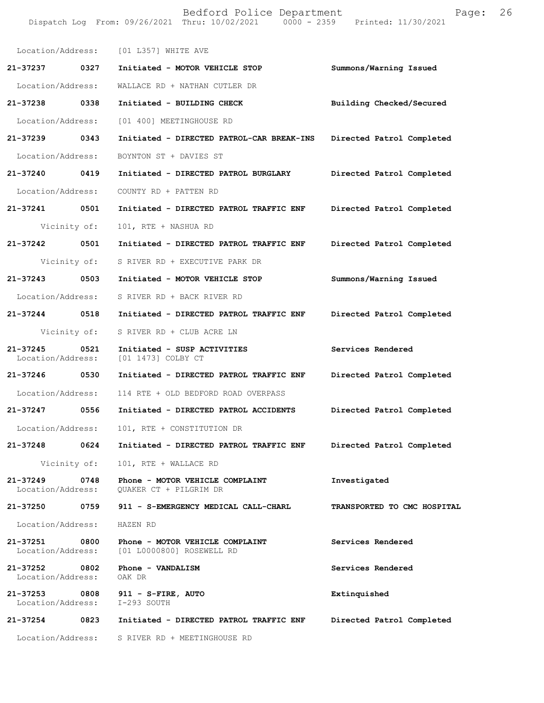Dispatch Log From: 09/26/2021 Thru: 10/02/2021 0000 - 2359 Printed: 11/30/2021 Location/Address: [01 L357] WHITE AVE **21-37237 0327 Initiated - MOTOR VEHICLE STOP Summons/Warning Issued**  Location/Address: WALLACE RD + NATHAN CUTLER DR **21-37238 0338 Initiated - BUILDING CHECK Building Checked/Secured**  Location/Address: [01 400] MEETINGHOUSE RD **21-37239 0343 Initiated - DIRECTED PATROL-CAR BREAK-INS Directed Patrol Completed**  Location/Address: BOYNTON ST + DAVIES ST **21-37240 0419 Initiated - DIRECTED PATROL BURGLARY Directed Patrol Completed**  Location/Address: COUNTY RD + PATTEN RD **21-37241 0501 Initiated - DIRECTED PATROL TRAFFIC ENF Directed Patrol Completed**  Vicinity of: 101, RTE + NASHUA RD **21-37242 0501 Initiated - DIRECTED PATROL TRAFFIC ENF Directed Patrol Completed**  Vicinity of: S RIVER RD + EXECUTIVE PARK DR **21-37243 0503 Initiated - MOTOR VEHICLE STOP Summons/Warning Issued**  Location/Address: S RIVER RD + BACK RIVER RD **21-37244 0518 Initiated - DIRECTED PATROL TRAFFIC ENF Directed Patrol Completed**  Vicinity of: S RIVER RD + CLUB ACRE LN **21-37245 0521 Initiated - SUSP ACTIVITIES Services Rendered**  [01 1473] COLBY CT **21-37246 0530 Initiated - DIRECTED PATROL TRAFFIC ENF Directed Patrol Completed**  Location/Address: 114 RTE + OLD BEDFORD ROAD OVERPASS **21-37247 0556 Initiated - DIRECTED PATROL ACCIDENTS Directed Patrol Completed**  Location/Address: 101, RTE + CONSTITUTION DR **21-37248 0624 Initiated - DIRECTED PATROL TRAFFIC ENF Directed Patrol Completed**  Vicinity of: 101, RTE + WALLACE RD **21-37249 0748 Phone - MOTOR VEHICLE COMPLAINT Investigated**  Location/Address: QUAKER CT + PILGRIM DR **21-37250 0759 911 - S-EMERGENCY MEDICAL CALL-CHARL TRANSPORTED TO CMC HOSPITAL**  Location/Address: HAZEN RD **21-37251 0800 Phone - MOTOR VEHICLE COMPLAINT Services Rendered** Location/Address: [01 L0000800] ROSEWELL RD [01 L0000800] ROSEWELL RD **21-37252 0802 Phone - VANDALISM Services Rendered**  Location/Address: OAK DR **21-37253 0808 911 - S-FIRE, AUTO Extinquished**  Location/Address: **21-37254 0823 Initiated - DIRECTED PATROL TRAFFIC ENF Directed Patrol Completed**  Location/Address: S RIVER RD + MEETINGHOUSE RD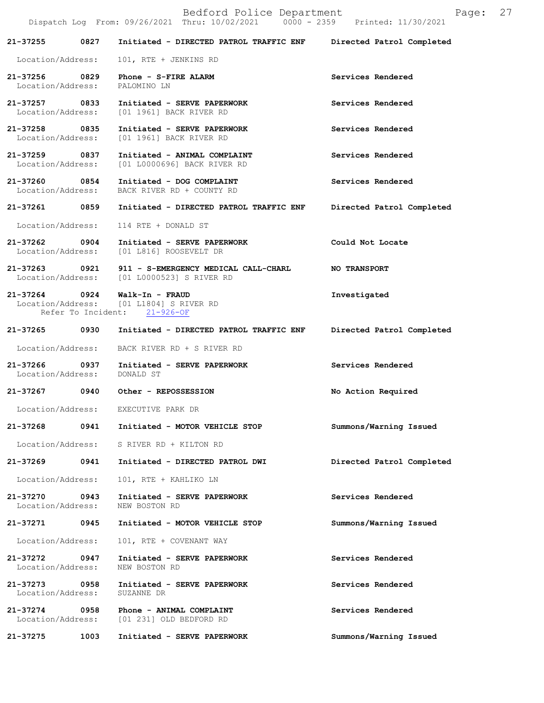|                                              |      | Bedford Police Department<br>Dispatch Log From: 09/26/2021 Thru: 10/02/2021 0000 - 2359 Printed: 11/30/2021 | Page:                     | 27 |
|----------------------------------------------|------|-------------------------------------------------------------------------------------------------------------|---------------------------|----|
| 21-37255                                     | 0827 | Initiated - DIRECTED PATROL TRAFFIC ENF                                                                     | Directed Patrol Completed |    |
| Location/Address:                            |      | 101, RTE + JENKINS RD                                                                                       |                           |    |
| 21-37256 0829<br>Location/Address:           |      | Phone - S-FIRE ALARM<br>PALOMINO LN                                                                         | Services Rendered         |    |
|                                              |      | 21-37257 0833 Initiated - SERVE PAPERWORK<br>Location/Address: [01 1961] BACK RIVER RD                      | Services Rendered         |    |
| 21-37258 0835<br>Location/Address:           |      | Initiated - SERVE PAPERWORK<br>[01 1961] BACK RIVER RD                                                      | Services Rendered         |    |
| 21-37259 0837                                |      | Initiated - ANIMAL COMPLAINT<br>Location/Address: [01 L0000696] BACK RIVER RD                               | Services Rendered         |    |
| 21-37260 0854<br>Location/Address:           |      | Initiated - DOG COMPLAINT<br>BACK RIVER RD + COUNTY RD                                                      | Services Rendered         |    |
| 21-37261 0859                                |      | Initiated - DIRECTED PATROL TRAFFIC ENF                                                                     | Directed Patrol Completed |    |
| Location/Address:                            |      | 114 RTE + DONALD ST                                                                                         |                           |    |
|                                              |      | 21-37262 0904 Initiated - SERVE PAPERWORK<br>Location/Address: [01 L816] ROOSEVELT DR                       | Could Not Locate          |    |
|                                              |      | 21-37263 0921 911 - S-EMERGENCY MEDICAL CALL-CHARL<br>Location/Address: [01 L0000523] S RIVER RD            | <b>NO TRANSPORT</b>       |    |
| 21-37264 0924                                |      | Walk-In - FRAUD<br>Location/Address: [01 L1804] S RIVER RD<br>Refer To Incident: 21-926-OF                  | Investigated              |    |
|                                              |      | 21-37265 0930 Initiated - DIRECTED PATROL TRAFFIC ENF                                                       | Directed Patrol Completed |    |
| Location/Address:                            |      | BACK RIVER RD + S RIVER RD                                                                                  |                           |    |
| 21-37266 0937<br>Location/Address: DONALD ST |      | Initiated - SERVE PAPERWORK                                                                                 | Services Rendered         |    |
| 21-37267                                     | 0940 | Other - REPOSSESSION                                                                                        | No Action Required        |    |
| Location/Address:                            |      | EXECUTIVE PARK DR                                                                                           |                           |    |
| 21-37268                                     |      | 0941 Initiated - MOTOR VEHICLE STOP                                                                         | Summons/Warning Issued    |    |
| Location/Address:                            |      | S RIVER RD + KILTON RD                                                                                      |                           |    |
| 21-37269                                     | 0941 | Initiated - DIRECTED PATROL DWI                                                                             | Directed Patrol Completed |    |
| Location/Address:                            |      | 101, RTE + KAHLIKO LN                                                                                       |                           |    |
| 21-37270<br>Location/Address:                | 0943 | Initiated - SERVE PAPERWORK<br>NEW BOSTON RD                                                                | Services Rendered         |    |
| 21-37271                                     | 0945 | Initiated - MOTOR VEHICLE STOP                                                                              | Summons/Warning Issued    |    |
| Location/Address:                            |      | 101, RTE + COVENANT WAY                                                                                     |                           |    |
| 21-37272<br>Location/Address:                | 0947 | Initiated - SERVE PAPERWORK<br>NEW BOSTON RD                                                                | Services Rendered         |    |
| 21-37273<br>Location/Address:                | 0958 | Initiated - SERVE PAPERWORK<br>SUZANNE DR                                                                   | Services Rendered         |    |
| 21-37274<br>Location/Address:                | 0958 | Phone - ANIMAL COMPLAINT<br>[01 231] OLD BEDFORD RD                                                         | Services Rendered         |    |
| 21-37275                                     | 1003 | Initiated - SERVE PAPERWORK                                                                                 | Summons/Warning Issued    |    |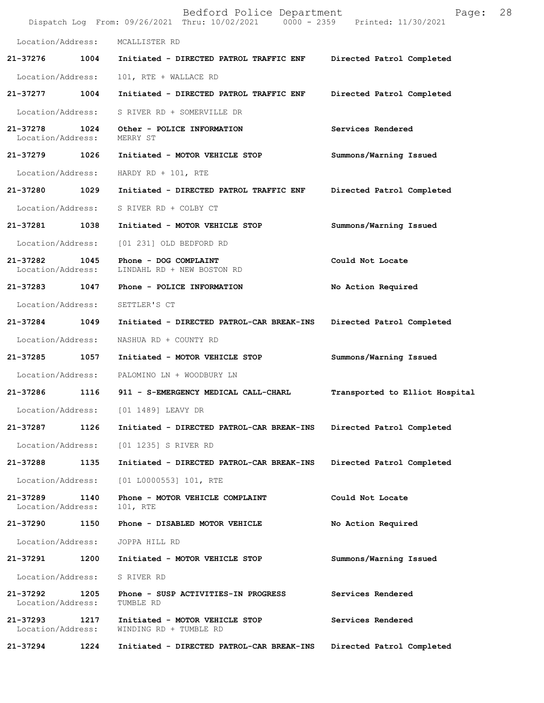|                               |      | Bedford Police Department<br>Dispatch Log From: 09/26/2021 Thru: 10/02/2021 0000 - 2359 Printed: 11/30/2021 | 28<br>Page:                    |
|-------------------------------|------|-------------------------------------------------------------------------------------------------------------|--------------------------------|
| Location/Address:             |      | MCALLISTER RD                                                                                               |                                |
| 21-37276                      | 1004 | Initiated - DIRECTED PATROL TRAFFIC ENF                                                                     | Directed Patrol Completed      |
| Location/Address:             |      | 101, RTE + WALLACE RD                                                                                       |                                |
| 21-37277                      | 1004 | Initiated - DIRECTED PATROL TRAFFIC ENF                                                                     | Directed Patrol Completed      |
| Location/Address:             |      | S RIVER RD + SOMERVILLE DR                                                                                  |                                |
| 21-37278<br>Location/Address: | 1024 | Other - POLICE INFORMATION<br>MERRY ST                                                                      | Services Rendered              |
| 21-37279                      | 1026 | Initiated - MOTOR VEHICLE STOP                                                                              | Summons/Warning Issued         |
| Location/Address:             |      | HARDY RD + $101$ , RTE                                                                                      |                                |
| 21-37280                      | 1029 | Initiated - DIRECTED PATROL TRAFFIC ENF                                                                     | Directed Patrol Completed      |
| Location/Address:             |      | S RIVER RD + COLBY CT                                                                                       |                                |
| 21-37281                      | 1038 | Initiated - MOTOR VEHICLE STOP                                                                              | Summons/Warning Issued         |
| Location/Address:             |      | [01 231] OLD BEDFORD RD                                                                                     |                                |
| 21-37282<br>Location/Address: | 1045 | Phone - DOG COMPLAINT<br>LINDAHL RD + NEW BOSTON RD                                                         | Could Not Locate               |
| 21-37283                      | 1047 | Phone - POLICE INFORMATION                                                                                  | No Action Required             |
| Location/Address:             |      | SETTLER'S CT                                                                                                |                                |
| 21-37284                      | 1049 | Initiated - DIRECTED PATROL-CAR BREAK-INS                                                                   | Directed Patrol Completed      |
| Location/Address:             |      | NASHUA RD + COUNTY RD                                                                                       |                                |
| 21-37285                      | 1057 | Initiated - MOTOR VEHICLE STOP                                                                              | Summons/Warning Issued         |
| Location/Address:             |      | PALOMINO LN + WOODBURY LN                                                                                   |                                |
| 21-37286                      | 1116 | 911 - S-EMERGENCY MEDICAL CALL-CHARL                                                                        | Transported to Elliot Hospital |
| Location/Address:             |      | [01 1489] LEAVY DR                                                                                          |                                |
| 21-37287                      | 1126 | Initiated - DIRECTED PATROL-CAR BREAK-INS                                                                   | Directed Patrol Completed      |
| Location/Address:             |      | [01 1235] S RIVER RD                                                                                        |                                |
| 21-37288                      | 1135 | Initiated - DIRECTED PATROL-CAR BREAK-INS                                                                   | Directed Patrol Completed      |
| Location/Address:             |      | $[01 L0000553] 101$ , RTE                                                                                   |                                |
| 21-37289<br>Location/Address: | 1140 | Phone - MOTOR VEHICLE COMPLAINT<br>101, RTE                                                                 | Could Not Locate               |
| 21-37290                      | 1150 | Phone - DISABLED MOTOR VEHICLE                                                                              | No Action Required             |
| Location/Address:             |      | JOPPA HILL RD                                                                                               |                                |
| 21-37291                      | 1200 | Initiated - MOTOR VEHICLE STOP                                                                              | Summons/Warning Issued         |
| Location/Address:             |      | S RIVER RD                                                                                                  |                                |
| 21-37292<br>Location/Address: | 1205 | Phone - SUSP ACTIVITIES-IN PROGRESS<br>TUMBLE RD                                                            | Services Rendered              |
| 21-37293<br>Location/Address: | 1217 | Initiated - MOTOR VEHICLE STOP<br>WINDING RD + TUMBLE RD                                                    | Services Rendered              |
| 21-37294                      | 1224 | Initiated - DIRECTED PATROL-CAR BREAK-INS                                                                   | Directed Patrol Completed      |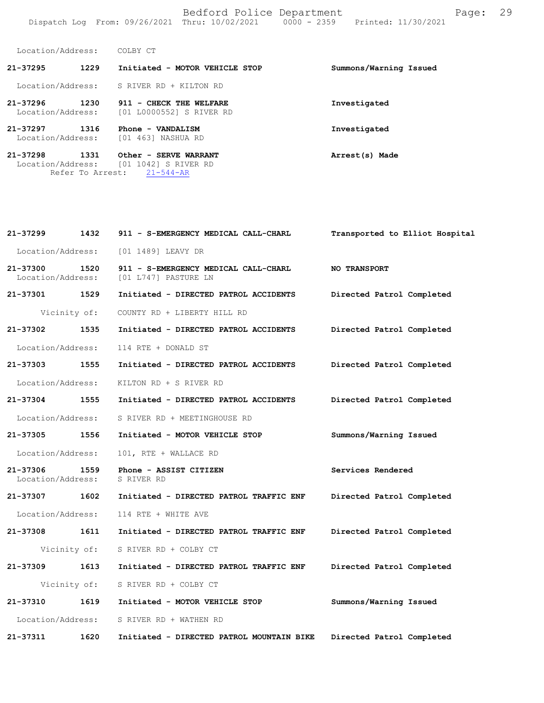Bedford Police Department Fage: 29 Dispatch Log From: 09/26/2021 Thru: 10/02/2021 0000 - 2359 Printed: 11/30/2021

Location/Address: COLBY CT

Refer To Arrest: 21-544-AR

| $21 - 37295$                  | 1229 | Initiated - MOTOR VEHICLE STOP                      | Summons/Warning Issued |
|-------------------------------|------|-----------------------------------------------------|------------------------|
| Location/Address:             |      | S RIVER RD + KILTON RD                              |                        |
| 21-37296<br>Location/Address: | 1230 | 911 - CHECK THE WELFARE<br>[01 L0000552] S RIVER RD | Investigated           |
| 21-37297<br>Location/Address: | 1316 | Phone - VANDALISM<br>[01 463] NASHUA RD             | Investigated           |
| 21-37298<br>Location/Address: | 1331 | Other - SERVE WARRANT<br>[01 1042] S RIVER RD       | Arrest(s) Made         |

| 21-37299                           | 1432         | 911 - S-EMERGENCY MEDICAL CALL-CHARL                            | Transported to Elliot Hospital |
|------------------------------------|--------------|-----------------------------------------------------------------|--------------------------------|
| Location/Address:                  |              | [01 1489] LEAVY DR                                              |                                |
| 21-37300 1520<br>Location/Address: |              | 911 - S-EMERGENCY MEDICAL CALL-CHARL<br>[01 L747] PASTURE LN    | <b>NO TRANSPORT</b>            |
| 21-37301 1529                      |              | Initiated - DIRECTED PATROL ACCIDENTS                           | Directed Patrol Completed      |
|                                    |              | Vicinity of: COUNTY RD + LIBERTY HILL RD                        |                                |
| 21-37302 1535                      |              | Initiated - DIRECTED PATROL ACCIDENTS                           | Directed Patrol Completed      |
| Location/Address:                  |              | 114 RTE + DONALD ST                                             |                                |
| 21-37303 1555                      |              | Initiated - DIRECTED PATROL ACCIDENTS Directed Patrol Completed |                                |
| Location/Address:                  |              | KILTON RD + S RIVER RD                                          |                                |
| 21-37304 1555                      |              | Initiated - DIRECTED PATROL ACCIDENTS                           | Directed Patrol Completed      |
| Location/Address:                  |              | S RIVER RD + MEETINGHOUSE RD                                    |                                |
| 21-37305 1556                      |              | Initiated - MOTOR VEHICLE STOP                                  | Summons/Warning Issued         |
| Location/Address:                  |              | 101, RTE + WALLACE RD                                           |                                |
| 21-37306 1559<br>Location/Address: |              | Phone - ASSIST CITIZEN<br>S RIVER RD                            | Services Rendered              |
| 21-37307 1602                      |              | Initiated - DIRECTED PATROL TRAFFIC ENF                         | Directed Patrol Completed      |
| Location/Address:                  |              | 114 RTE + WHITE AVE                                             |                                |
| 21-37308 1611                      |              | Initiated - DIRECTED PATROL TRAFFIC ENF                         | Directed Patrol Completed      |
|                                    | Vicinity of: | S RIVER RD + COLBY CT                                           |                                |
| 21-37309 1613                      |              | Initiated - DIRECTED PATROL TRAFFIC ENF                         | Directed Patrol Completed      |
|                                    | Vicinity of: | S RIVER RD + COLBY CT                                           |                                |
| 21-37310 1619                      |              | Initiated - MOTOR VEHICLE STOP                                  | Summons/Warning Issued         |
| Location/Address:                  |              | S RIVER RD + WATHEN RD                                          |                                |
| 21-37311                           | 1620         | Initiated - DIRECTED PATROL MOUNTAIN BIKE                       | Directed Patrol Completed      |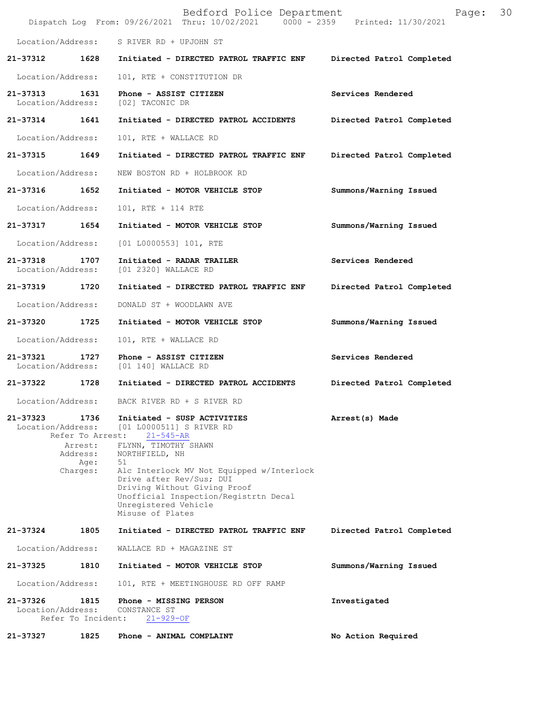|                               |                                                                     | Bedford Police Department<br>Dispatch Log From: 09/26/2021 Thru: 10/02/2021 0000 - 2359 Printed: 11/30/2021                                                                                                                                                                                                              | Page:                     | 30 |
|-------------------------------|---------------------------------------------------------------------|--------------------------------------------------------------------------------------------------------------------------------------------------------------------------------------------------------------------------------------------------------------------------------------------------------------------------|---------------------------|----|
| Location/Address:             |                                                                     | S RIVER RD + UPJOHN ST                                                                                                                                                                                                                                                                                                   |                           |    |
| 21-37312                      | 1628                                                                | Initiated - DIRECTED PATROL TRAFFIC ENF                                                                                                                                                                                                                                                                                  | Directed Patrol Completed |    |
| Location/Address:             |                                                                     | 101, RTE + CONSTITUTION DR                                                                                                                                                                                                                                                                                               |                           |    |
| 21-37313<br>Location/Address: | 1631                                                                | Phone - ASSIST CITIZEN<br>[02] TACONIC DR                                                                                                                                                                                                                                                                                | Services Rendered         |    |
| 21-37314                      | 1641                                                                | Initiated - DIRECTED PATROL ACCIDENTS                                                                                                                                                                                                                                                                                    | Directed Patrol Completed |    |
| Location/Address:             |                                                                     | 101, RTE + WALLACE RD                                                                                                                                                                                                                                                                                                    |                           |    |
| 21-37315                      | 1649                                                                | Initiated - DIRECTED PATROL TRAFFIC ENF                                                                                                                                                                                                                                                                                  | Directed Patrol Completed |    |
| Location/Address:             |                                                                     | NEW BOSTON RD + HOLBROOK RD                                                                                                                                                                                                                                                                                              |                           |    |
| 21-37316                      | 1652                                                                | Initiated - MOTOR VEHICLE STOP                                                                                                                                                                                                                                                                                           | Summons/Warning Issued    |    |
| Location/Address:             |                                                                     | 101, RTE + 114 RTE                                                                                                                                                                                                                                                                                                       |                           |    |
| 21-37317                      | 1654                                                                | Initiated - MOTOR VEHICLE STOP                                                                                                                                                                                                                                                                                           | Summons/Warning Issued    |    |
| Location/Address:             |                                                                     | [01 L0000553] 101, RTE                                                                                                                                                                                                                                                                                                   |                           |    |
| 21-37318<br>Location/Address: | 1707                                                                | Initiated - RADAR TRAILER<br>[01 2320] WALLACE RD                                                                                                                                                                                                                                                                        | Services Rendered         |    |
| 21-37319                      | 1720                                                                | Initiated - DIRECTED PATROL TRAFFIC ENF                                                                                                                                                                                                                                                                                  | Directed Patrol Completed |    |
| Location/Address:             |                                                                     | DONALD ST + WOODLAWN AVE                                                                                                                                                                                                                                                                                                 |                           |    |
| 21-37320                      | 1725                                                                | Initiated - MOTOR VEHICLE STOP                                                                                                                                                                                                                                                                                           | Summons/Warning Issued    |    |
| Location/Address:             |                                                                     | 101, RTE + WALLACE RD                                                                                                                                                                                                                                                                                                    |                           |    |
| 21-37321<br>Location/Address: | 1727                                                                | Phone - ASSIST CITIZEN<br>[01 140] WALLACE RD                                                                                                                                                                                                                                                                            | Services Rendered         |    |
| 21-37322                      | 1728                                                                | Initiated - DIRECTED PATROL ACCIDENTS                                                                                                                                                                                                                                                                                    | Directed Patrol Completed |    |
| Location/Address:             |                                                                     | BACK RIVER RD + S RIVER RD                                                                                                                                                                                                                                                                                               |                           |    |
| 21-37323<br>Location/Address: | 1736<br>Refer To Arrest:<br>Arrest:<br>Address:<br>Age:<br>Charges: | Initiated - SUSP ACTIVITIES<br>[01 L0000511] S RIVER RD<br>$21 - 545 - AR$<br>FLYNN, TIMOTHY SHAWN<br>NORTHFIELD, NH<br>51<br>Alc Interlock MV Not Equipped w/Interlock<br>Drive after Rev/Sus; DUI<br>Driving Without Giving Proof<br>Unofficial Inspection/Registrtn Decal<br>Unregistered Vehicle<br>Misuse of Plates | Arrest(s) Made            |    |
| 21-37324                      | 1805                                                                | Initiated - DIRECTED PATROL TRAFFIC ENF                                                                                                                                                                                                                                                                                  | Directed Patrol Completed |    |
| Location/Address:             |                                                                     | WALLACE RD + MAGAZINE ST                                                                                                                                                                                                                                                                                                 |                           |    |
| 21-37325                      | 1810                                                                | Initiated - MOTOR VEHICLE STOP                                                                                                                                                                                                                                                                                           | Summons/Warning Issued    |    |
| Location/Address:             |                                                                     | 101, RTE + MEETINGHOUSE RD OFF RAMP                                                                                                                                                                                                                                                                                      |                           |    |
| 21-37326<br>Location/Address: | 1815<br>Refer To Incident:                                          | Phone - MISSING PERSON<br>CONSTANCE ST<br>$21 - 929 - OF$                                                                                                                                                                                                                                                                | Investigated              |    |
| 21-37327                      | 1825                                                                | Phone - ANIMAL COMPLAINT                                                                                                                                                                                                                                                                                                 | No Action Required        |    |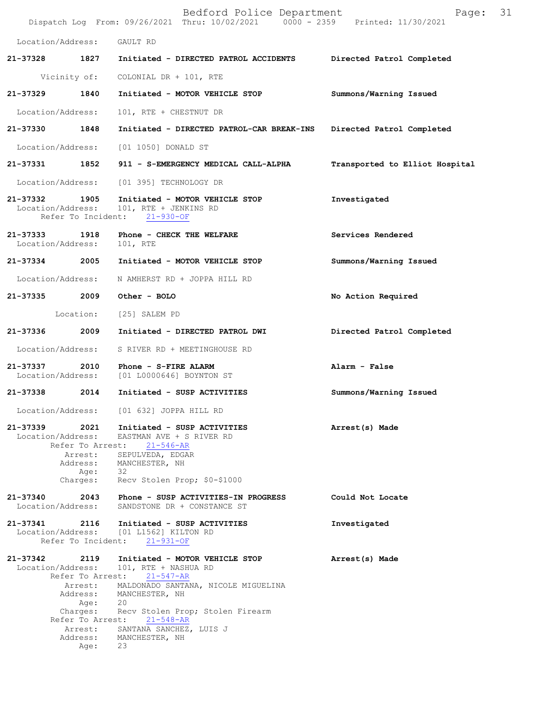|                                    |                                                 | Bedford Police Department<br>Dispatch Log From: 09/26/2021 Thru: 10/02/2021 0000 - 2359 Printed: 11/30/2021                                                                                                                                                                                       | Page:                          | 31 |
|------------------------------------|-------------------------------------------------|---------------------------------------------------------------------------------------------------------------------------------------------------------------------------------------------------------------------------------------------------------------------------------------------------|--------------------------------|----|
| Location/Address:                  |                                                 | GAULT RD                                                                                                                                                                                                                                                                                          |                                |    |
| 21-37328                           | 1827                                            | Initiated - DIRECTED PATROL ACCIDENTS                                                                                                                                                                                                                                                             | Directed Patrol Completed      |    |
|                                    | Vicinity of:                                    | COLONIAL DR + 101, RTE                                                                                                                                                                                                                                                                            |                                |    |
| 21-37329                           | 1840                                            | Initiated - MOTOR VEHICLE STOP                                                                                                                                                                                                                                                                    | Summons/Warning Issued         |    |
| Location/Address:                  |                                                 | 101, RTE + CHESTNUT DR                                                                                                                                                                                                                                                                            |                                |    |
| 21-37330                           | 1848                                            | Initiated - DIRECTED PATROL-CAR BREAK-INS                                                                                                                                                                                                                                                         | Directed Patrol Completed      |    |
| Location/Address:                  |                                                 | [01 1050] DONALD ST                                                                                                                                                                                                                                                                               |                                |    |
| 21-37331                           | 1852                                            | 911 - S-EMERGENCY MEDICAL CALL-ALPHA                                                                                                                                                                                                                                                              | Transported to Elliot Hospital |    |
| Location/Address:                  |                                                 | [01 395] TECHNOLOGY DR                                                                                                                                                                                                                                                                            |                                |    |
| 21-37332 1905<br>Location/Address: | Refer To Incident:                              | Initiated - MOTOR VEHICLE STOP<br>101, RTE + JENKINS RD<br>$21 - 930 - OF$                                                                                                                                                                                                                        | Investigated                   |    |
| 21-37333<br>Location/Address:      | 1918                                            | Phone - CHECK THE WELFARE<br>101, RTE                                                                                                                                                                                                                                                             | Services Rendered              |    |
| 21-37334 2005                      |                                                 | Initiated - MOTOR VEHICLE STOP                                                                                                                                                                                                                                                                    | Summons/Warning Issued         |    |
| Location/Address:                  |                                                 | N AMHERST RD + JOPPA HILL RD                                                                                                                                                                                                                                                                      |                                |    |
| 21-37335 2009                      |                                                 | Other - BOLO                                                                                                                                                                                                                                                                                      | No Action Required             |    |
|                                    | Location:                                       | [25] SALEM PD                                                                                                                                                                                                                                                                                     |                                |    |
| 21-37336                           | 2009                                            | Initiated - DIRECTED PATROL DWI                                                                                                                                                                                                                                                                   | Directed Patrol Completed      |    |
| Location/Address:                  |                                                 | S RIVER RD + MEETINGHOUSE RD                                                                                                                                                                                                                                                                      |                                |    |
| 21-37337 2010<br>Location/Address: |                                                 | Phone - S-FIRE ALARM<br>[01 L0000646] BOYNTON ST                                                                                                                                                                                                                                                  | Alarm - False                  |    |
| 21-37338                           | 2014                                            | Initiated - SUSP ACTIVITIES                                                                                                                                                                                                                                                                       | Summons/Warning Issued         |    |
|                                    |                                                 | Location/Address: [01 632] JOPPA HILL RD                                                                                                                                                                                                                                                          |                                |    |
| Location/Address:                  | Refer To Arrest:<br>Arrest:<br>Age:<br>Charges: | 21-37339 2021 Initiated - SUSP ACTIVITIES<br>EASTMAN AVE + S RIVER RD<br>21-546-AR<br>SEPULVEDA, EDGAR<br>Address: MANCHESTER, NH<br>- 32<br>Recv Stolen Prop; \$0-\$1000                                                                                                                         | Arrest(s) Made                 |    |
| 21-37340<br>Location/Address:      |                                                 | 2043 Phone - SUSP ACTIVITIES-IN PROGRESS<br>SANDSTONE DR + CONSTANCE ST                                                                                                                                                                                                                           | Could Not Locate               |    |
|                                    |                                                 | 21-37341 2116 Initiated - SUSP ACTIVITIES<br>Location/Address: [01 L1562] KILTON RD<br>Refer To Incident: 21-931-OF                                                                                                                                                                               | Investigated                   |    |
| 21-37342 2119<br>Location/Address: | Address:<br>Age:<br>Charges:<br>Age:            | Initiated - MOTOR VEHICLE STOP<br>101, RTE + NASHUA RD<br>Refer To Arrest: 21-547-AR<br>Arrest: MALDONADO SANTANA, NICOLE MIGUELINA<br>MANCHESTER, NH<br>20<br>Recv Stolen Prop; Stolen Firearm<br>Refer To Arrest: 21-548-AR<br>Arrest: SANTANA SANCHEZ, LUIS J<br>Address: MANCHESTER, NH<br>23 | Arrest(s) Made                 |    |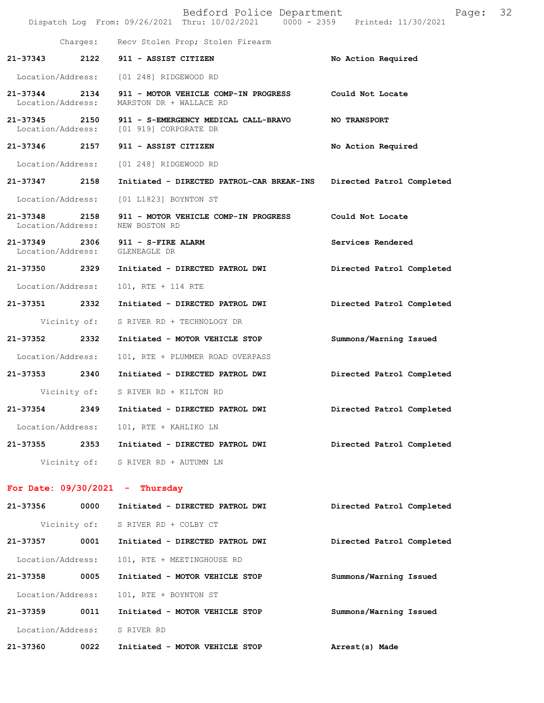|                                    |              | Bedford Police Department<br>Dispatch Log From: 09/26/2021 Thru: 10/02/2021 0000 - 2359 Printed: 11/30/2021 | Page:                     | 32 |
|------------------------------------|--------------|-------------------------------------------------------------------------------------------------------------|---------------------------|----|
|                                    |              | Charges: Recv Stolen Prop; Stolen Firearm                                                                   |                           |    |
| 21-37343                           | 2122         | 911 - ASSIST CITIZEN                                                                                        | No Action Required        |    |
| Location/Address:                  |              | [01 248] RIDGEWOOD RD                                                                                       |                           |    |
| 21-37344<br>Location/Address:      | 2134         | 911 - MOTOR VEHICLE COMP-IN PROGRESS<br>MARSTON DR + WALLACE RD                                             | Could Not Locate          |    |
| $21 - 37345$                       | 2150         | 911 - S-EMERGENCY MEDICAL CALL-BRAVO<br>Location/Address: [01 919] CORPORATE DR                             | <b>NO TRANSPORT</b>       |    |
| 21-37346                           | 2157         | 911 - ASSIST CITIZEN                                                                                        | No Action Required        |    |
| Location/Address:                  |              | [01 248] RIDGEWOOD RD                                                                                       |                           |    |
| 21-37347 2158                      |              | Initiated - DIRECTED PATROL-CAR BREAK-INS                                                                   | Directed Patrol Completed |    |
| Location/Address:                  |              | [01 L1823] BOYNTON ST                                                                                       |                           |    |
| 21-37348<br>Location/Address:      | 2158         | 911 - MOTOR VEHICLE COMP-IN PROGRESS<br>NEW BOSTON RD                                                       | Could Not Locate          |    |
| 21-37349 2306<br>Location/Address: |              | 911 - S-FIRE ALARM<br>GLENEAGLE DR                                                                          | Services Rendered         |    |
| 21-37350 2329                      |              | Initiated - DIRECTED PATROL DWI                                                                             | Directed Patrol Completed |    |
| Location/Address:                  |              | 101, RTE + 114 RTE                                                                                          |                           |    |
| 21-37351                           | 2332         | Initiated - DIRECTED PATROL DWI                                                                             | Directed Patrol Completed |    |
|                                    | Vicinity of: | S RIVER RD + TECHNOLOGY DR                                                                                  |                           |    |
| 21-37352                           | 2332         | Initiated - MOTOR VEHICLE STOP                                                                              | Summons/Warning Issued    |    |
| Location/Address:                  |              | 101, RTE + PLUMMER ROAD OVERPASS                                                                            |                           |    |
| 21-37353 2340                      |              | Initiated - DIRECTED PATROL DWI                                                                             | Directed Patrol Completed |    |
|                                    |              | Vicinity of: S RIVER RD + KILTON RD                                                                         |                           |    |
| 21-37354                           | 2349         | Initiated - DIRECTED PATROL DWI                                                                             | Directed Patrol Completed |    |
| Location/Address:                  |              | 101, RTE + KAHLIKO LN                                                                                       |                           |    |
| 21-37355                           | 2353         | Initiated - DIRECTED PATROL DWI                                                                             | Directed Patrol Completed |    |
|                                    |              | Vicinity of: S RIVER RD + AUTUMN LN                                                                         |                           |    |
|                                    |              | For Date: $09/30/2021$ - Thursday                                                                           |                           |    |
| 21-37356                           | 0000         | Initiated - DIRECTED PATROL DWI                                                                             | Directed Patrol Completed |    |
|                                    | Vicinity of: | S RIVER RD + COLBY CT                                                                                       |                           |    |
| 21-37357                           | 0001         | Initiated - DIRECTED PATROL DWI                                                                             | Directed Patrol Completed |    |
| Location/Address:                  |              | 101, RTE + MEETINGHOUSE RD                                                                                  |                           |    |
| 21-37358                           | 0005         | Initiated - MOTOR VEHICLE STOP                                                                              | Summons/Warning Issued    |    |
| Location/Address:                  |              | 101, RTE + BOYNTON ST                                                                                       |                           |    |
| 21-37359                           | 0011         | Initiated - MOTOR VEHICLE STOP                                                                              | Summons/Warning Issued    |    |

Location/Address: S RIVER RD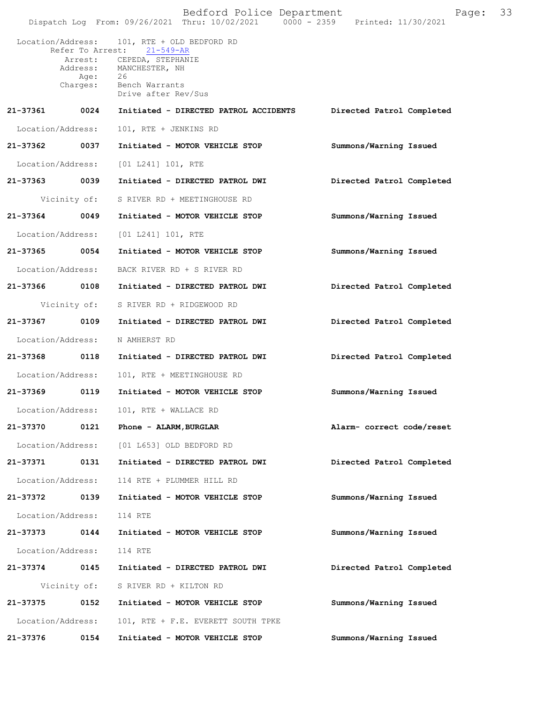|                   |              | Bedford Police Department<br>Dispatch Log From: 09/26/2021 Thru: 10/02/2021   0000 - 2359   Printed: 11/30/2021                                                                       | Page:                     | 33 |
|-------------------|--------------|---------------------------------------------------------------------------------------------------------------------------------------------------------------------------------------|---------------------------|----|
|                   | Charges:     | Location/Address: 101, RTE + OLD BEDFORD RD<br>Refer To Arrest: 21-549-AR<br>Arrest: CEPEDA, STEPHANIE<br>Address: MANCHESTER, NH<br>Age: 26<br>Bench Warrants<br>Drive after Rev/Sus |                           |    |
| 21-37361 0024     |              | Initiated - DIRECTED PATROL ACCIDENTS                                                                                                                                                 | Directed Patrol Completed |    |
| Location/Address: |              | 101, RTE + JENKINS RD                                                                                                                                                                 |                           |    |
| 21-37362 0037     |              | Initiated - MOTOR VEHICLE STOP                                                                                                                                                        | Summons/Warning Issued    |    |
| Location/Address: |              | $[01 L241] 101$ , RTE                                                                                                                                                                 |                           |    |
| 21-37363 0039     |              | Initiated - DIRECTED PATROL DWI                                                                                                                                                       | Directed Patrol Completed |    |
|                   | Vicinity of: | S RIVER RD + MEETINGHOUSE RD                                                                                                                                                          |                           |    |
| 21-37364 0049     |              | Initiated - MOTOR VEHICLE STOP                                                                                                                                                        | Summons/Warning Issued    |    |
| Location/Address: |              | [01 L241] 101, RTE                                                                                                                                                                    |                           |    |
| 21-37365 0054     |              | Initiated - MOTOR VEHICLE STOP                                                                                                                                                        | Summons/Warning Issued    |    |
| Location/Address: |              | BACK RIVER RD + S RIVER RD                                                                                                                                                            |                           |    |
| 21-37366 0108     |              | Initiated - DIRECTED PATROL DWI                                                                                                                                                       | Directed Patrol Completed |    |
|                   |              | Vicinity of: S RIVER RD + RIDGEWOOD RD                                                                                                                                                |                           |    |
| 21-37367 0109     |              | Initiated - DIRECTED PATROL DWI                                                                                                                                                       | Directed Patrol Completed |    |
| Location/Address: |              | N AMHERST RD                                                                                                                                                                          |                           |    |
| 21-37368 0118     |              | Initiated - DIRECTED PATROL DWI                                                                                                                                                       | Directed Patrol Completed |    |
| Location/Address: |              | 101, RTE + MEETINGHOUSE RD                                                                                                                                                            |                           |    |
| 21-37369 0119     |              | Initiated - MOTOR VEHICLE STOP                                                                                                                                                        | Summons/Warning Issued    |    |
| Location/Address: |              | 101, RTE + WALLACE RD                                                                                                                                                                 |                           |    |
| 21-37370          | 0121         | Phone - ALARM, BURGLAR                                                                                                                                                                | Alarm- correct code/reset |    |
| Location/Address: |              | [01 L653] OLD BEDFORD RD                                                                                                                                                              |                           |    |
| 21-37371          | 0131         | Initiated - DIRECTED PATROL DWI                                                                                                                                                       | Directed Patrol Completed |    |
| Location/Address: |              | 114 RTE + PLUMMER HILL RD                                                                                                                                                             |                           |    |
| 21-37372          | 0139         | Initiated - MOTOR VEHICLE STOP                                                                                                                                                        | Summons/Warning Issued    |    |
| Location/Address: |              | 114 RTE                                                                                                                                                                               |                           |    |
| 21-37373          | 0144         | Initiated - MOTOR VEHICLE STOP                                                                                                                                                        | Summons/Warning Issued    |    |
| Location/Address: |              | 114 RTE                                                                                                                                                                               |                           |    |
| 21-37374          | 0145         | Initiated - DIRECTED PATROL DWI                                                                                                                                                       | Directed Patrol Completed |    |
|                   | Vicinity of: | S RIVER RD + KILTON RD                                                                                                                                                                |                           |    |
| 21-37375          | 0152         | Initiated - MOTOR VEHICLE STOP                                                                                                                                                        | Summons/Warning Issued    |    |
| Location/Address: |              | 101, RTE + F.E. EVERETT SOUTH TPKE                                                                                                                                                    |                           |    |
| 21-37376          | 0154         | Initiated - MOTOR VEHICLE STOP                                                                                                                                                        | Summons/Warning Issued    |    |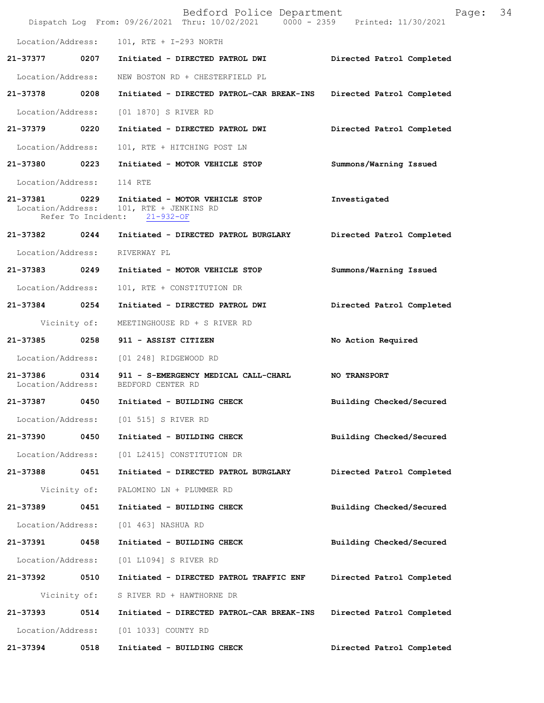|                               |                            | Bedford Police Department<br>Dispatch Log From: 09/26/2021 Thru: 10/02/2021 0000 - 2359 Printed: 11/30/2021 | Page:                     | 34 |
|-------------------------------|----------------------------|-------------------------------------------------------------------------------------------------------------|---------------------------|----|
| Location/Address:             |                            | 101, RTE + I-293 NORTH                                                                                      |                           |    |
| 21-37377 0207                 |                            | Initiated - DIRECTED PATROL DWI                                                                             | Directed Patrol Completed |    |
| Location/Address:             |                            | NEW BOSTON RD + CHESTERFIELD PL                                                                             |                           |    |
| 21-37378                      | 0208                       | Initiated - DIRECTED PATROL-CAR BREAK-INS Directed Patrol Completed                                         |                           |    |
| Location/Address:             |                            | [01 1870] S RIVER RD                                                                                        |                           |    |
| 21-37379 0220                 |                            | Initiated - DIRECTED PATROL DWI                                                                             | Directed Patrol Completed |    |
| Location/Address:             |                            | 101, RTE + HITCHING POST LN                                                                                 |                           |    |
| 21-37380 0223                 |                            | Initiated - MOTOR VEHICLE STOP                                                                              | Summons/Warning Issued    |    |
| Location/Address:             |                            | 114 RTE                                                                                                     |                           |    |
| 21-37381<br>Location/Address: | 0229<br>Refer To Incident: | Initiated - MOTOR VEHICLE STOP<br>101, RTE + JENKINS RD<br>$21 - 932 - OF$                                  | Investigated              |    |
|                               |                            | 21-37382 0244 Initiated - DIRECTED PATROL BURGLARY                                                          | Directed Patrol Completed |    |
| Location/Address:             |                            | RIVERWAY PL                                                                                                 |                           |    |
| 21-37383 0249                 |                            | Initiated - MOTOR VEHICLE STOP                                                                              | Summons/Warning Issued    |    |
| Location/Address:             |                            | 101, RTE + CONSTITUTION DR                                                                                  |                           |    |
| 21-37384 0254                 |                            | Initiated - DIRECTED PATROL DWI                                                                             | Directed Patrol Completed |    |
|                               | Vicinity of:               | MEETINGHOUSE RD + S RIVER RD                                                                                |                           |    |
| 21-37385                      | 0258                       | 911 - ASSIST CITIZEN                                                                                        | No Action Required        |    |
|                               |                            | Location/Address: [01 248] RIDGEWOOD RD                                                                     |                           |    |
|                               |                            | 21-37386 0314 911 - S-EMERGENCY MEDICAL CALL-CHARL<br>Location/Address: BEDFORD CENTER RD                   | NO TRANSPORT              |    |
| 21-37387                      | 0450                       | Initiated - BUILDING CHECK                                                                                  | Building Checked/Secured  |    |
|                               |                            | Location/Address: [01 515] S RIVER RD                                                                       |                           |    |
| 21-37390                      | 0450                       | Initiated - BUILDING CHECK                                                                                  | Building Checked/Secured  |    |
| Location/Address:             |                            | [01 L2415] CONSTITUTION DR                                                                                  |                           |    |
| 21-37388                      | 0451                       | Initiated - DIRECTED PATROL BURGLARY                                                                        | Directed Patrol Completed |    |
|                               | Vicinity of:               | PALOMINO LN + PLUMMER RD                                                                                    |                           |    |
| 21-37389                      | 0451                       | Initiated - BUILDING CHECK                                                                                  | Building Checked/Secured  |    |
| Location/Address:             |                            | [01 463] NASHUA RD                                                                                          |                           |    |
| 21-37391                      | 0458                       | Initiated - BUILDING CHECK                                                                                  | Building Checked/Secured  |    |
| Location/Address:             |                            | [01 L1094] S RIVER RD                                                                                       |                           |    |
| 21-37392                      | 0510                       | Initiated - DIRECTED PATROL TRAFFIC ENF                                                                     | Directed Patrol Completed |    |
|                               | Vicinity of:               | S RIVER RD + HAWTHORNE DR                                                                                   |                           |    |
| 21-37393                      | 0514                       | Initiated - DIRECTED PATROL-CAR BREAK-INS                                                                   | Directed Patrol Completed |    |
| Location/Address:             |                            | [01 1033] COUNTY RD                                                                                         |                           |    |
| 21-37394                      | 0518                       | Initiated - BUILDING CHECK                                                                                  | Directed Patrol Completed |    |
|                               |                            |                                                                                                             |                           |    |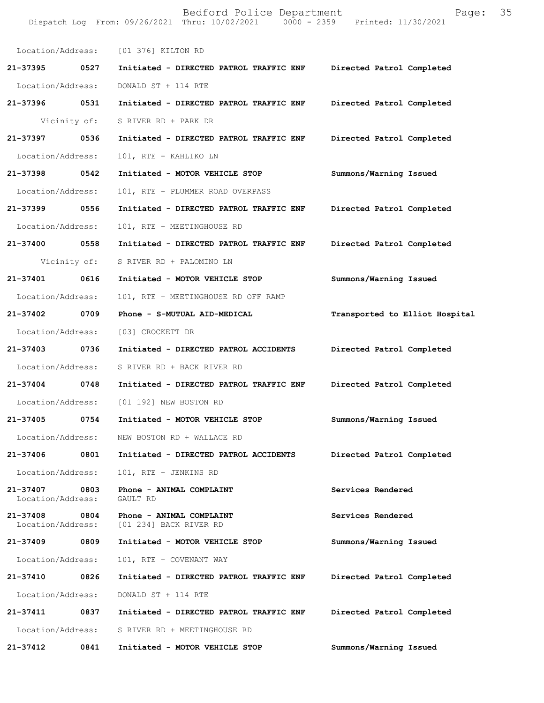|                                    |              | Bedford Police Department<br>Dispatch Log From: 09/26/2021 Thru: 10/02/2021 0000 - 2359 Printed: 11/30/2021 | Page: 35                       |  |
|------------------------------------|--------------|-------------------------------------------------------------------------------------------------------------|--------------------------------|--|
|                                    |              | Location/Address: [01 376] KILTON RD                                                                        |                                |  |
| 21-37395 0527                      |              | Initiated - DIRECTED PATROL TRAFFIC ENF Directed Patrol Completed                                           |                                |  |
| Location/Address:                  |              | DONALD ST + 114 RTE                                                                                         |                                |  |
| 21-37396 0531                      |              | Initiated - DIRECTED PATROL TRAFFIC ENF                                                                     | Directed Patrol Completed      |  |
|                                    | Vicinity of: | S RIVER RD + PARK DR                                                                                        |                                |  |
| 21-37397 0536                      |              | Initiated - DIRECTED PATROL TRAFFIC ENF                                                                     | Directed Patrol Completed      |  |
| Location/Address:                  |              | 101, RTE + KAHLIKO LN                                                                                       |                                |  |
| 21-37398 0542                      |              | Initiated - MOTOR VEHICLE STOP                                                                              | Summons/Warning Issued         |  |
| Location/Address:                  |              | 101, RTE + PLUMMER ROAD OVERPASS                                                                            |                                |  |
| 21-37399 0556                      |              | Initiated - DIRECTED PATROL TRAFFIC ENF                                                                     | Directed Patrol Completed      |  |
| Location/Address:                  |              | 101, RTE + MEETINGHOUSE RD                                                                                  |                                |  |
| 21-37400 0558                      |              | Initiated - DIRECTED PATROL TRAFFIC ENF                                                                     | Directed Patrol Completed      |  |
|                                    | Vicinity of: | S RIVER RD + PALOMINO LN                                                                                    |                                |  |
| 21-37401 0616                      |              | Initiated - MOTOR VEHICLE STOP                                                                              | Summons/Warning Issued         |  |
| Location/Address:                  |              | 101, RTE + MEETINGHOUSE RD OFF RAMP                                                                         |                                |  |
| 21-37402 0709                      |              | Phone - S-MUTUAL AID-MEDICAL                                                                                | Transported to Elliot Hospital |  |
| Location/Address:                  |              | [03] CROCKETT DR                                                                                            |                                |  |
| 21-37403 0736                      |              | Initiated - DIRECTED PATROL ACCIDENTS                                                                       | Directed Patrol Completed      |  |
|                                    |              | Location/Address: S RIVER RD + BACK RIVER RD                                                                |                                |  |
| 21-37404 0748                      |              | Initiated - DIRECTED PATROL TRAFFIC ENF                                                                     | Directed Patrol Completed      |  |
|                                    |              | Location/Address: [01 192] NEW BOSTON RD                                                                    |                                |  |
| 21-37405                           | 0754         | Initiated - MOTOR VEHICLE STOP                                                                              | Summons/Warning Issued         |  |
| Location/Address:                  |              | NEW BOSTON RD + WALLACE RD                                                                                  |                                |  |
| 21-37406                           | 0801         | Initiated - DIRECTED PATROL ACCIDENTS                                                                       | Directed Patrol Completed      |  |
| Location/Address:                  |              | 101, RTE + JENKINS RD                                                                                       |                                |  |
| 21-37407 0803<br>Location/Address: |              | Phone - ANIMAL COMPLAINT<br>GAULT RD                                                                        | Services Rendered              |  |
| 21-37408<br>Location/Address:      | 0804         | Phone - ANIMAL COMPLAINT<br>[01 234] BACK RIVER RD                                                          | Services Rendered              |  |
| 21-37409                           | 0809         | Initiated - MOTOR VEHICLE STOP                                                                              | Summons/Warning Issued         |  |
| Location/Address:                  |              | 101, RTE + COVENANT WAY                                                                                     |                                |  |
| 21-37410                           | 0826         | Initiated - DIRECTED PATROL TRAFFIC ENF                                                                     | Directed Patrol Completed      |  |
| Location/Address:                  |              | DONALD ST + 114 RTE                                                                                         |                                |  |
| 21-37411 0837                      |              | Initiated - DIRECTED PATROL TRAFFIC ENF                                                                     | Directed Patrol Completed      |  |
|                                    |              | Location/Address: S RIVER RD + MEETINGHOUSE RD                                                              |                                |  |
| 21-37412                           | 0841         | Initiated - MOTOR VEHICLE STOP                                                                              | Summons/Warning Issued         |  |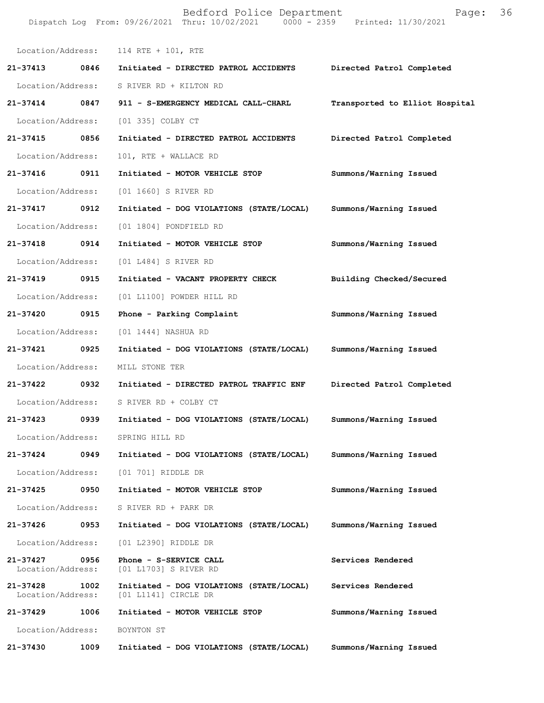|                               |      | Bedford Police Department<br>Dispatch Log From: 09/26/2021 Thru: 10/02/2021 0000 - 2359 Printed: 11/30/2021 | Page:                          | 36 |
|-------------------------------|------|-------------------------------------------------------------------------------------------------------------|--------------------------------|----|
|                               |      | Location/Address: 114 RTE + 101, RTE                                                                        |                                |    |
| 21-37413                      | 0846 | Initiated - DIRECTED PATROL ACCIDENTS                                                                       | Directed Patrol Completed      |    |
| Location/Address:             |      | S RIVER RD + KILTON RD                                                                                      |                                |    |
| 21-37414 0847                 |      | 911 - S-EMERGENCY MEDICAL CALL-CHARL                                                                        | Transported to Elliot Hospital |    |
| Location/Address:             |      | [01 335] COLBY CT                                                                                           |                                |    |
| 21-37415 0856                 |      | Initiated - DIRECTED PATROL ACCIDENTS                                                                       | Directed Patrol Completed      |    |
| Location/Address:             |      | 101, RTE + WALLACE RD                                                                                       |                                |    |
| 21-37416                      | 0911 | Initiated - MOTOR VEHICLE STOP                                                                              | Summons/Warning Issued         |    |
| Location/Address:             |      | [01 1660] S RIVER RD                                                                                        |                                |    |
| 21-37417                      | 0912 | Initiated - DOG VIOLATIONS (STATE/LOCAL)                                                                    | Summons/Warning Issued         |    |
| Location/Address:             |      | [01 1804] PONDFIELD RD                                                                                      |                                |    |
| 21-37418 0914                 |      | Initiated - MOTOR VEHICLE STOP                                                                              | Summons/Warning Issued         |    |
| Location/Address:             |      | [01 L484] S RIVER RD                                                                                        |                                |    |
| 21-37419                      | 0915 | Initiated - VACANT PROPERTY CHECK                                                                           | Building Checked/Secured       |    |
| Location/Address:             |      | [01 L1100] POWDER HILL RD                                                                                   |                                |    |
| 21-37420                      | 0915 | Phone - Parking Complaint                                                                                   | Summons/Warning Issued         |    |
| Location/Address:             |      | [01 1444] NASHUA RD                                                                                         |                                |    |
| 21-37421 0925                 |      | Initiated - DOG VIOLATIONS (STATE/LOCAL)                                                                    | Summons/Warning Issued         |    |
| Location/Address:             |      | MILL STONE TER                                                                                              |                                |    |
| 21-37422 0932                 |      | Initiated - DIRECTED PATROL TRAFFIC ENF                                                                     | Directed Patrol Completed      |    |
|                               |      | Location/Address: S RIVER RD + COLBY CT                                                                     |                                |    |
| 21-37423                      | 0939 | Initiated - DOG VIOLATIONS (STATE/LOCAL)                                                                    | Summons/Warning Issued         |    |
| Location/Address:             |      | SPRING HILL RD                                                                                              |                                |    |
| 21-37424                      | 0949 | Initiated - DOG VIOLATIONS (STATE/LOCAL)                                                                    | Summons/Warning Issued         |    |
| Location/Address:             |      | $[01 701]$ RIDDLE DR                                                                                        |                                |    |
| 21-37425                      | 0950 | Initiated - MOTOR VEHICLE STOP                                                                              | Summons/Warning Issued         |    |
| Location/Address:             |      | S RIVER RD + PARK DR                                                                                        |                                |    |
| 21-37426                      | 0953 | Initiated - DOG VIOLATIONS (STATE/LOCAL)                                                                    | Summons/Warning Issued         |    |
| Location/Address:             |      | [01 L2390] RIDDLE DR                                                                                        |                                |    |
| 21-37427<br>Location/Address: | 0956 | Phone - S-SERVICE CALL<br>[01 L1703] S RIVER RD                                                             | Services Rendered              |    |
| 21-37428<br>Location/Address: | 1002 | Initiated - DOG VIOLATIONS (STATE/LOCAL)<br>$[01 L1141]$ CIRCLE DR                                          | Services Rendered              |    |
| 21-37429                      | 1006 | Initiated - MOTOR VEHICLE STOP                                                                              | Summons/Warning Issued         |    |
| Location/Address:             |      | BOYNTON ST                                                                                                  |                                |    |
| 21-37430                      | 1009 | Initiated - DOG VIOLATIONS (STATE/LOCAL)                                                                    | Summons/Warning Issued         |    |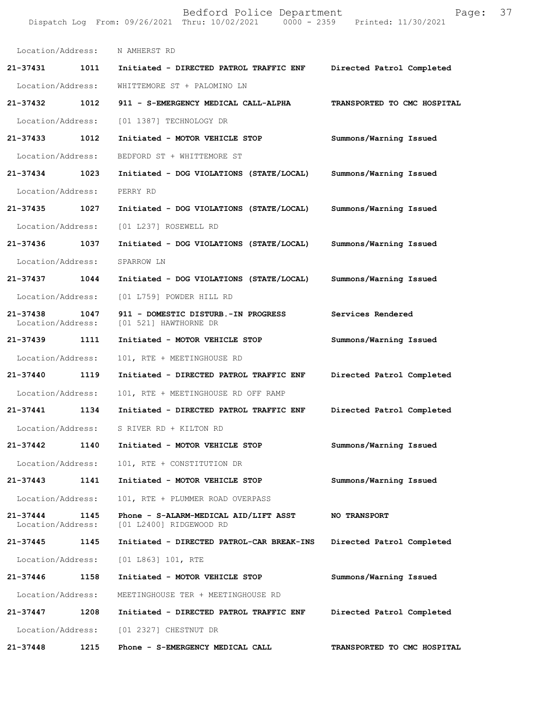|                               |      | Bedford Police Department<br>Dispatch Log From: 09/26/2021 Thru: 10/02/2021 0000 - 2359 Printed: 11/30/2021 | Page:                       | 37 |
|-------------------------------|------|-------------------------------------------------------------------------------------------------------------|-----------------------------|----|
| Location/Address:             |      | N AMHERST RD                                                                                                |                             |    |
| 21-37431                      | 1011 | Initiated - DIRECTED PATROL TRAFFIC ENF                                                                     | Directed Patrol Completed   |    |
| Location/Address:             |      | WHITTEMORE ST + PALOMINO LN                                                                                 |                             |    |
| 21-37432                      | 1012 | 911 - S-EMERGENCY MEDICAL CALL-ALPHA                                                                        | TRANSPORTED TO CMC HOSPITAL |    |
| Location/Address:             |      | [01 1387] TECHNOLOGY DR                                                                                     |                             |    |
| 21-37433                      | 1012 | Initiated - MOTOR VEHICLE STOP                                                                              | Summons/Warning Issued      |    |
| Location/Address:             |      | BEDFORD ST + WHITTEMORE ST                                                                                  |                             |    |
| 21-37434                      | 1023 | Initiated - DOG VIOLATIONS (STATE/LOCAL)                                                                    | Summons/Warning Issued      |    |
| Location/Address:             |      | PERRY RD                                                                                                    |                             |    |
| 21-37435                      | 1027 | Initiated - DOG VIOLATIONS (STATE/LOCAL)                                                                    | Summons/Warning Issued      |    |
| Location/Address:             |      | [01 L237] ROSEWELL RD                                                                                       |                             |    |
| 21-37436                      | 1037 | Initiated - DOG VIOLATIONS (STATE/LOCAL)                                                                    | Summons/Warning Issued      |    |
| Location/Address:             |      | SPARROW LN                                                                                                  |                             |    |
| 21-37437                      | 1044 | Initiated - DOG VIOLATIONS (STATE/LOCAL)                                                                    | Summons/Warning Issued      |    |
| Location/Address:             |      | [01 L759] POWDER HILL RD                                                                                    |                             |    |
| 21-37438<br>Location/Address: | 1047 | 911 - DOMESTIC DISTURB.-IN PROGRESS<br>[01 521] HAWTHORNE DR                                                | Services Rendered           |    |
| 21-37439                      | 1111 | Initiated - MOTOR VEHICLE STOP                                                                              | Summons/Warning Issued      |    |
| Location/Address:             |      | 101, RTE + MEETINGHOUSE RD                                                                                  |                             |    |
| 21-37440                      | 1119 | Initiated - DIRECTED PATROL TRAFFIC ENF                                                                     | Directed Patrol Completed   |    |
| Location/Address:             |      | 101, RTE + MEETINGHOUSE RD OFF RAMP                                                                         |                             |    |
| 21-37441                      | 1134 | Initiated - DIRECTED PATROL TRAFFIC ENF                                                                     | Directed Patrol Completed   |    |
| Location/Address:             |      | S RIVER RD + KILTON RD                                                                                      |                             |    |
| 21-37442                      | 1140 | Initiated - MOTOR VEHICLE STOP                                                                              | Summons/Warning Issued      |    |
| Location/Address:             |      | 101, RTE + CONSTITUTION DR                                                                                  |                             |    |
| 21-37443                      | 1141 | Initiated - MOTOR VEHICLE STOP                                                                              | Summons/Warning Issued      |    |
| Location/Address:             |      | 101, RTE + PLUMMER ROAD OVERPASS                                                                            |                             |    |
| 21-37444<br>Location/Address: | 1145 | Phone - S-ALARM-MEDICAL AID/LIFT ASST<br>[01 L2400] RIDGEWOOD RD                                            | <b>NO TRANSPORT</b>         |    |
| 21-37445                      | 1145 | Initiated - DIRECTED PATROL-CAR BREAK-INS                                                                   | Directed Patrol Completed   |    |
| Location/Address:             |      | [01 L863] 101, RTE                                                                                          |                             |    |
| 21-37446                      | 1158 | Initiated - MOTOR VEHICLE STOP                                                                              | Summons/Warning Issued      |    |
| Location/Address:             |      | MEETINGHOUSE TER + MEETINGHOUSE RD                                                                          |                             |    |
| 21-37447                      | 1208 | Initiated - DIRECTED PATROL TRAFFIC ENF                                                                     | Directed Patrol Completed   |    |
| Location/Address:             |      | [01 2327] CHESTNUT DR                                                                                       |                             |    |
| 21-37448                      | 1215 | Phone - S-EMERGENCY MEDICAL CALL                                                                            | TRANSPORTED TO CMC HOSPITAL |    |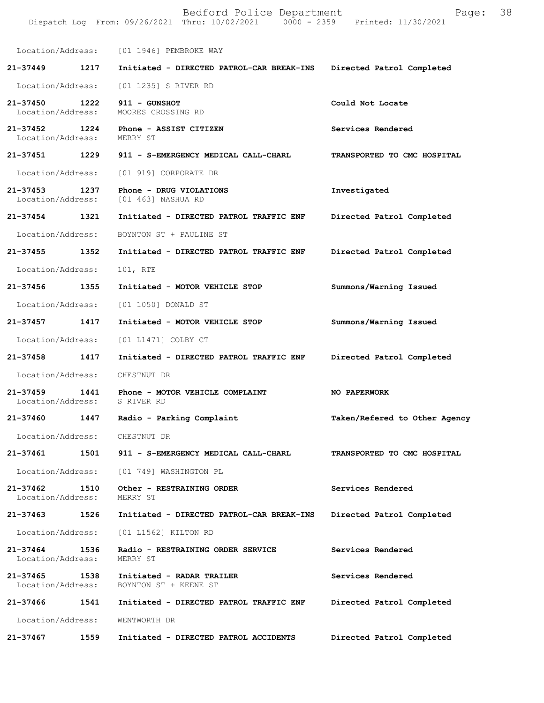Bedford Police Department Follow Page: 38 Dispatch Log From: 09/26/2021 Thru: 10/02/2021 0000 - 2359 Printed: 11/30/2021 Location/Address: [01 1946] PEMBROKE WAY **21-37449 1217 Initiated - DIRECTED PATROL-CAR BREAK-INS Directed Patrol Completed**  Location/Address: [01 1235] S RIVER RD **21-37450 1222 911 - GUNSHOT Could Not Locate**  Location/Address: MOORES CROSSING RD **21-37452 1224 Phone - ASSIST CITIZEN Services Rendered**  Location/Address: MERRY ST **21-37451 1229 911 - S-EMERGENCY MEDICAL CALL-CHARL TRANSPORTED TO CMC HOSPITAL**  Location/Address: [01 919] CORPORATE DR **21-37453 1237 Phone - DRUG VIOLATIONS Investigated**  [01 463] NASHUA RD **21-37454 1321 Initiated - DIRECTED PATROL TRAFFIC ENF Directed Patrol Completed**  Location/Address: BOYNTON ST + PAULINE ST **21-37455 1352 Initiated - DIRECTED PATROL TRAFFIC ENF Directed Patrol Completed**  Location/Address: 101, RTE **21-37456 1355 Initiated - MOTOR VEHICLE STOP Summons/Warning Issued**  Location/Address: [01 1050] DONALD ST **21-37457 1417 Initiated - MOTOR VEHICLE STOP Summons/Warning Issued**  Location/Address: [01 L1471] COLBY CT **21-37458 1417 Initiated - DIRECTED PATROL TRAFFIC ENF Directed Patrol Completed**  Location/Address: CHESTNUT DR **21-37459 1441 Phone - MOTOR VEHICLE COMPLAINT NO PAPERWORK**  Location/Address: S RIVER RD **21-37460 1447 Radio - Parking Complaint Taken/Refered to Other Agency** Location/Address: CHESTNUT DR **21-37461 1501 911 - S-EMERGENCY MEDICAL CALL-CHARL TRANSPORTED TO CMC HOSPITAL**  Location/Address: [01 749] WASHINGTON PL **21-37462 1510 Other - RESTRAINING ORDER Services Rendered**  Location/Address: **21-37463 1526 Initiated - DIRECTED PATROL-CAR BREAK-INS Directed Patrol Completed**  Location/Address: [01 L1562] KILTON RD **21-37464 1536 Radio - RESTRAINING ORDER SERVICE Services Rendered**  Location/Address: MERRY ST **21-37465 1538 Initiated - RADAR TRAILER Services Rendered**  Location/Address: BOYNTON ST + KEENE ST **21-37466 1541 Initiated - DIRECTED PATROL TRAFFIC ENF Directed Patrol Completed**  Location/Address: WENTWORTH DR **21-37467 1559 Initiated - DIRECTED PATROL ACCIDENTS Directed Patrol Completed**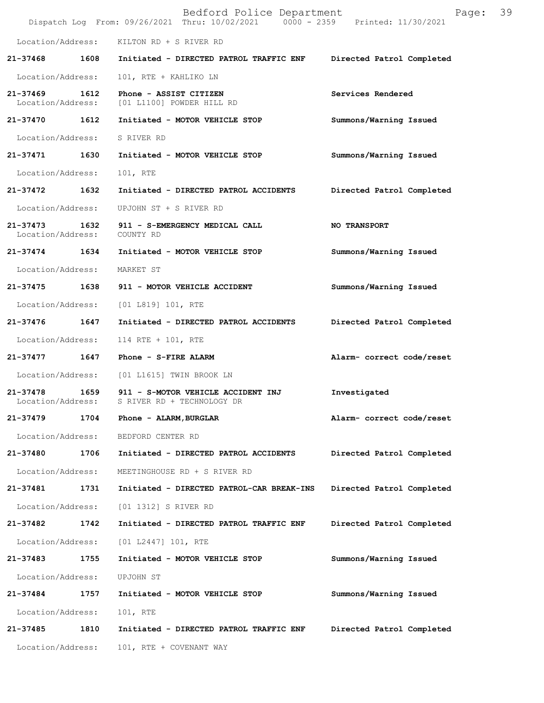|                                    |      | Bedford Police Department<br>Dispatch Log From: 09/26/2021 Thru: 10/02/2021 0000 - 2359 Printed: 11/30/2021 | Page:                     | 39 |
|------------------------------------|------|-------------------------------------------------------------------------------------------------------------|---------------------------|----|
|                                    |      | Location/Address: KILTON RD + S RIVER RD                                                                    |                           |    |
| $21 - 37468$                       | 1608 | Initiated - DIRECTED PATROL TRAFFIC ENF                                                                     | Directed Patrol Completed |    |
| Location/Address:                  |      | 101, RTE + KAHLIKO LN                                                                                       |                           |    |
| 21-37469 1612                      |      | Phone - ASSIST CITIZEN<br>Location/Address: [01 L1100] POWDER HILL RD                                       | Services Rendered         |    |
| 21-37470 1612                      |      | Initiated - MOTOR VEHICLE STOP                                                                              | Summons/Warning Issued    |    |
| Location/Address:                  |      | S RIVER RD                                                                                                  |                           |    |
| 21-37471                           | 1630 | Initiated - MOTOR VEHICLE STOP                                                                              | Summons/Warning Issued    |    |
| Location/Address:                  |      | 101, RTE                                                                                                    |                           |    |
| 21-37472                           | 1632 | Initiated - DIRECTED PATROL ACCIDENTS                                                                       | Directed Patrol Completed |    |
| Location/Address:                  |      | UPJOHN ST + S RIVER RD                                                                                      |                           |    |
| 21-37473 1632<br>Location/Address: |      | 911 - S-EMERGENCY MEDICAL CALL<br>COUNTY RD                                                                 | NO TRANSPORT              |    |
| 21-37474 1634                      |      | Initiated - MOTOR VEHICLE STOP                                                                              | Summons/Warning Issued    |    |
| Location/Address:                  |      | MARKET ST                                                                                                   |                           |    |
| 21-37475 1638                      |      | 911 - MOTOR VEHICLE ACCIDENT                                                                                | Summons/Warning Issued    |    |
|                                    |      | Location/Address: [01 L819] 101, RTE                                                                        |                           |    |
| 21-37476                           | 1647 | Initiated - DIRECTED PATROL ACCIDENTS                                                                       | Directed Patrol Completed |    |
| Location/Address:                  |      | 114 RTE + 101, RTE                                                                                          |                           |    |
| $21 - 37477$                       | 1647 | Phone - S-FIRE ALARM                                                                                        | Alarm- correct code/reset |    |
|                                    |      | Location/Address: [01 L1615] TWIN BROOK LN                                                                  |                           |    |
| 21-37478 1659<br>Location/Address: |      | 911 - S-MOTOR VEHICLE ACCIDENT INJ<br>S RIVER RD + TECHNOLOGY DR                                            | Investigated              |    |
| 21-37479                           | 1704 | Phone - ALARM, BURGLAR                                                                                      | Alarm- correct code/reset |    |
| Location/Address:                  |      | BEDFORD CENTER RD                                                                                           |                           |    |
| 21-37480                           | 1706 | Initiated - DIRECTED PATROL ACCIDENTS                                                                       | Directed Patrol Completed |    |
| Location/Address:                  |      | MEETINGHOUSE RD + S RIVER RD                                                                                |                           |    |
| 21-37481                           | 1731 | Initiated - DIRECTED PATROL-CAR BREAK-INS                                                                   | Directed Patrol Completed |    |
| Location/Address:                  |      | [01 1312] S RIVER RD                                                                                        |                           |    |
| 21-37482                           | 1742 | Initiated - DIRECTED PATROL TRAFFIC ENF                                                                     | Directed Patrol Completed |    |
| Location/Address:                  |      | [01 L2447] 101, RTE                                                                                         |                           |    |
| 21-37483                           | 1755 | Initiated - MOTOR VEHICLE STOP                                                                              | Summons/Warning Issued    |    |
| Location/Address:                  |      | UPJOHN ST                                                                                                   |                           |    |
| 21-37484                           | 1757 | Initiated - MOTOR VEHICLE STOP                                                                              | Summons/Warning Issued    |    |
| Location/Address:                  |      | 101, RTE                                                                                                    |                           |    |
| 21-37485                           | 1810 | Initiated - DIRECTED PATROL TRAFFIC ENF                                                                     | Directed Patrol Completed |    |
| Location/Address:                  |      | 101, RTE + COVENANT WAY                                                                                     |                           |    |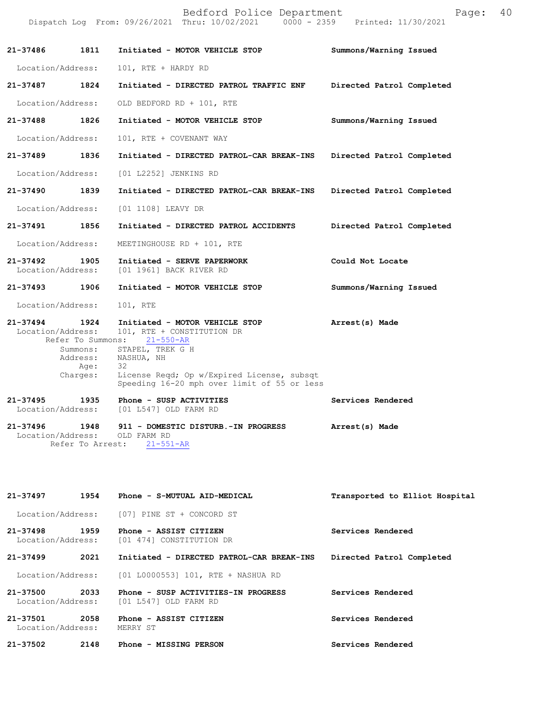|                                    |                              | Dispatch Log From: 09/26/2021 Thru: 10/02/2021 0000 - 2359 Printed: 11/30/2021                                                                                                                                                            |                           |
|------------------------------------|------------------------------|-------------------------------------------------------------------------------------------------------------------------------------------------------------------------------------------------------------------------------------------|---------------------------|
| 21-37486 1811                      |                              | Initiated - MOTOR VEHICLE STOP                                                                                                                                                                                                            | Summons/Warning Issued    |
| Location/Address:                  |                              | 101, RTE + HARDY RD                                                                                                                                                                                                                       |                           |
| 21-37487 1824                      |                              | Initiated - DIRECTED PATROL TRAFFIC ENF                                                                                                                                                                                                   | Directed Patrol Completed |
| Location/Address:                  |                              | OLD BEDFORD RD + 101, RTE                                                                                                                                                                                                                 |                           |
| 21-37488 1826                      |                              | Initiated - MOTOR VEHICLE STOP                                                                                                                                                                                                            | Summons/Warning Issued    |
| Location/Address:                  |                              | 101, RTE + COVENANT WAY                                                                                                                                                                                                                   |                           |
| 21-37489 1836                      |                              | Initiated - DIRECTED PATROL-CAR BREAK-INS Directed Patrol Completed                                                                                                                                                                       |                           |
| Location/Address:                  |                              | [01 L2252] JENKINS RD                                                                                                                                                                                                                     |                           |
| 21-37490 1839                      |                              | Initiated - DIRECTED PATROL-CAR BREAK-INS Directed Patrol Completed                                                                                                                                                                       |                           |
| Location/Address:                  |                              | [01 1108] LEAVY DR                                                                                                                                                                                                                        |                           |
| 21-37491 1856                      |                              | Initiated - DIRECTED PATROL ACCIDENTS Directed Patrol Completed                                                                                                                                                                           |                           |
| Location/Address:                  |                              | MEETINGHOUSE RD + 101, RTE                                                                                                                                                                                                                |                           |
| Location/Address:                  |                              | 21-37492 1905 Initiated - SERVE PAPERWORK<br>[01 1961] BACK RIVER RD                                                                                                                                                                      | Could Not Locate          |
| 21-37493 1906                      |                              | Initiated - MOTOR VEHICLE STOP                                                                                                                                                                                                            | Summons/Warning Issued    |
| Location/Address:                  |                              | 101, RTE                                                                                                                                                                                                                                  |                           |
| 21-37494 1924<br>Location/Address: | Address:<br>Age:<br>Charges: | Initiated - MOTOR VEHICLE STOP<br>101, RTE + CONSTITUTION DR<br>Refer To Summons: 21-550-AR<br>Summons: STAPEL, TREK G H<br>NASHUA, NH<br>32<br>License Regd; Op w/Expired License, subsqt<br>Speeding 16-20 mph over limit of 55 or less | Arrest(s) Made            |
| Location/Address:                  |                              | 21-37495 1935 Phone - SUSP ACTIVITIES<br>[01 L547] OLD FARM RD                                                                                                                                                                            | Services Rendered         |
| 21-37496 1948<br>Location/Address: |                              | 911 - DOMESTIC DISTURB.-IN PROGRESS<br>OLD FARM RD<br>Refer To Arrest: 21-551-AR                                                                                                                                                          | Arrest(s) Made            |

Bedford Police Department Page: 40

**Transported to Elliot Hospital Services Rendered Directed Patrol Completed 21-37499 2021 Initiated - DIRECTED PATROL-CAR BREAK-INS Services Rendered Services Rendered Services Rendered 21-37497 1954 Phone - S-MUTUAL AID-MEDICAL** Location/Address: [07] PINE ST + CONCORD ST **21-37498 1959 Phone - ASSIST CITIZEN** [01 474] CONSTITUTION DR Location/Address: [01 L0000553] 101, RTE + NASHUA RD **21-37500 2033 Phone - SUSP ACTIVITIES-IN PROGRESS** Location/Address: [01 L547] OLD FARM RD **21-37501 2058 Phone - ASSIST CITIZEN** Location/Address: **21-37502 2148 Phone - MISSING PERSON**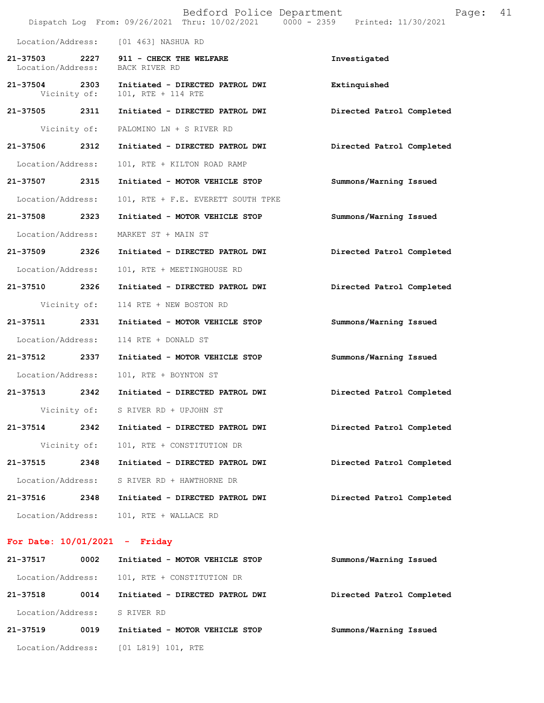|                                    |      | Bedford Police Department<br>Dispatch Log From: 09/26/2021 Thru: 10/02/2021 0000 - 2359 Printed: 11/30/2021 | 41<br>Page:               |
|------------------------------------|------|-------------------------------------------------------------------------------------------------------------|---------------------------|
|                                    |      | Location/Address: [01 463] NASHUA RD                                                                        |                           |
| 21–37503 2227<br>Location/Address: |      | 911 - CHECK THE WELFARE<br>BACK RIVER RD                                                                    | Investigated              |
| 21-37504 2303<br>Vicinity of:      |      | Initiated - DIRECTED PATROL DWI<br>101, RTE + 114 RTE                                                       | Extinquished              |
| 21-37505 2311                      |      | Initiated - DIRECTED PATROL DWI                                                                             | Directed Patrol Completed |
| Vicinity of:                       |      | PALOMINO LN + S RIVER RD                                                                                    |                           |
| 21-37506                           | 2312 | Initiated - DIRECTED PATROL DWI                                                                             | Directed Patrol Completed |
| Location/Address:                  |      | 101, RTE + KILTON ROAD RAMP                                                                                 |                           |
| 21-37507 2315                      |      | Initiated - MOTOR VEHICLE STOP                                                                              | Summons/Warning Issued    |
| Location/Address:                  |      | 101, RTE + F.E. EVERETT SOUTH TPKE                                                                          |                           |
| 21-37508                           | 2323 | Initiated - MOTOR VEHICLE STOP                                                                              | Summons/Warning Issued    |
| Location/Address:                  |      | MARKET ST + MAIN ST                                                                                         |                           |
| 21-37509                           | 2326 | Initiated - DIRECTED PATROL DWI                                                                             | Directed Patrol Completed |
| Location/Address:                  |      | 101, RTE + MEETINGHOUSE RD                                                                                  |                           |
| 21-37510 2326                      |      | Initiated - DIRECTED PATROL DWI                                                                             | Directed Patrol Completed |
| Vicinity of:                       |      | 114 RTE + NEW BOSTON RD                                                                                     |                           |
| 21-37511                           | 2331 | Initiated - MOTOR VEHICLE STOP                                                                              | Summons/Warning Issued    |
| Location/Address:                  |      | 114 RTE + DONALD ST                                                                                         |                           |
| 21-37512                           | 2337 | Initiated - MOTOR VEHICLE STOP                                                                              | Summons/Warning Issued    |
| Location/Address:                  |      | 101, RTE + BOYNTON ST                                                                                       |                           |
| 21-37513                           | 2342 | Initiated - DIRECTED PATROL DWI                                                                             | Directed Patrol Completed |
| Vicinity of:                       |      | S RIVER RD + UPJOHN ST                                                                                      |                           |
| 21-37514                           | 2342 | Initiated - DIRECTED PATROL DWI                                                                             | Directed Patrol Completed |
| Vicinity of:                       |      | 101, RTE + CONSTITUTION DR                                                                                  |                           |
| 21-37515                           | 2348 | Initiated - DIRECTED PATROL DWI                                                                             | Directed Patrol Completed |
| Location/Address:                  |      | S RIVER RD + HAWTHORNE DR                                                                                   |                           |
| 21-37516                           | 2348 | Initiated - DIRECTED PATROL DWI                                                                             | Directed Patrol Completed |
| Location/Address:                  |      | 101, RTE + WALLACE RD                                                                                       |                           |

## **For Date: 10/01/2021 - Friday**

| 21-37517          | 0002 | Initiated - MOTOR VEHICLE STOP  | Summons/Warning Issued    |
|-------------------|------|---------------------------------|---------------------------|
| Location/Address: |      | 101, RTE + CONSTITUTION DR      |                           |
| 21-37518          | 0014 | Initiated - DIRECTED PATROL DWI | Directed Patrol Completed |
| Location/Address: |      | S RIVER RD                      |                           |
| $21 - 37519$      | 0019 | Initiated - MOTOR VEHICLE STOP  | Summons/Warning Issued    |
| Location/Address: |      | $[01 L819] 101$ , RTE           |                           |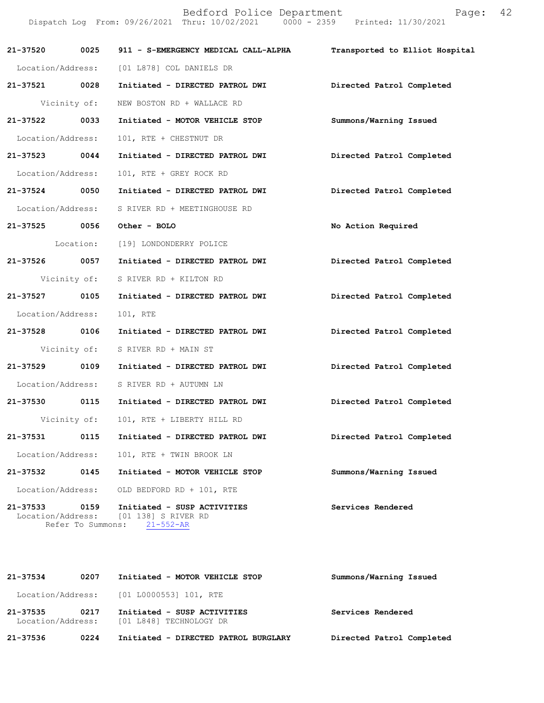Bedford Police Department Page: 42 Dispatch Log From: 09/26/2021 Thru: 10/02/2021 0000 - 2359 Printed: 11/30/2021 **21-37520 0025 911 - S-EMERGENCY MEDICAL CALL-ALPHA Transported to Elliot Hospital** Location/Address: [01 L878] COL DANIELS DR **21-37521 0028 Initiated - DIRECTED PATROL DWI Directed Patrol Completed** Vicinity of: NEW BOSTON RD + WALLACE RD **21-37522 0033 Initiated - MOTOR VEHICLE STOP Summons/Warning Issued** Location/Address: 101, RTE + CHESTNUT DR **21-37523 0044 Initiated - DIRECTED PATROL DWI Directed Patrol Completed** Location/Address: 101, RTE + GREY ROCK RD **21-37524 0050 Initiated - DIRECTED PATROL DWI Directed Patrol Completed** Location/Address: S RIVER RD + MEETINGHOUSE RD **21-37525 0056 Other - BOLO No Action Required** Location: [19] LONDONDERRY POLICE **21-37526 0057 Initiated - DIRECTED PATROL DWI Directed Patrol Completed** Vicinity of: S RIVER RD + KILTON RD **21-37527 0105 Initiated - DIRECTED PATROL DWI Directed Patrol Completed** Location/Address: 101, RTE **21-37528 0106 Initiated - DIRECTED PATROL DWI Directed Patrol Completed** Vicinity of: S RIVER RD + MAIN ST **21-37529 0109 Initiated - DIRECTED PATROL DWI Directed Patrol Completed** Location/Address: S RIVER RD + AUTUMN LN **21-37530 0115 Initiated - DIRECTED PATROL DWI Directed Patrol Completed** Vicinity of: 101, RTE + LIBERTY HILL RD **21-37531 0115 Initiated - DIRECTED PATROL DWI Directed Patrol Completed** Location/Address: 101, RTE + TWIN BROOK LN **21-37532 0145 Initiated - MOTOR VEHICLE STOP Summons/Warning Issued** Location/Address: OLD BEDFORD RD + 101, RTE 21-37533 0159 Initiated - SUSP ACTIVITIES Services Rendered Location/Address: [01 138] S RIVER RD Location/Address: [01 138] S RIVER RD Refer To Summons: 21-552-AR

| $21 - 37534$ | 0207 | Initiated - MOTOR VEHICLE STOP                                           | Summons/Warning Issued    |
|--------------|------|--------------------------------------------------------------------------|---------------------------|
|              |      | Location/Address: [01 L0000553] 101, RTE                                 |                           |
| 21-37535     | 0217 | Initiated - SUSP ACTIVITIES<br>Location/Address: [01 L848] TECHNOLOGY DR | Services Rendered         |
| 21-37536     | 0224 | Initiated - DIRECTED PATROL BURGLARY                                     | Directed Patrol Completed |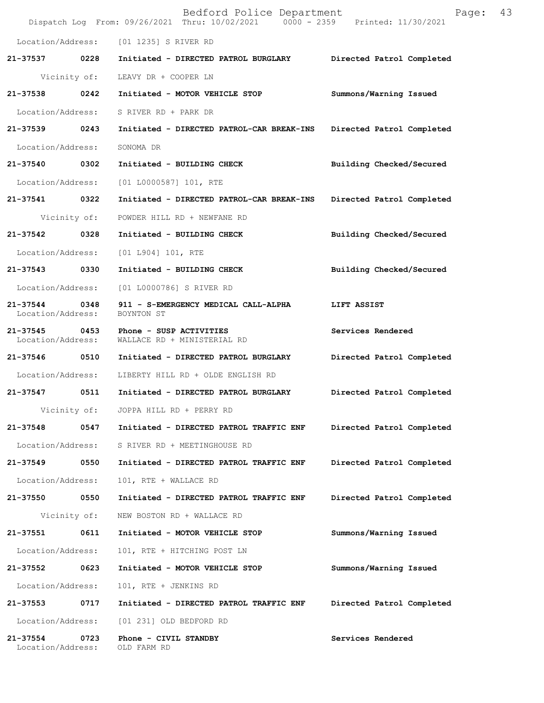|                                    |      | Bedford Police Department<br>Dispatch Log From: 09/26/2021 Thru: 10/02/2021 0000 - 2359 Printed: 11/30/2021 | 43<br>Page:               |
|------------------------------------|------|-------------------------------------------------------------------------------------------------------------|---------------------------|
|                                    |      | Location/Address: [01 1235] S RIVER RD                                                                      |                           |
|                                    |      | 21-37537 0228 Initiated - DIRECTED PATROL BURGLARY Directed Patrol Completed                                |                           |
|                                    |      | Vicinity of: LEAVY DR + COOPER LN                                                                           |                           |
|                                    |      | 21-37538 0242 Initiated - MOTOR VEHICLE STOP                                                                | Summons/Warning Issued    |
| Location/Address:                  |      | S RIVER RD + PARK DR                                                                                        |                           |
| 21-37539 0243                      |      | Initiated - DIRECTED PATROL-CAR BREAK-INS                                                                   | Directed Patrol Completed |
| Location/Address:                  |      | SONOMA DR                                                                                                   |                           |
| 21-37540 0302                      |      | Initiated - BUILDING CHECK                                                                                  | Building Checked/Secured  |
|                                    |      | Location/Address: [01 L0000587] 101, RTE                                                                    |                           |
| 21-37541 0322                      |      | Initiated - DIRECTED PATROL-CAR BREAK-INS Directed Patrol Completed                                         |                           |
| Vicinity of:                       |      | POWDER HILL RD + NEWFANE RD                                                                                 |                           |
| 21-37542 0328                      |      | Initiated - BUILDING CHECK                                                                                  | Building Checked/Secured  |
| Location/Address:                  |      | $[01 1904] 101$ , RTE                                                                                       |                           |
| 21-37543 0330                      |      | Initiated - BUILDING CHECK                                                                                  | Building Checked/Secured  |
| Location/Address:                  |      | [01 L0000786] S RIVER RD                                                                                    |                           |
| 21-37544 0348<br>Location/Address: |      | 911 - S-EMERGENCY MEDICAL CALL-ALPHA<br>BOYNTON ST                                                          | LIFT ASSIST               |
| Location/Address:                  |      | 21-37545 0453 Phone - SUSP ACTIVITIES<br>WALLACE RD + MINISTERIAL RD                                        | Services Rendered         |
|                                    |      |                                                                                                             | Directed Patrol Completed |
| Location/Address:                  |      | LIBERTY HILL RD + OLDE ENGLISH RD                                                                           |                           |
|                                    |      |                                                                                                             | Directed Patrol Completed |
| Vicinity of:                       |      | JOPPA HILL RD + PERRY RD                                                                                    |                           |
| 21-37548                           | 0547 | Initiated - DIRECTED PATROL TRAFFIC ENF                                                                     | Directed Patrol Completed |
| Location/Address:                  |      | S RIVER RD + MEETINGHOUSE RD                                                                                |                           |
| 21-37549                           | 0550 | Initiated - DIRECTED PATROL TRAFFIC ENF                                                                     | Directed Patrol Completed |
| Location/Address:                  |      | 101, RTE + WALLACE RD                                                                                       |                           |
| 21-37550                           | 0550 | Initiated - DIRECTED PATROL TRAFFIC ENF                                                                     | Directed Patrol Completed |
| Vicinity of:                       |      | NEW BOSTON RD + WALLACE RD                                                                                  |                           |
| 21-37551                           | 0611 | Initiated - MOTOR VEHICLE STOP                                                                              | Summons/Warning Issued    |
| Location/Address:                  |      | 101, RTE + HITCHING POST LN                                                                                 |                           |
| 21-37552                           | 0623 | Initiated - MOTOR VEHICLE STOP                                                                              | Summons/Warning Issued    |
| Location/Address:                  |      | 101, RTE + JENKINS RD                                                                                       |                           |
| 21-37553                           | 0717 | Initiated - DIRECTED PATROL TRAFFIC ENF                                                                     | Directed Patrol Completed |
| Location/Address:                  |      | [01 231] OLD BEDFORD RD                                                                                     |                           |
| 21-37554<br>Location/Address:      | 0723 | Phone - CIVIL STANDBY<br>OLD FARM RD                                                                        | Services Rendered         |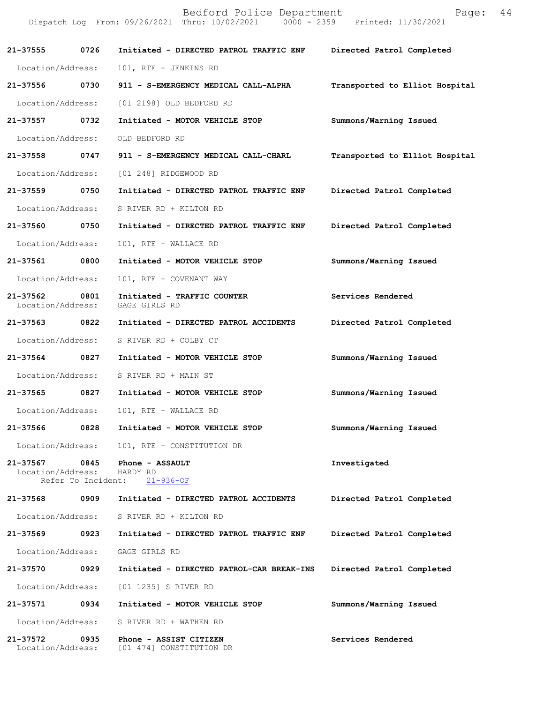|                               |      | Bedford Police Department<br>Dispatch Log From: 09/26/2021 Thru: 10/02/2021 0000 - 2359 Printed: 11/30/2021 | 44<br>Page:                    |
|-------------------------------|------|-------------------------------------------------------------------------------------------------------------|--------------------------------|
| 21-37555                      | 0726 | Initiated - DIRECTED PATROL TRAFFIC ENF                                                                     | Directed Patrol Completed      |
| Location/Address:             |      | 101, RTE + JENKINS RD                                                                                       |                                |
| 21-37556                      | 0730 | 911 - S-EMERGENCY MEDICAL CALL-ALPHA                                                                        | Transported to Elliot Hospital |
| Location/Address:             |      | [01 2198] OLD BEDFORD RD                                                                                    |                                |
| 21-37557 0732                 |      | Initiated - MOTOR VEHICLE STOP                                                                              | Summons/Warning Issued         |
| Location/Address:             |      | OLD BEDFORD RD                                                                                              |                                |
| 21-37558                      | 0747 | 911 - S-EMERGENCY MEDICAL CALL-CHARL                                                                        | Transported to Elliot Hospital |
| Location/Address:             |      | [01 248] RIDGEWOOD RD                                                                                       |                                |
| 21-37559                      | 0750 | Initiated - DIRECTED PATROL TRAFFIC ENF                                                                     | Directed Patrol Completed      |
| Location/Address:             |      | S RIVER RD + KILTON RD                                                                                      |                                |
| 21-37560 0750                 |      | Initiated - DIRECTED PATROL TRAFFIC ENF                                                                     | Directed Patrol Completed      |
| Location/Address:             |      | 101, RTE + WALLACE RD                                                                                       |                                |
| 21-37561                      | 0800 | Initiated - MOTOR VEHICLE STOP                                                                              | Summons/Warning Issued         |
| Location/Address:             |      | 101, RTE + COVENANT WAY                                                                                     |                                |
| 21-37562<br>Location/Address: | 0801 | Initiated - TRAFFIC COUNTER<br>GAGE GIRLS RD                                                                | Services Rendered              |
| 21-37563 0822                 |      | Initiated - DIRECTED PATROL ACCIDENTS                                                                       | Directed Patrol Completed      |
| Location/Address:             |      | S RIVER RD + COLBY CT                                                                                       |                                |
| 21-37564                      | 0827 | Initiated - MOTOR VEHICLE STOP                                                                              | Summons/Warning Issued         |
| Location/Address:             |      | S RIVER RD + MAIN ST                                                                                        |                                |
| 21-37565                      | 0827 | Initiated - MOTOR VEHICLE STOP                                                                              | Summons/Warning Issued         |
| Location/Address:             |      | 101, RTE + WALLACE RD                                                                                       |                                |
| 21-37566                      | 0828 | Initiated - MOTOR VEHICLE STOP                                                                              | Summons/Warning Issued         |
| Location/Address:             |      | 101, RTE + CONSTITUTION DR                                                                                  |                                |
| 21-37567<br>Location/Address: | 0845 | Phone - ASSAULT<br>HARDY RD<br>Refer To Incident: 21-936-OF                                                 | Investigated                   |
| 21-37568 0909                 |      | Initiated - DIRECTED PATROL ACCIDENTS                                                                       | Directed Patrol Completed      |
| Location/Address:             |      | S RIVER RD + KILTON RD                                                                                      |                                |
| 21-37569                      | 0923 | Initiated - DIRECTED PATROL TRAFFIC ENF                                                                     | Directed Patrol Completed      |
| Location/Address:             |      | GAGE GIRLS RD                                                                                               |                                |
| 21-37570                      | 0929 | Initiated - DIRECTED PATROL-CAR BREAK-INS                                                                   | Directed Patrol Completed      |
| Location/Address:             |      | [01 1235] S RIVER RD                                                                                        |                                |
| 21-37571 0934                 |      | Initiated - MOTOR VEHICLE STOP                                                                              | Summons/Warning Issued         |
| Location/Address:             |      | S RIVER RD + WATHEN RD                                                                                      |                                |
| 21-37572<br>Location/Address: | 0935 | Phone - ASSIST CITIZEN<br>[01 474] CONSTITUTION DR                                                          | Services Rendered              |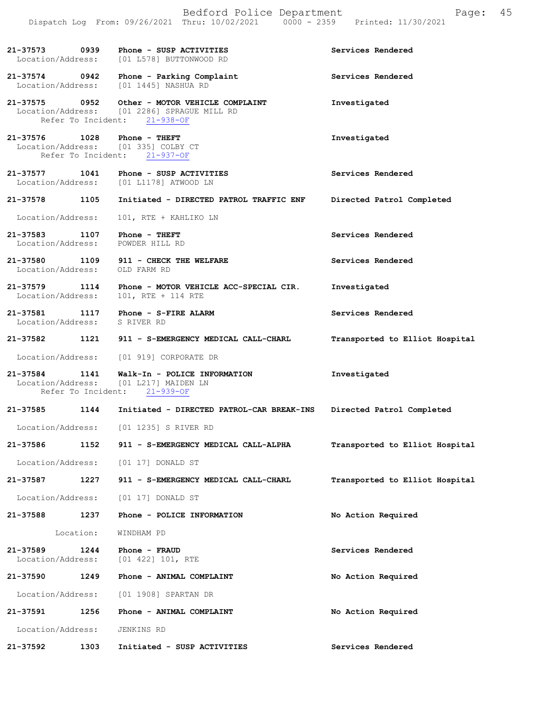|                                    |                    | Bedford Police Department<br>Dispatch Log From: 09/26/2021 Thru: 10/02/2021 0000 - 2359 Printed: 11/30/2021     | Page:                          | 45 |
|------------------------------------|--------------------|-----------------------------------------------------------------------------------------------------------------|--------------------------------|----|
| 21-37573<br>Location/Address:      | 0939               | Phone - SUSP ACTIVITIES<br>[01 L578] BUTTONWOOD RD                                                              | Services Rendered              |    |
| 21-37574 0942<br>Location/Address: |                    | Phone - Parking Complaint<br>[01 1445] NASHUA RD                                                                | Services Rendered              |    |
|                                    | Refer To Incident: | 21-37575 0952 Other - MOTOR VEHICLE COMPLAINT<br>Location/Address: [01 2286] SPRAGUE MILL RD<br>$21 - 938 - OF$ | Investigated                   |    |
|                                    | Refer To Incident: | 21-37576 1028 Phone - THEFT<br>Location/Address: [01 335] COLBY CT<br>$21 - 937 - OF$                           | Investigated                   |    |
| 21-37577 1041                      |                    | Phone - SUSP ACTIVITIES<br>Location/Address: [01 L1178] ATWOOD LN                                               | Services Rendered              |    |
| 21-37578 1105                      |                    | Initiated - DIRECTED PATROL TRAFFIC ENF                                                                         | Directed Patrol Completed      |    |
| Location/Address:                  |                    | 101, RTE + KAHLIKO LN                                                                                           |                                |    |
| 21-37583 1107<br>Location/Address: |                    | Phone - THEFT<br>POWDER HILL RD                                                                                 | Services Rendered              |    |
|                                    |                    | 21-37580 1109 911 - CHECK THE WELFARE<br>Location/Address: OLD FARM RD                                          | Services Rendered              |    |
| 21-37579 1114<br>Location/Address: |                    | Phone - MOTOR VEHICLE ACC-SPECIAL CIR.<br>101, RTE + 114 RTE                                                    | Investigated                   |    |
| Location/Address: S RIVER RD       |                    | 21-37581 1117 Phone - S-FIRE ALARM                                                                              | Services Rendered              |    |
|                                    |                    | 21-37582 1121 911 - S-EMERGENCY MEDICAL CALL-CHARL                                                              | Transported to Elliot Hospital |    |
| Location/Address:                  |                    | [01 919] CORPORATE DR                                                                                           |                                |    |
| 21-37584 1141                      | Refer To Incident: | Walk-In - POLICE INFORMATION<br>Location/Address: [01 L217] MAIDEN LN<br>$21 - 939 - OF$                        | Investigated                   |    |
| 21-37585                           | 1144               | Initiated - DIRECTED PATROL-CAR BREAK-INS                                                                       | Directed Patrol Completed      |    |
| Location/Address:                  |                    | [01 1235] S RIVER RD                                                                                            |                                |    |
| 21-37586                           | 1152               | 911 - S-EMERGENCY MEDICAL CALL-ALPHA                                                                            | Transported to Elliot Hospital |    |
| Location/Address:                  |                    | $[01 17]$ DONALD ST                                                                                             |                                |    |
| 21-37587                           | 1227               | 911 - S-EMERGENCY MEDICAL CALL-CHARL                                                                            | Transported to Elliot Hospital |    |
| Location/Address:                  |                    | [01 17] DONALD ST                                                                                               |                                |    |
| 21-37588                           | 1237               | Phone - POLICE INFORMATION                                                                                      | No Action Required             |    |
|                                    | Location:          | WINDHAM PD                                                                                                      |                                |    |
| 21-37589<br>Location/Address:      | 1244               | Phone - FRAUD<br>[01 422] 101, RTE                                                                              | Services Rendered              |    |
| 21-37590                           | 1249               | Phone - ANIMAL COMPLAINT                                                                                        | No Action Required             |    |
| Location/Address:                  |                    | [01 1908] SPARTAN DR                                                                                            |                                |    |
| 21-37591                           | 1256               | Phone - ANIMAL COMPLAINT                                                                                        | No Action Required             |    |
| Location/Address:                  |                    | JENKINS RD                                                                                                      |                                |    |
| 21-37592                           | 1303               | Initiated - SUSP ACTIVITIES                                                                                     | Services Rendered              |    |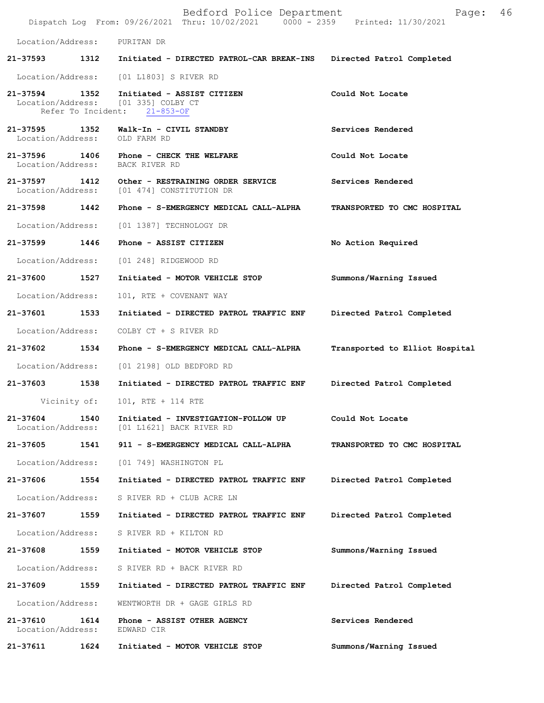|                                    |                    | Bedford Police Department<br>Dispatch Log From: 09/26/2021 Thru: 10/02/2021 0000 - 2359 Printed: 11/30/2021 | Page:                          | 46 |
|------------------------------------|--------------------|-------------------------------------------------------------------------------------------------------------|--------------------------------|----|
| Location/Address:                  |                    | PURITAN DR                                                                                                  |                                |    |
| 21-37593                           | 1312               | Initiated - DIRECTED PATROL-CAR BREAK-INS                                                                   | Directed Patrol Completed      |    |
| Location/Address:                  |                    | [01 L1803] S RIVER RD                                                                                       |                                |    |
| 21-37594 1352                      | Refer To Incident: | Initiated - ASSIST CITIZEN<br>Location/Address: [01 335] COLBY CT<br>$21 - 853 - OF$                        | Could Not Locate               |    |
| 21-37595 1352<br>Location/Address: |                    | Walk-In - CIVIL STANDBY<br>OLD FARM RD                                                                      | Services Rendered              |    |
| 21-37596 1406<br>Location/Address: |                    | Phone - CHECK THE WELFARE<br>BACK RIVER RD                                                                  | Could Not Locate               |    |
| 21-37597 1412<br>Location/Address: |                    | Other - RESTRAINING ORDER SERVICE<br>[01 474] CONSTITUTION DR                                               | Services Rendered              |    |
| 21-37598                           | 1442               | Phone - S-EMERGENCY MEDICAL CALL-ALPHA                                                                      | TRANSPORTED TO CMC HOSPITAL    |    |
| Location/Address:                  |                    | [01 1387] TECHNOLOGY DR                                                                                     |                                |    |
| 21-37599 1446                      |                    | Phone - ASSIST CITIZEN                                                                                      | No Action Required             |    |
| Location/Address:                  |                    | [01 248] RIDGEWOOD RD                                                                                       |                                |    |
| 21-37600 1527                      |                    | Initiated - MOTOR VEHICLE STOP                                                                              | Summons/Warning Issued         |    |
| Location/Address:                  |                    | 101, RTE + COVENANT WAY                                                                                     |                                |    |
| 21-37601                           | 1533               | Initiated - DIRECTED PATROL TRAFFIC ENF                                                                     | Directed Patrol Completed      |    |
| Location/Address:                  |                    | COLBY CT + S RIVER RD                                                                                       |                                |    |
| 21-37602                           | 1534               | Phone - S-EMERGENCY MEDICAL CALL-ALPHA                                                                      | Transported to Elliot Hospital |    |
| Location/Address:                  |                    | [01 2198] OLD BEDFORD RD                                                                                    |                                |    |
| 21-37603 1538                      |                    | Initiated - DIRECTED PATROL TRAFFIC ENF                                                                     | Directed Patrol Completed      |    |
| Vicinity of:                       |                    | 101, RTE + 114 RTE                                                                                          |                                |    |
| 21-37604<br>Location/Address:      | 1540               | Initiated - INVESTIGATION-FOLLOW UP<br>[01 L1621] BACK RIVER RD                                             | Could Not Locate               |    |
| 21-37605                           | 1541               | 911 - S-EMERGENCY MEDICAL CALL-ALPHA                                                                        | TRANSPORTED TO CMC HOSPITAL    |    |
| Location/Address:                  |                    | [01 749] WASHINGTON PL                                                                                      |                                |    |
| 21-37606                           | 1554               | Initiated - DIRECTED PATROL TRAFFIC ENF                                                                     | Directed Patrol Completed      |    |
| Location/Address:                  |                    | S RIVER RD + CLUB ACRE LN                                                                                   |                                |    |
| 21-37607                           | 1559               | Initiated - DIRECTED PATROL TRAFFIC ENF                                                                     | Directed Patrol Completed      |    |
| Location/Address:                  |                    | S RIVER RD + KILTON RD                                                                                      |                                |    |
| 21-37608                           | 1559               | Initiated - MOTOR VEHICLE STOP                                                                              | Summons/Warning Issued         |    |
| Location/Address:                  |                    | S RIVER RD + BACK RIVER RD                                                                                  |                                |    |
| 21-37609                           | 1559               | Initiated - DIRECTED PATROL TRAFFIC ENF                                                                     | Directed Patrol Completed      |    |
| Location/Address:                  |                    | WENTWORTH DR + GAGE GIRLS RD                                                                                |                                |    |
| 21-37610<br>Location/Address:      | 1614               | Phone - ASSIST OTHER AGENCY<br>EDWARD CIR                                                                   | Services Rendered              |    |
| 21-37611                           | 1624               | Initiated - MOTOR VEHICLE STOP                                                                              | Summons/Warning Issued         |    |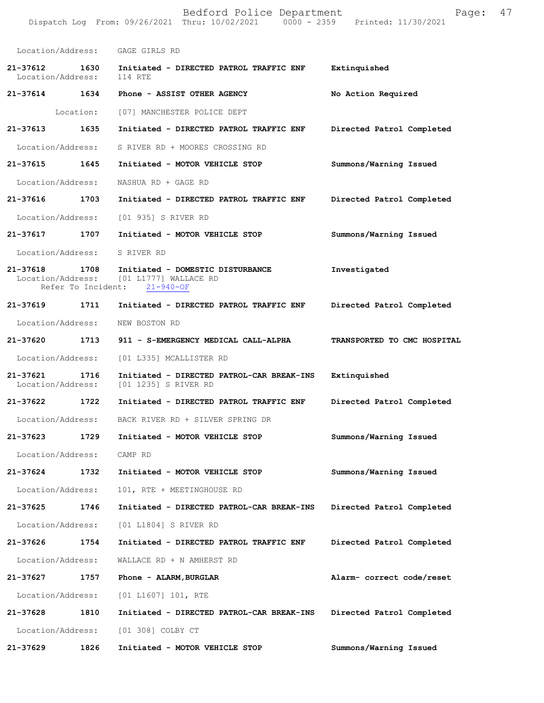|                               |           | Bedford Police Department<br>Dispatch Log From: 09/26/2021 Thru: 10/02/2021 0000 - 2359 Printed: 11/30/2021 | Page:                       | 47 |
|-------------------------------|-----------|-------------------------------------------------------------------------------------------------------------|-----------------------------|----|
|                               |           | Location/Address: GAGE GIRLS RD                                                                             |                             |    |
| 21-37612<br>Location/Address: | 1630      | Initiated - DIRECTED PATROL TRAFFIC ENF<br>114 RTE                                                          | Extinquished                |    |
| 21-37614 1634                 |           | Phone - ASSIST OTHER AGENCY                                                                                 | No Action Required          |    |
|                               | Location: | [07] MANCHESTER POLICE DEPT                                                                                 |                             |    |
| 21-37613                      | 1635      | Initiated - DIRECTED PATROL TRAFFIC ENF                                                                     | Directed Patrol Completed   |    |
| Location/Address:             |           | S RIVER RD + MOORES CROSSING RD                                                                             |                             |    |
| 21-37615                      | 1645      | Initiated - MOTOR VEHICLE STOP                                                                              | Summons/Warning Issued      |    |
| Location/Address:             |           | NASHUA RD + GAGE RD                                                                                         |                             |    |
| 21-37616                      | 1703      | Initiated - DIRECTED PATROL TRAFFIC ENF                                                                     | Directed Patrol Completed   |    |
| Location/Address:             |           | [01 935] S RIVER RD                                                                                         |                             |    |
| 21-37617 1707                 |           | Initiated - MOTOR VEHICLE STOP                                                                              | Summons/Warning Issued      |    |
| Location/Address:             |           | S RIVER RD                                                                                                  |                             |    |
| 21-37618                      | 1708      | Initiated - DOMESTIC DISTURBANCE<br>Location/Address: [01 L1777] WALLACE RD<br>Refer To Incident: 21-940-OF | Investigated                |    |
| 21-37619                      | 1711      | Initiated - DIRECTED PATROL TRAFFIC ENF                                                                     | Directed Patrol Completed   |    |
| Location/Address:             |           | NEW BOSTON RD                                                                                               |                             |    |
| 21-37620 1713                 |           | 911 - S-EMERGENCY MEDICAL CALL-ALPHA                                                                        | TRANSPORTED TO CMC HOSPITAL |    |
| Location/Address:             |           | [01 L335] MCALLISTER RD                                                                                     |                             |    |
| 21-37621<br>Location/Address: | 1716      | Initiated - DIRECTED PATROL-CAR BREAK-INS<br>[01 1235] S RIVER RD                                           | Extinquished                |    |
| 21-37622                      | 1722      | Initiated - DIRECTED PATROL TRAFFIC ENF                                                                     | Directed Patrol Completed   |    |
| Location/Address:             |           | BACK RIVER RD + SILVER SPRING DR                                                                            |                             |    |
| 21-37623                      | 1729      | Initiated - MOTOR VEHICLE STOP                                                                              | Summons/Warning Issued      |    |
| Location/Address:             |           | CAMP RD                                                                                                     |                             |    |
| 21-37624                      | 1732      | Initiated - MOTOR VEHICLE STOP                                                                              | Summons/Warning Issued      |    |
| Location/Address:             |           | 101, RTE + MEETINGHOUSE RD                                                                                  |                             |    |
| 21-37625                      | 1746      | Initiated - DIRECTED PATROL-CAR BREAK-INS                                                                   | Directed Patrol Completed   |    |
| Location/Address:             |           | [01 L1804] S RIVER RD                                                                                       |                             |    |
| 21-37626                      | 1754      | Initiated - DIRECTED PATROL TRAFFIC ENF                                                                     | Directed Patrol Completed   |    |
| Location/Address:             |           | WALLACE RD + N AMHERST RD                                                                                   |                             |    |
| 21-37627                      | 1757      | Phone - ALARM, BURGLAR                                                                                      | Alarm- correct code/reset   |    |
| Location/Address:             |           | [01 L1607] 101, RTE                                                                                         |                             |    |
| 21-37628                      | 1810      | Initiated - DIRECTED PATROL-CAR BREAK-INS                                                                   | Directed Patrol Completed   |    |
| Location/Address:             |           | [01 308] COLBY CT                                                                                           |                             |    |
| 21-37629                      | 1826      | Initiated - MOTOR VEHICLE STOP                                                                              | Summons/Warning Issued      |    |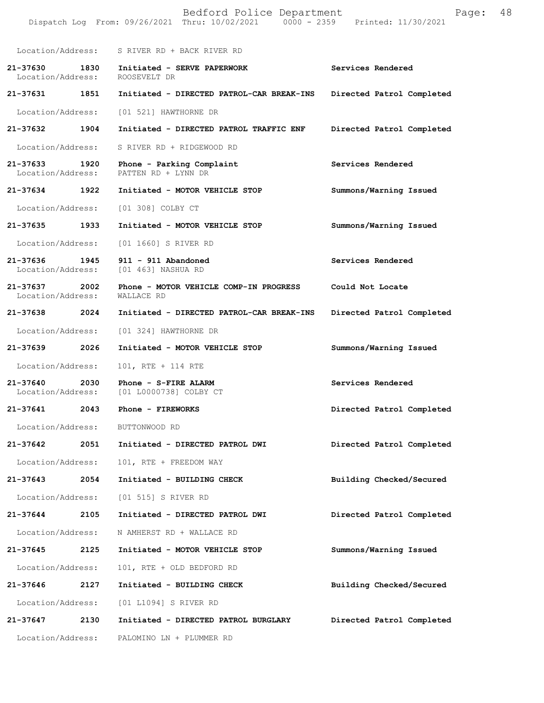|                                       | Dispatch Log From: 09/26/2021 Thru: 10/02/2021 0000 - 2359 Printed: 11/30/2021 |                           |
|---------------------------------------|--------------------------------------------------------------------------------|---------------------------|
|                                       | Location/Address: S RIVER RD + BACK RIVER RD                                   |                           |
| Location/Address:                     | 21-37630 1830 Initiated - SERVE PAPERWORK<br>ROOSEVELT DR                      | Services Rendered         |
| 21-37631 1851                         | Initiated - DIRECTED PATROL-CAR BREAK-INS                                      | Directed Patrol Completed |
| Location/Address:                     | [01 521] HAWTHORNE DR                                                          |                           |
| 21-37632 1904                         | Initiated - DIRECTED PATROL TRAFFIC ENF                                        | Directed Patrol Completed |
| Location/Address:                     | S RIVER RD + RIDGEWOOD RD                                                      |                           |
| 21-37633 1920<br>Location/Address:    | Phone - Parking Complaint<br>PATTEN RD + LYNN DR                               | Services Rendered         |
| 21-37634 1922                         | Initiated - MOTOR VEHICLE STOP                                                 | Summons/Warning Issued    |
| Location/Address:                     | [01 308] COLBY CT                                                              |                           |
| 21-37635 1933                         | Initiated - MOTOR VEHICLE STOP                                                 | Summons/Warning Issued    |
| Location/Address:                     | [01 1660] S RIVER RD                                                           |                           |
| 21-37636<br>1945<br>Location/Address: | 911 - 911 Abandoned<br>[01 463] NASHUA RD                                      | Services Rendered         |
| 21-37637 2002<br>Location/Address:    | Phone - MOTOR VEHICLE COMP-IN PROGRESS<br>WALLACE RD                           | Could Not Locate          |
| 21-37638 2024                         | Initiated - DIRECTED PATROL-CAR BREAK-INS                                      | Directed Patrol Completed |
| Location/Address:                     | [01 324] HAWTHORNE DR                                                          |                           |
| 21-37639 2026                         | Initiated - MOTOR VEHICLE STOP                                                 | Summons/Warning Issued    |
| Location/Address:                     | 101, RTE + 114 RTE                                                             |                           |
| 21-37640 2030                         | Phone - S-FIRE ALARM<br>Location/Address: [01 L0000738] COLBY CT               | Services Rendered         |
| 21-37641                              | 2043 Phone - FIREWORKS                                                         | Directed Patrol Completed |
| Location/Address: BUTTONWOOD RD       |                                                                                |                           |
| 21-37642<br>2051                      | Initiated - DIRECTED PATROL DWI                                                | Directed Patrol Completed |
| Location/Address:                     | 101, RTE + FREEDOM WAY                                                         |                           |
| 21-37643 2054                         | Initiated - BUILDING CHECK                                                     | Building Checked/Secured  |
| Location/Address:                     | [01 515] S RIVER RD                                                            |                           |
| 21-37644<br>2105                      | Initiated - DIRECTED PATROL DWI                                                | Directed Patrol Completed |
| Location/Address:                     | N AMHERST RD + WALLACE RD                                                      |                           |
| 21-37645 2125                         | Initiated - MOTOR VEHICLE STOP                                                 | Summons/Warning Issued    |
| Location/Address:                     | 101, RTE + OLD BEDFORD RD                                                      |                           |
| 21-37646 2127                         | Initiated - BUILDING CHECK                                                     | Building Checked/Secured  |
| Location/Address:                     | [01 L1094] S RIVER RD                                                          |                           |
| 21-37647<br>2130                      | Initiated - DIRECTED PATROL BURGLARY                                           | Directed Patrol Completed |
| Location/Address:                     | PALOMINO LN + PLUMMER RD                                                       |                           |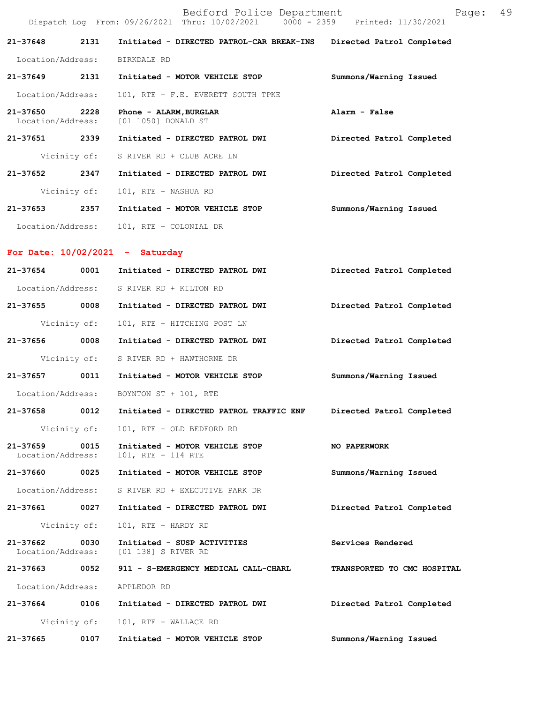|                                    |              | Bedford Police Department<br>Dispatch Log From: 09/26/2021 Thru: 10/02/2021 0000 - 2359 Printed: 11/30/2021 | Page: 49                  |  |
|------------------------------------|--------------|-------------------------------------------------------------------------------------------------------------|---------------------------|--|
| 21-37648                           | 2131         | Initiated - DIRECTED PATROL-CAR BREAK-INS Directed Patrol Completed                                         |                           |  |
| Location/Address:                  |              | BIRKDALE RD                                                                                                 |                           |  |
| 21-37649                           | 2131         | Initiated - MOTOR VEHICLE STOP                                                                              | Summons/Warning Issued    |  |
| Location/Address:                  |              | 101, RTE + F.E. EVERETT SOUTH TPKE                                                                          |                           |  |
| 21-37650 2228<br>Location/Address: |              | Phone - ALARM, BURGLAR<br>[01 1050] DONALD ST                                                               | Alarm - False             |  |
| 21-37651 2339                      |              | Initiated - DIRECTED PATROL DWI                                                                             | Directed Patrol Completed |  |
|                                    | Vicinity of: | S RIVER RD + CLUB ACRE LN                                                                                   |                           |  |
| 21-37652                           | 2347         | Initiated - DIRECTED PATROL DWI                                                                             | Directed Patrol Completed |  |
|                                    | Vicinity of: | 101, RTE + NASHUA RD                                                                                        |                           |  |
| 21–37653 2357                      |              | Initiated - MOTOR VEHICLE STOP                                                                              | Summons/Warning Issued    |  |
| Location/Address:                  |              | 101, RTE + COLONIAL DR                                                                                      |                           |  |
|                                    |              | For Date: $10/02/2021$ - Saturday                                                                           |                           |  |
| 21-37654                           | 0001         | Initiated - DIRECTED PATROL DWI                                                                             | Directed Patrol Completed |  |
|                                    |              | Location/Address: S RIVER RD + KILTON RD                                                                    |                           |  |
| 21-37655 0008                      |              | Initiated - DIRECTED PATROL DWI                                                                             | Directed Patrol Completed |  |
|                                    | Vicinity of: | 101, RTE + HITCHING POST LN                                                                                 |                           |  |
| 21-37656 0008                      |              | Initiated - DIRECTED PATROL DWI                                                                             | Directed Patrol Completed |  |
|                                    |              | Vicinity of: S RIVER RD + HAWTHORNE DR                                                                      |                           |  |
| 21-37657                           | 0011         | Initiated - MOTOR VEHICLE STOP                                                                              | Summons/Warning Issued    |  |
| Location/Address:                  |              | BOYNTON ST + 101, RTE                                                                                       |                           |  |
| 21-37658                           | 0012         | Initiated - DIRECTED PATROL TRAFFIC ENF                                                                     | Directed Patrol Completed |  |
|                                    | Vicinity of: | 101, RTE + OLD BEDFORD RD                                                                                   |                           |  |
| 21-37659<br>Location/Address:      | 0015         | Initiated - MOTOR VEHICLE STOP<br>101, RTE + 114 RTE                                                        | NO PAPERWORK              |  |
| 21-37660                           | 0025         | Initiated - MOTOR VEHICLE STOP                                                                              | Summons/Warning Issued    |  |
| Location/Address:                  |              | S RIVER RD + EXECUTIVE PARK DR                                                                              |                           |  |
| 21-37661                           | 0027         | Initiated - DIRECTED PATROL DWI                                                                             | Directed Patrol Completed |  |
|                                    | Vicinity of: | 101, RTE + HARDY RD                                                                                         |                           |  |
| 21-37662<br>Location/Address:      | 0030         | Initiated - SUSP ACTIVITIES<br>[01 138] S RIVER RD                                                          | Services Rendered         |  |

Location/Address: APPLEDOR RD

**21-37664 0106 Initiated - DIRECTED PATROL DWI Directed Patrol Completed**  Vicinity of: 101, RTE + WALLACE RD **21-37665 0107 Initiated - MOTOR VEHICLE STOP Summons/Warning Issued** 

**21-37663 0052 911 - S-EMERGENCY MEDICAL CALL-CHARL TRANSPORTED TO CMC HOSPITAL**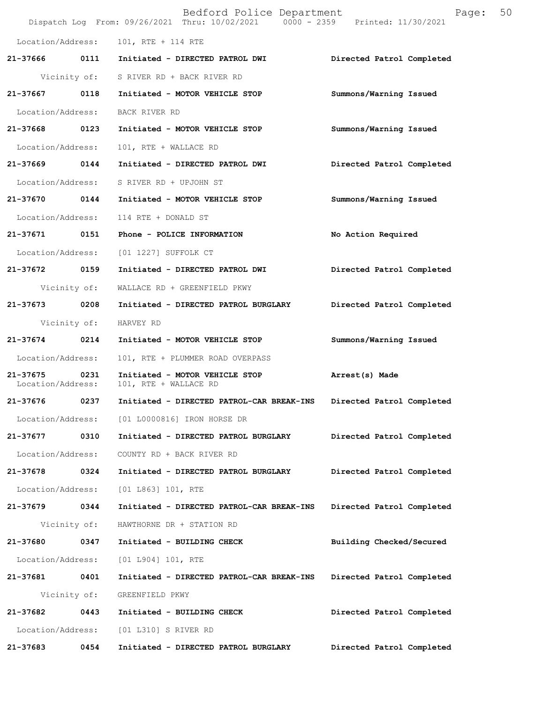|                               |              | Bedford Police Department<br>Dispatch Log From: 09/26/2021 Thru: 10/02/2021 0000 - 2359 Printed: 11/30/2021 | 50<br>Page:               |
|-------------------------------|--------------|-------------------------------------------------------------------------------------------------------------|---------------------------|
|                               |              | Location/Address: 101, RTE + 114 RTE                                                                        |                           |
|                               |              | 21-37666 0111 Initiated - DIRECTED PATROL DWI                                                               | Directed Patrol Completed |
|                               |              | Vicinity of: S RIVER RD + BACK RIVER RD                                                                     |                           |
| $21 - 37667$                  | 0118         | Initiated - MOTOR VEHICLE STOP                                                                              | Summons/Warning Issued    |
| Location/Address:             |              | BACK RIVER RD                                                                                               |                           |
| 21-37668 0123                 |              | Initiated - MOTOR VEHICLE STOP                                                                              | Summons/Warning Issued    |
| Location/Address:             |              | 101, RTE + WALLACE RD                                                                                       |                           |
| 21-37669                      | 0144         | Initiated - DIRECTED PATROL DWI                                                                             | Directed Patrol Completed |
|                               |              | Location/Address: S RIVER RD + UPJOHN ST                                                                    |                           |
|                               |              | 21-37670 0144 Initiated - MOTOR VEHICLE STOP                                                                | Summons/Warning Issued    |
| Location/Address:             |              | 114 RTE + DONALD ST                                                                                         |                           |
| 21-37671 0151                 |              | Phone - POLICE INFORMATION                                                                                  | No Action Required        |
| Location/Address:             |              | [01 1227] SUFFOLK CT                                                                                        |                           |
| 21-37672 0159                 |              | Initiated - DIRECTED PATROL DWI                                                                             | Directed Patrol Completed |
|                               | Vicinity of: | WALLACE RD + GREENFIELD PKWY                                                                                |                           |
| 21-37673                      | 0208         | Initiated - DIRECTED PATROL BURGLARY                                                                        | Directed Patrol Completed |
|                               | Vicinity of: | HARVEY RD                                                                                                   |                           |
| 21-37674 0214                 |              | Initiated - MOTOR VEHICLE STOP                                                                              | Summons/Warning Issued    |
| Location/Address:             |              | 101, RTE + PLUMMER ROAD OVERPASS                                                                            |                           |
| 21-37675<br>Location/Address: | 0231         | Initiated - MOTOR VEHICLE STOP<br>101, RTE + WALLACE RD                                                     | Arrest(s) Made            |
| 21-37676 0237                 |              | Initiated - DIRECTED PATROL-CAR BREAK-INS                                                                   | Directed Patrol Completed |
|                               |              | Location/Address: [01 L0000816] IRON HORSE DR                                                               |                           |
| 21-37677                      | 0310         | Initiated - DIRECTED PATROL BURGLARY                                                                        | Directed Patrol Completed |
| Location/Address:             |              | COUNTY RD + BACK RIVER RD                                                                                   |                           |
| 21-37678 0324                 |              | Initiated - DIRECTED PATROL BURGLARY                                                                        | Directed Patrol Completed |
| Location/Address:             |              | [01 L863] 101, RTE                                                                                          |                           |
| 21-37679 0344                 |              | Initiated - DIRECTED PATROL-CAR BREAK-INS                                                                   | Directed Patrol Completed |
|                               | Vicinity of: | HAWTHORNE DR + STATION RD                                                                                   |                           |
| 21-37680                      | 0347         | Initiated - BUILDING CHECK                                                                                  | Building Checked/Secured  |
| Location/Address:             |              | [01 L904] 101, RTE                                                                                          |                           |
| 21-37681 0401                 |              | Initiated - DIRECTED PATROL-CAR BREAK-INS                                                                   | Directed Patrol Completed |
|                               | Vicinity of: | GREENFIELD PKWY                                                                                             |                           |
| 21-37682 0443                 |              | Initiated - BUILDING CHECK                                                                                  | Directed Patrol Completed |
| Location/Address:             |              | [01 L310] S RIVER RD                                                                                        |                           |
| 21-37683                      | 0454         | Initiated - DIRECTED PATROL BURGLARY                                                                        | Directed Patrol Completed |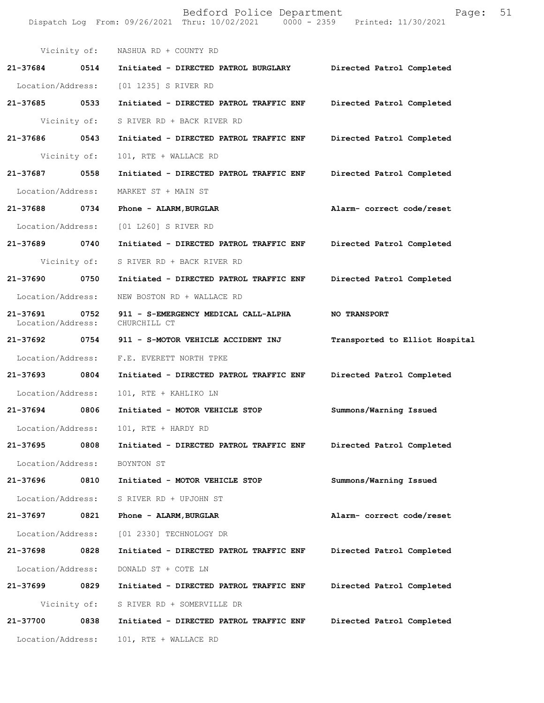|                               |              | Bedford Police Department<br>Dispatch Log From: 09/26/2021 Thru: 10/02/2021 0000 - 2359 Printed: 11/30/2021 | Page:                          | 51 |
|-------------------------------|--------------|-------------------------------------------------------------------------------------------------------------|--------------------------------|----|
|                               | Vicinity of: | NASHUA RD + COUNTY RD                                                                                       |                                |    |
| 21-37684                      | 0514         | Initiated - DIRECTED PATROL BURGLARY                                                                        | Directed Patrol Completed      |    |
| Location/Address:             |              | [01 1235] S RIVER RD                                                                                        |                                |    |
| 21-37685 0533                 |              | Initiated - DIRECTED PATROL TRAFFIC ENF                                                                     | Directed Patrol Completed      |    |
|                               | Vicinity of: | S RIVER RD + BACK RIVER RD                                                                                  |                                |    |
| 21-37686                      | 0543         | Initiated - DIRECTED PATROL TRAFFIC ENF                                                                     | Directed Patrol Completed      |    |
|                               | Vicinity of: | 101, RTE + WALLACE RD                                                                                       |                                |    |
| 21-37687                      | 0558         | Initiated - DIRECTED PATROL TRAFFIC ENF                                                                     | Directed Patrol Completed      |    |
| Location/Address:             |              | MARKET ST + MAIN ST                                                                                         |                                |    |
| 21-37688                      | 0734         | Phone - ALARM, BURGLAR                                                                                      | Alarm- correct code/reset      |    |
| Location/Address:             |              | [01 L260] S RIVER RD                                                                                        |                                |    |
| 21-37689                      | 0740         | Initiated - DIRECTED PATROL TRAFFIC ENF                                                                     | Directed Patrol Completed      |    |
|                               | Vicinity of: | S RIVER RD + BACK RIVER RD                                                                                  |                                |    |
| 21-37690 0750                 |              | Initiated - DIRECTED PATROL TRAFFIC ENF                                                                     | Directed Patrol Completed      |    |
| Location/Address:             |              | NEW BOSTON RD + WALLACE RD                                                                                  |                                |    |
| 21-37691<br>Location/Address: | 0752         | 911 - S-EMERGENCY MEDICAL CALL-ALPHA<br>CHURCHILL CT                                                        | <b>NO TRANSPORT</b>            |    |
| 21-37692 0754                 |              | 911 - S-MOTOR VEHICLE ACCIDENT INJ                                                                          | Transported to Elliot Hospital |    |
| Location/Address:             |              | F.E. EVERETT NORTH TPKE                                                                                     |                                |    |
| 21-37693 0804                 |              | Initiated - DIRECTED PATROL TRAFFIC ENF                                                                     | Directed Patrol Completed      |    |
| Location/Address:             |              | 101, RTE + KAHLIKO LN                                                                                       |                                |    |
| 21-37694                      | 0806         | Initiated - MOTOR VEHICLE STOP                                                                              | Summons/Warning Issued         |    |
| Location/Address:             |              | 101, RTE + HARDY RD                                                                                         |                                |    |
| 21-37695                      | 0808         | Initiated - DIRECTED PATROL TRAFFIC ENF                                                                     | Directed Patrol Completed      |    |
| Location/Address:             |              | BOYNTON ST                                                                                                  |                                |    |
| 21-37696                      | 0810         | Initiated - MOTOR VEHICLE STOP                                                                              | Summons/Warning Issued         |    |
| Location/Address:             |              | S RIVER RD + UPJOHN ST                                                                                      |                                |    |
| 21-37697                      | 0821         | Phone - ALARM, BURGLAR                                                                                      | Alarm- correct code/reset      |    |
| Location/Address:             |              | [01 2330] TECHNOLOGY DR                                                                                     |                                |    |
| 21-37698 0828                 |              | Initiated - DIRECTED PATROL TRAFFIC ENF                                                                     | Directed Patrol Completed      |    |
| Location/Address:             |              | DONALD ST + COTE LN                                                                                         |                                |    |
| 21-37699                      | 0829         | Initiated - DIRECTED PATROL TRAFFIC ENF                                                                     | Directed Patrol Completed      |    |
|                               | Vicinity of: | S RIVER RD + SOMERVILLE DR                                                                                  |                                |    |
| 21-37700                      | 0838         | Initiated - DIRECTED PATROL TRAFFIC ENF                                                                     | Directed Patrol Completed      |    |
| Location/Address:             |              | 101, RTE + WALLACE RD                                                                                       |                                |    |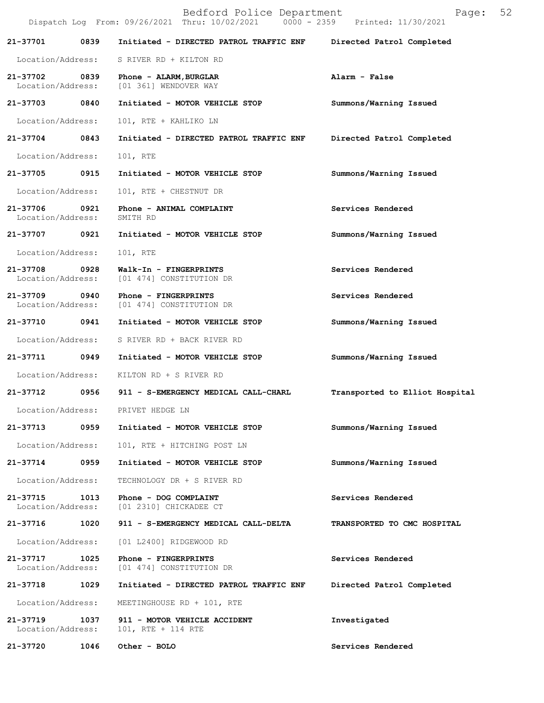|                                    |      | Bedford Police Department<br>Dispatch Log From: 09/26/2021 Thru: 10/02/2021 0000 - 2359 Printed: 11/30/2021 | 52<br>Page:                    |
|------------------------------------|------|-------------------------------------------------------------------------------------------------------------|--------------------------------|
| 21-37701                           | 0839 | Initiated - DIRECTED PATROL TRAFFIC ENF                                                                     | Directed Patrol Completed      |
| Location/Address:                  |      | S RIVER RD + KILTON RD                                                                                      |                                |
| 21-37702 0839<br>Location/Address: |      | Phone - ALARM, BURGLAR<br>[01 361] WENDOVER WAY                                                             | Alarm - False                  |
| 21-37703                           | 0840 | Initiated - MOTOR VEHICLE STOP                                                                              | Summons/Warning Issued         |
| Location/Address:                  |      | 101, RTE + KAHLIKO LN                                                                                       |                                |
| 21-37704                           | 0843 | Initiated - DIRECTED PATROL TRAFFIC ENF                                                                     | Directed Patrol Completed      |
| Location/Address:                  |      | 101, RTE                                                                                                    |                                |
| 21-37705                           | 0915 | Initiated - MOTOR VEHICLE STOP                                                                              | Summons/Warning Issued         |
| Location/Address:                  |      | 101, RTE + CHESTNUT DR                                                                                      |                                |
| 21-37706<br>Location/Address:      | 0921 | Phone - ANIMAL COMPLAINT<br>SMITH RD                                                                        | Services Rendered              |
| 21-37707                           | 0921 | Initiated - MOTOR VEHICLE STOP                                                                              | Summons/Warning Issued         |
| Location/Address:                  |      | 101, RTE                                                                                                    |                                |
| 21-37708<br>Location/Address:      | 0928 | Walk-In - FINGERPRINTS<br>[01 474] CONSTITUTION DR                                                          | Services Rendered              |
| 21-37709<br>Location/Address:      | 0940 | Phone - FINGERPRINTS<br>[01 474] CONSTITUTION DR                                                            | Services Rendered              |
| 21-37710                           | 0941 | Initiated - MOTOR VEHICLE STOP                                                                              | Summons/Warning Issued         |
| Location/Address:                  |      | S RIVER RD + BACK RIVER RD                                                                                  |                                |
| 21-37711                           | 0949 | Initiated - MOTOR VEHICLE STOP                                                                              | Summons/Warning Issued         |
| Location/Address:                  |      | KILTON RD + S RIVER RD                                                                                      |                                |
| 21-37712                           | 0956 | 911 - S-EMERGENCY MEDICAL CALL-CHARL                                                                        | Transported to Elliot Hospital |
| Location/Address:                  |      | PRIVET HEDGE LN                                                                                             |                                |
| 21-37713                           | 0959 | Initiated - MOTOR VEHICLE STOP                                                                              | Summons/Warning Issued         |
| Location/Address:                  |      | 101, RTE + HITCHING POST LN                                                                                 |                                |
| 21-37714                           | 0959 | Initiated - MOTOR VEHICLE STOP                                                                              | Summons/Warning Issued         |
| Location/Address:                  |      | TECHNOLOGY DR + S RIVER RD                                                                                  |                                |
| 21-37715<br>Location/Address:      | 1013 | Phone - DOG COMPLAINT<br>[01 2310] CHICKADEE CT                                                             | Services Rendered              |
| 21-37716                           | 1020 | 911 - S-EMERGENCY MEDICAL CALL-DELTA                                                                        | TRANSPORTED TO CMC HOSPITAL    |
| Location/Address:                  |      | [01 L2400] RIDGEWOOD RD                                                                                     |                                |
| 21-37717<br>Location/Address:      | 1025 | Phone - FINGERPRINTS<br>[01 474] CONSTITUTION DR                                                            | Services Rendered              |
| 21-37718                           | 1029 | Initiated - DIRECTED PATROL TRAFFIC ENF                                                                     | Directed Patrol Completed      |
| Location/Address:                  |      | MEETINGHOUSE RD + 101, RTE                                                                                  |                                |
| 21-37719<br>Location/Address:      | 1037 | 911 - MOTOR VEHICLE ACCIDENT<br>101, RTE + 114 RTE                                                          | Investigated                   |
| 21-37720                           | 1046 | Other - BOLO                                                                                                | Services Rendered              |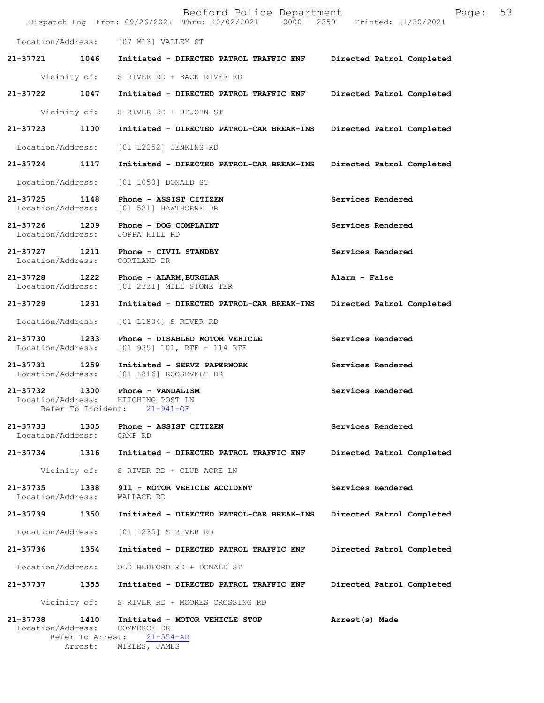|                   |                                         | Bedford Police Department<br>Dispatch Log From: 09/26/2021 Thru: 10/02/2021 0000 - 2359 Printed: 11/30/2021 | Page:                     | 53 |
|-------------------|-----------------------------------------|-------------------------------------------------------------------------------------------------------------|---------------------------|----|
|                   |                                         | Location/Address: [07 M13] VALLEY ST                                                                        |                           |    |
| 21-37721          |                                         | 1046 Initiated - DIRECTED PATROL TRAFFIC ENF Directed Patrol Completed                                      |                           |    |
|                   |                                         | Vicinity of: S RIVER RD + BACK RIVER RD                                                                     |                           |    |
|                   | 21-37722 1047                           | Initiated - DIRECTED PATROL TRAFFIC ENF                                                                     | Directed Patrol Completed |    |
|                   |                                         | Vicinity of: S RIVER RD + UPJOHN ST                                                                         |                           |    |
| 21-37723 1100     |                                         | Initiated - DIRECTED PATROL-CAR BREAK-INS                                                                   | Directed Patrol Completed |    |
|                   | Location/Address:                       | [01 L2252] JENKINS RD                                                                                       |                           |    |
| 21-37724 1117     |                                         | Initiated - DIRECTED PATROL-CAR BREAK-INS                                                                   | Directed Patrol Completed |    |
|                   | Location/Address:                       | [01 1050] DONALD ST                                                                                         |                           |    |
| Location/Address: | 21-37725 1148                           | Phone - ASSIST CITIZEN<br>[01 521] HAWTHORNE DR                                                             | Services Rendered         |    |
| Location/Address: |                                         | 21-37726 1209 Phone - DOG COMPLAINT<br>JOPPA HILL RD                                                        | Services Rendered         |    |
|                   | Location/Address:                       | 21-37727 1211 Phone - CIVIL STANDBY<br>CORTLAND DR                                                          | Services Rendered         |    |
| 21-37728          |                                         | 1222 Phone - ALARM, BURGLAR<br>Location/Address: [01 2331] MILL STONE TER                                   | Alarm - False             |    |
| 21-37729 1231     |                                         | Initiated - DIRECTED PATROL-CAR BREAK-INS                                                                   | Directed Patrol Completed |    |
|                   | Location/Address:                       | [01 L1804] S RIVER RD                                                                                       |                           |    |
|                   | 21-37730 1233<br>Location/Address:      | Phone - DISABLED MOTOR VEHICLE<br>$[01\ 935]$ 101, RTE + 114 RTE                                            | Services Rendered         |    |
|                   | 21-37731 1259<br>Location/Address:      | Initiated - SERVE PAPERWORK<br>[01 L816] ROOSEVELT DR                                                       | Services Rendered         |    |
| 21-37732 1300     | Location/Address:<br>Refer To Incident: | Phone - VANDALISM<br>HITCHING POST LN<br>$21 - 941 - OF$                                                    | Services Rendered         |    |
| 21-37733          | 1305<br>Location/Address: CAMP RD       | Phone - ASSIST CITIZEN                                                                                      | Services Rendered         |    |
|                   | 21-37734 1316                           | Initiated - DIRECTED PATROL TRAFFIC ENF                                                                     | Directed Patrol Completed |    |
|                   |                                         | Vicinity of: S RIVER RD + CLUB ACRE LN                                                                      |                           |    |
| 21-37735          | 1338<br>Location/Address:               | 911 - MOTOR VEHICLE ACCIDENT<br>WALLACE RD                                                                  | Services Rendered         |    |
|                   | 21-37739 1350                           | Initiated - DIRECTED PATROL-CAR BREAK-INS                                                                   | Directed Patrol Completed |    |
|                   | Location/Address:                       | [01 1235] S RIVER RD                                                                                        |                           |    |
|                   | 21-37736 1354                           | Initiated - DIRECTED PATROL TRAFFIC ENF                                                                     | Directed Patrol Completed |    |
|                   | Location/Address:                       | OLD BEDFORD RD + DONALD ST                                                                                  |                           |    |
|                   | 21-37737 1355                           | Initiated - DIRECTED PATROL TRAFFIC ENF                                                                     | Directed Patrol Completed |    |
|                   |                                         | Vicinity of: S RIVER RD + MOORES CROSSING RD                                                                |                           |    |
| 21-37738          | 1410<br>Refer To Arrest:<br>Arrest:     | Initiated - MOTOR VEHICLE STOP<br>Location/Address: COMMERCE DR<br>$21 - 554 - AR$<br>MIELES, JAMES         | Arrest(s) Made            |    |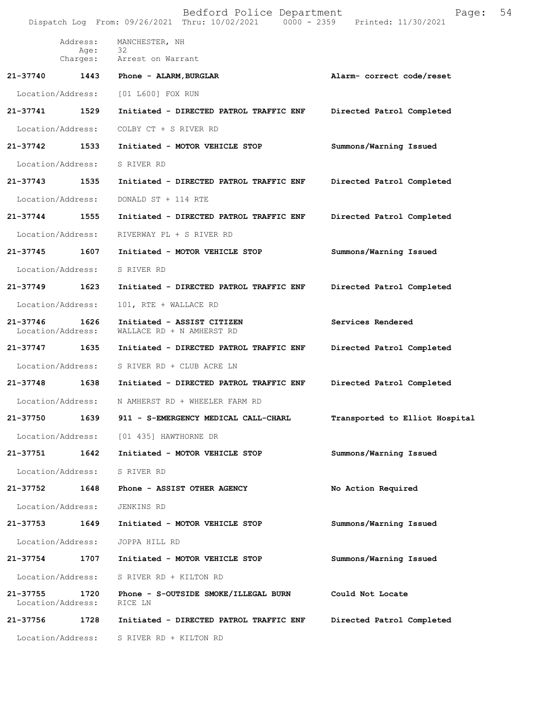|                               |                   | Bedford Police Department<br>Dispatch Log From: 09/26/2021 Thru: 10/02/2021 0000 - 2359 Printed: 11/30/2021 | Page:                          | 54 |
|-------------------------------|-------------------|-------------------------------------------------------------------------------------------------------------|--------------------------------|----|
|                               | Address:<br>Age:  | MANCHESTER, NH<br>32                                                                                        |                                |    |
|                               |                   | Charges: Arrest on Warrant                                                                                  |                                |    |
| 21-37740                      | 1443              | Phone - ALARM, BURGLAR                                                                                      | Alarm- correct code/reset      |    |
|                               | Location/Address: | [01 L600] FOX RUN                                                                                           |                                |    |
| 21-37741                      | 1529              | Initiated - DIRECTED PATROL TRAFFIC ENF                                                                     | Directed Patrol Completed      |    |
| Location/Address:             |                   | COLBY CT + S RIVER RD                                                                                       |                                |    |
| 21-37742                      | 1533              | Initiated - MOTOR VEHICLE STOP                                                                              | Summons/Warning Issued         |    |
| Location/Address:             |                   | S RIVER RD                                                                                                  |                                |    |
| 21-37743                      | 1535              | Initiated - DIRECTED PATROL TRAFFIC ENF                                                                     | Directed Patrol Completed      |    |
| Location/Address:             |                   | DONALD ST + 114 RTE                                                                                         |                                |    |
| $21 - 37744$                  | 1555              | Initiated - DIRECTED PATROL TRAFFIC ENF                                                                     | Directed Patrol Completed      |    |
| Location/Address:             |                   | RIVERWAY PL + S RIVER RD                                                                                    |                                |    |
| 21-37745                      | 1607              | Initiated - MOTOR VEHICLE STOP                                                                              | Summons/Warning Issued         |    |
| Location/Address:             |                   | S RIVER RD                                                                                                  |                                |    |
| 21-37749                      | 1623              | Initiated - DIRECTED PATROL TRAFFIC ENF                                                                     | Directed Patrol Completed      |    |
| Location/Address:             |                   | 101, RTE + WALLACE RD                                                                                       |                                |    |
| 21-37746<br>Location/Address: | 1626              | Initiated - ASSIST CITIZEN<br>WALLACE RD + N AMHERST RD                                                     | Services Rendered              |    |
| 21-37747                      | 1635              | Initiated - DIRECTED PATROL TRAFFIC ENF                                                                     | Directed Patrol Completed      |    |
| Location/Address:             |                   | S RIVER RD + CLUB ACRE LN                                                                                   |                                |    |
| 21-37748                      | 1638              | Initiated - DIRECTED PATROL TRAFFIC ENF                                                                     | Directed Patrol Completed      |    |
| Location/Address:             |                   | N AMHERST RD + WHEELER FARM RD                                                                              |                                |    |
| 21-37750                      | 1639              | 911 - S-EMERGENCY MEDICAL CALL-CHARL                                                                        | Transported to Elliot Hospital |    |
|                               | Location/Address: | [01 435] HAWTHORNE DR                                                                                       |                                |    |
| 21-37751                      | 1642              | Initiated - MOTOR VEHICLE STOP                                                                              | Summons/Warning Issued         |    |
| Location/Address:             |                   | S RIVER RD                                                                                                  |                                |    |
| 21-37752                      | 1648              | Phone - ASSIST OTHER AGENCY                                                                                 | No Action Required             |    |
| Location/Address:             |                   | JENKINS RD                                                                                                  |                                |    |
| 21-37753                      | 1649              | Initiated - MOTOR VEHICLE STOP                                                                              | Summons/Warning Issued         |    |
| Location/Address:             |                   | JOPPA HILL RD                                                                                               |                                |    |
| 21-37754                      | 1707              | Initiated - MOTOR VEHICLE STOP                                                                              | Summons/Warning Issued         |    |
| Location/Address:             |                   | S RIVER RD + KILTON RD                                                                                      |                                |    |
| 21-37755<br>Location/Address: | 1720              | Phone - S-OUTSIDE SMOKE/ILLEGAL BURN<br>RICE LN                                                             | Could Not Locate               |    |
| 21-37756                      | 1728              | Initiated - DIRECTED PATROL TRAFFIC ENF                                                                     | Directed Patrol Completed      |    |
| Location/Address:             |                   | S RIVER RD + KILTON RD                                                                                      |                                |    |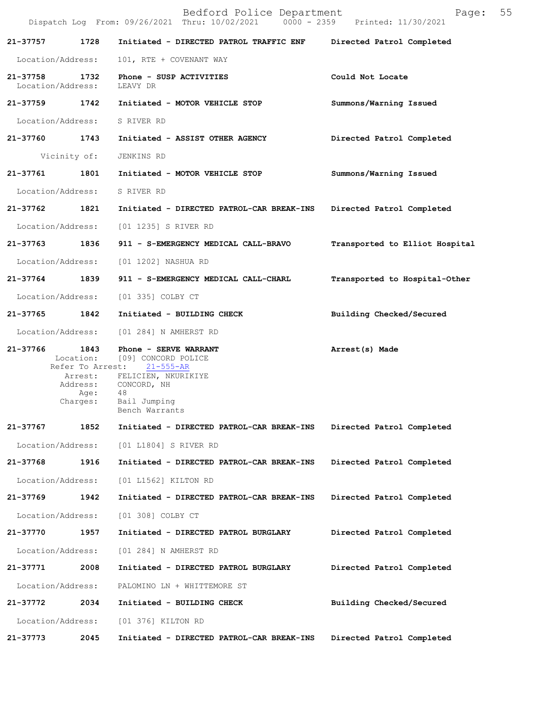|                               |              | Bedford Police Department<br>Dispatch Log From: 09/26/2021 Thru: 10/02/2021 0000 - 2359 Printed: 11/30/2021 | Page:                          | 55 |
|-------------------------------|--------------|-------------------------------------------------------------------------------------------------------------|--------------------------------|----|
| 21-37757                      | 1728         | Initiated - DIRECTED PATROL TRAFFIC ENF Directed Patrol Completed                                           |                                |    |
| Location/Address:             |              | 101, RTE + COVENANT WAY                                                                                     |                                |    |
| 21-37758<br>Location/Address: | 1732         | Phone - SUSP ACTIVITIES<br>LEAVY DR                                                                         | Could Not Locate               |    |
| 21–37759 1742                 |              | Initiated - MOTOR VEHICLE STOP                                                                              | Summons/Warning Issued         |    |
| Location/Address:             |              | S RIVER RD                                                                                                  |                                |    |
|                               |              | 21-37760 1743 Initiated - ASSIST OTHER AGENCY                                                               | Directed Patrol Completed      |    |
|                               | Vicinity of: | JENKINS RD                                                                                                  |                                |    |
| 21-37761                      | 1801         | Initiated - MOTOR VEHICLE STOP                                                                              | Summons/Warning Issued         |    |
|                               |              | Location/Address: S RIVER RD                                                                                |                                |    |
| 21-37762                      | 1821         | Initiated - DIRECTED PATROL-CAR BREAK-INS                                                                   | Directed Patrol Completed      |    |
| Location/Address:             |              | [01 1235] S RIVER RD                                                                                        |                                |    |
| 21-37763 1836                 |              | 911 - S-EMERGENCY MEDICAL CALL-BRAVO                                                                        | Transported to Elliot Hospital |    |
| Location/Address:             |              | [01 1202] NASHUA RD                                                                                         |                                |    |
| 21-37764 1839                 |              | 911 - S-EMERGENCY MEDICAL CALL-CHARL                                                                        | Transported to Hospital-Other  |    |
| Location/Address:             |              | [01 335] COLBY CT                                                                                           |                                |    |
| 21-37765                      | 1842         | Initiated - BUILDING CHECK                                                                                  | Building Checked/Secured       |    |
| Location/Address:             |              | [01 284] N AMHERST RD                                                                                       |                                |    |
|                               |              | 21-37766 1843 Phone - SERVE WARRANT<br>Location: [09] CONCORD POLICE<br>Refer To Arrest: 21-555-AR          | Arrest(s) Made                 |    |
|                               | Age:         | Arrest: FELICIEN, NKURIKIYE<br>Address: CONCORD, NH<br>48                                                   |                                |    |
|                               | Charges:     | Bail Jumping<br>Bench Warrants                                                                              |                                |    |
| 21-37767                      | 1852         | Initiated - DIRECTED PATROL-CAR BREAK-INS                                                                   | Directed Patrol Completed      |    |
| Location/Address:             |              | [01 L1804] S RIVER RD                                                                                       |                                |    |
| 21-37768                      | 1916         | Initiated - DIRECTED PATROL-CAR BREAK-INS                                                                   | Directed Patrol Completed      |    |
| Location/Address:             |              | [01 L1562] KILTON RD                                                                                        |                                |    |
| 21-37769                      | 1942         | Initiated - DIRECTED PATROL-CAR BREAK-INS                                                                   | Directed Patrol Completed      |    |
| Location/Address:             |              | [01 308] COLBY CT                                                                                           |                                |    |
| 21-37770                      | 1957         | Initiated - DIRECTED PATROL BURGLARY                                                                        | Directed Patrol Completed      |    |
| Location/Address:             |              | [01 284] N AMHERST RD                                                                                       |                                |    |
| 21-37771                      | 2008         | Initiated - DIRECTED PATROL BURGLARY                                                                        | Directed Patrol Completed      |    |
| Location/Address:             |              | PALOMINO LN + WHITTEMORE ST                                                                                 |                                |    |
| 21-37772                      | 2034         | Initiated - BUILDING CHECK                                                                                  | Building Checked/Secured       |    |
| Location/Address:             |              | [01 376] KILTON RD                                                                                          |                                |    |
| 21-37773                      | 2045         | Initiated - DIRECTED PATROL-CAR BREAK-INS                                                                   | Directed Patrol Completed      |    |